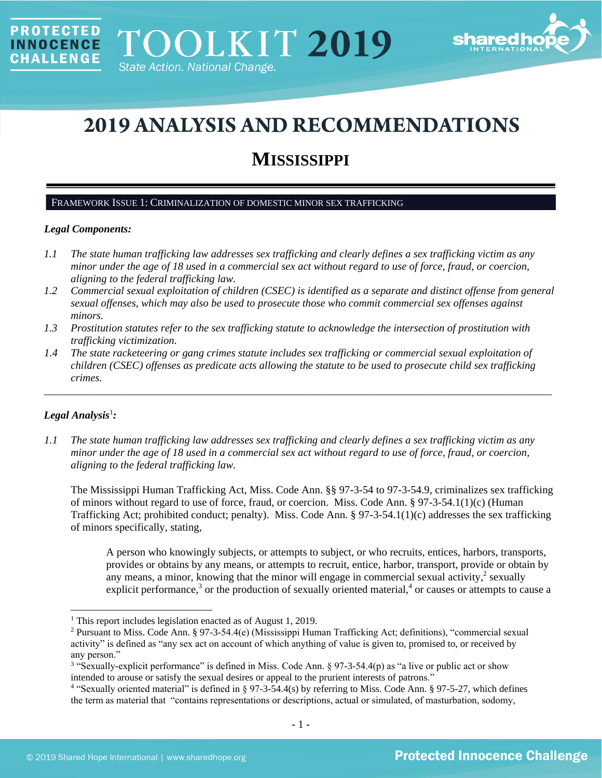

# **2019 ANALYSIS AND RECOMMENDATIONS**

## **MISSISSIPPI**

#### FRAMEWORK ISSUE 1: CRIMINALIZATION OF DOMESTIC MINOR SEX TRAFFICKING

## *Legal Components:*

PROTECTED

**INNOCENCE CHALLENGE** 

- *1.1 The state human trafficking law addresses sex trafficking and clearly defines a sex trafficking victim as any minor under the age of 18 used in a commercial sex act without regard to use of force, fraud, or coercion, aligning to the federal trafficking law.*
- *1.2 Commercial sexual exploitation of children (CSEC) is identified as a separate and distinct offense from general sexual offenses, which may also be used to prosecute those who commit commercial sex offenses against minors.*
- *1.3 Prostitution statutes refer to the sex trafficking statute to acknowledge the intersection of prostitution with trafficking victimization.*
- *1.4 The state racketeering or gang crimes statute includes sex trafficking or commercial sexual exploitation of children (CSEC) offenses as predicate acts allowing the statute to be used to prosecute child sex trafficking crimes.*

\_\_\_\_\_\_\_\_\_\_\_\_\_\_\_\_\_\_\_\_\_\_\_\_\_\_\_\_\_\_\_\_\_\_\_\_\_\_\_\_\_\_\_\_\_\_\_\_\_\_\_\_\_\_\_\_\_\_\_\_\_\_\_\_\_\_\_\_\_\_\_\_\_\_\_\_\_\_\_\_\_\_\_\_\_\_\_\_\_\_\_\_\_\_

## $Legal$  Analysis<sup>1</sup>:

*1.1 The state human trafficking law addresses sex trafficking and clearly defines a sex trafficking victim as any minor under the age of 18 used in a commercial sex act without regard to use of force, fraud, or coercion, aligning to the federal trafficking law.*

The Mississippi Human Trafficking Act, Miss. Code Ann. §§ 97-3-54 to 97-3-54.9, criminalizes sex trafficking of minors without regard to use of force, fraud, or coercion. Miss. Code Ann. § 97-3-54.1(1)(c) (Human Trafficking Act; prohibited conduct; penalty). Miss. Code Ann. § 97-3-54.1(1)(c) addresses the sex trafficking of minors specifically, stating,

A person who knowingly subjects, or attempts to subject, or who recruits, entices, harbors, transports, provides or obtains by any means, or attempts to recruit, entice, harbor, transport, provide or obtain by any means, a minor, knowing that the minor will engage in commercial sexual activity, $\frac{2}{3}$  sexually explicit performance,<sup>3</sup> or the production of sexually oriented material,<sup>4</sup> or causes or attempts to cause a

<sup>&</sup>lt;sup>1</sup> This report includes legislation enacted as of August 1, 2019.

<sup>2</sup> Pursuant to Miss. Code Ann. § 97-3-54.4(e) (Mississippi Human Trafficking Act; definitions), "commercial sexual activity" is defined as "any sex act on account of which anything of value is given to, promised to, or received by any person."

<sup>&</sup>lt;sup>3</sup> "Sexually-explicit performance" is defined in Miss. Code Ann. § 97-3-54.4(p) as "a live or public act or show intended to arouse or satisfy the sexual desires or appeal to the prurient interests of patrons."

<sup>4</sup> "Sexually oriented material" is defined in § 97-3-54.4(s) by referring to Miss. Code Ann. § 97-5-27, which defines the term as material that "contains representations or descriptions, actual or simulated, of masturbation, sodomy,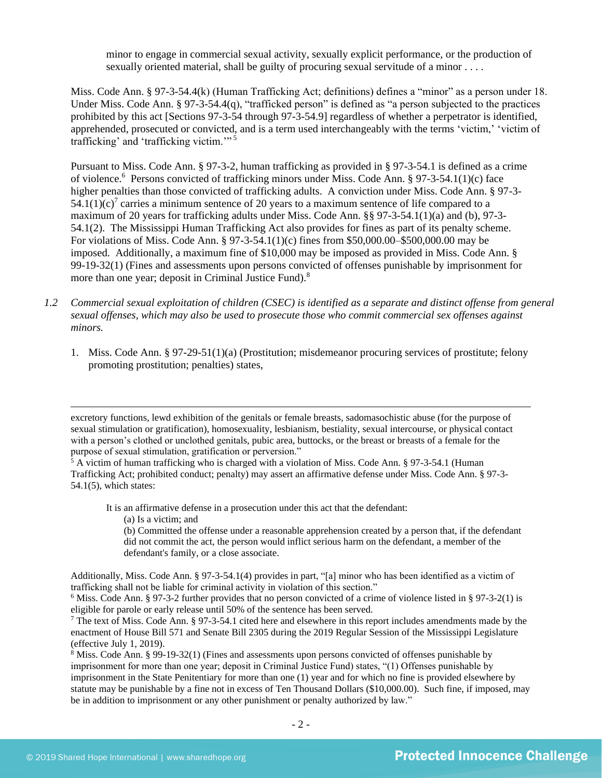minor to engage in commercial sexual activity, sexually explicit performance, or the production of sexually oriented material, shall be guilty of procuring sexual servitude of a minor . . . .

Miss. Code Ann. § 97-3-54.4(k) (Human Trafficking Act; definitions) defines a "minor" as a person under 18. Under Miss. Code Ann. § 97-3-54.4(q), "trafficked person" is defined as "a person subjected to the practices prohibited by this act [Sections 97-3-54 through 97-3-54.9] regardless of whether a perpetrator is identified, apprehended, prosecuted or convicted, and is a term used interchangeably with the terms 'victim,' 'victim of trafficking' and 'trafficking victim.'"<sup>5</sup>

<span id="page-1-0"></span>Pursuant to Miss. Code Ann. § 97-3-2, human trafficking as provided in § 97-3-54.1 is defined as a crime of violence.<sup>6</sup> Persons convicted of trafficking minors under Miss. Code Ann. § 97-3-54.1(1)(c) face higher penalties than those convicted of trafficking adults. A conviction under Miss. Code Ann. § 97-3- $54.1(1)(c)<sup>7</sup>$  carries a minimum sentence of 20 years to a maximum sentence of life compared to a maximum of 20 years for trafficking adults under Miss. Code Ann. §§ 97-3-54.1(1)(a) and (b), 97-3- 54.1(2). The Mississippi Human Trafficking Act also provides for fines as part of its penalty scheme. For violations of Miss. Code Ann. § 97-3-54.1(1)(c) fines from \$50,000.00–\$500,000.00 may be imposed. Additionally, a maximum fine of \$10,000 may be imposed as provided in Miss. Code Ann. § 99-19-32(1) (Fines and assessments upon persons convicted of offenses punishable by imprisonment for more than one year; deposit in Criminal Justice Fund).<sup>8</sup>

- *1.2 Commercial sexual exploitation of children (CSEC) is identified as a separate and distinct offense from general sexual offenses, which may also be used to prosecute those who commit commercial sex offenses against minors.*
	- 1. Miss. Code Ann. § 97-29-51(1)(a) (Prostitution; misdemeanor procuring services of prostitute; felony promoting prostitution; penalties) states,

It is an affirmative defense in a prosecution under this act that the defendant:

(a) Is a victim; and

(b) Committed the offense under a reasonable apprehension created by a person that, if the defendant did not commit the act, the person would inflict serious harm on the defendant, a member of the defendant's family, or a close associate.

Additionally, Miss. Code Ann. § 97-3-54.1(4) provides in part, "[a] minor who has been identified as a victim of trafficking shall not be liable for criminal activity in violation of this section."

<sup>6</sup> Miss. Code Ann. § 97-3-2 further provides that no person convicted of a crime of violence listed in § 97-3-2(1) is eligible for parole or early release until 50% of the sentence has been served.

excretory functions, lewd exhibition of the genitals or female breasts, sadomasochistic abuse (for the purpose of sexual stimulation or gratification), homosexuality, lesbianism, bestiality, sexual intercourse, or physical contact with a person's clothed or unclothed genitals, pubic area, buttocks, or the breast or breasts of a female for the purpose of sexual stimulation, gratification or perversion."

<sup>&</sup>lt;sup>5</sup> A victim of human trafficking who is charged with a violation of Miss. Code Ann. § 97-3-54.1 (Human Trafficking Act; prohibited conduct; penalty) may assert an affirmative defense under Miss. Code Ann. § 97-3-  $54.1(5)$ , which states:

 $7$  The text of Miss. Code Ann. § 97-3-54.1 cited here and elsewhere in this report includes amendments made by the enactment of House Bill 571 and Senate Bill 2305 during the 2019 Regular Session of the Mississippi Legislature (effective July 1, 2019).

<sup>8</sup> Miss. Code Ann. § 99-19-32(1) (Fines and assessments upon persons convicted of offenses punishable by imprisonment for more than one year; deposit in Criminal Justice Fund) states, "(1) Offenses punishable by imprisonment in the State Penitentiary for more than one (1) year and for which no fine is provided elsewhere by statute may be punishable by a fine not in excess of Ten Thousand Dollars (\$10,000.00). Such fine, if imposed, may be in addition to imprisonment or any other punishment or penalty authorized by law."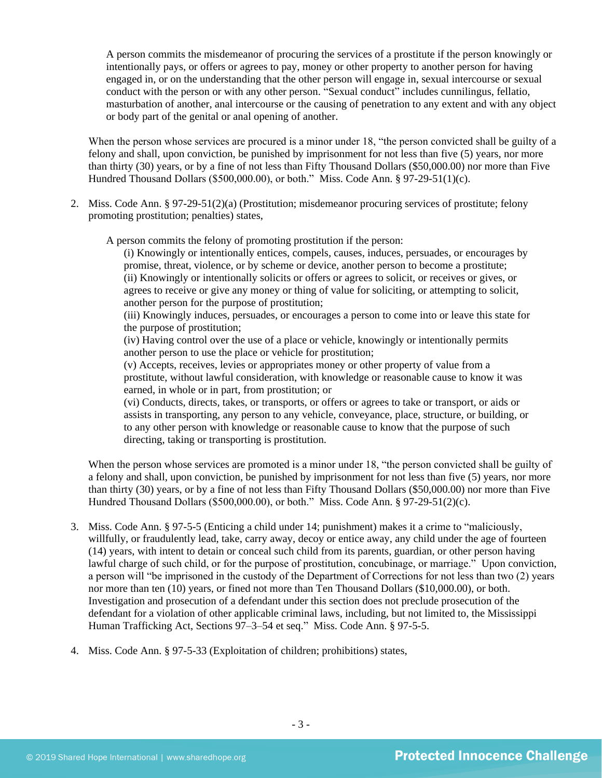A person commits the misdemeanor of procuring the services of a prostitute if the person knowingly or intentionally pays, or offers or agrees to pay, money or other property to another person for having engaged in, or on the understanding that the other person will engage in, sexual intercourse or sexual conduct with the person or with any other person. "Sexual conduct" includes cunnilingus, fellatio, masturbation of another, anal intercourse or the causing of penetration to any extent and with any object or body part of the genital or anal opening of another.

When the person whose services are procured is a minor under 18, "the person convicted shall be guilty of a felony and shall, upon conviction, be punished by imprisonment for not less than five (5) years, nor more than thirty (30) years, or by a fine of not less than Fifty Thousand Dollars (\$50,000.00) nor more than Five Hundred Thousand Dollars (\$500,000.00), or both." Miss. Code Ann. § 97-29-51(1)(c).

2. Miss. Code Ann. § 97-29-51(2)(a) (Prostitution; misdemeanor procuring services of prostitute; felony promoting prostitution; penalties) states,

A person commits the felony of promoting prostitution if the person:

(i) Knowingly or intentionally entices, compels, causes, induces, persuades, or encourages by promise, threat, violence, or by scheme or device, another person to become a prostitute; (ii) Knowingly or intentionally solicits or offers or agrees to solicit, or receives or gives, or agrees to receive or give any money or thing of value for soliciting, or attempting to solicit, another person for the purpose of prostitution;

(iii) Knowingly induces, persuades, or encourages a person to come into or leave this state for the purpose of prostitution;

(iv) Having control over the use of a place or vehicle, knowingly or intentionally permits another person to use the place or vehicle for prostitution;

(v) Accepts, receives, levies or appropriates money or other property of value from a prostitute, without lawful consideration, with knowledge or reasonable cause to know it was earned, in whole or in part, from prostitution; or

(vi) Conducts, directs, takes, or transports, or offers or agrees to take or transport, or aids or assists in transporting, any person to any vehicle, conveyance, place, structure, or building, or to any other person with knowledge or reasonable cause to know that the purpose of such directing, taking or transporting is prostitution.

When the person whose services are promoted is a minor under 18, "the person convicted shall be guilty of a felony and shall, upon conviction, be punished by imprisonment for not less than five (5) years, nor more than thirty (30) years, or by a fine of not less than Fifty Thousand Dollars (\$50,000.00) nor more than Five Hundred Thousand Dollars (\$500,000.00), or both." Miss. Code Ann. § 97-29-51(2)(c).

- 3. Miss. Code Ann. § 97-5-5 (Enticing a child under 14; punishment) makes it a crime to "maliciously, willfully, or fraudulently lead, take, carry away, decoy or entice away, any child under the age of fourteen (14) years, with intent to detain or conceal such child from its parents, guardian, or other person having lawful charge of such child, or for the purpose of prostitution, concubinage, or marriage." Upon conviction, a person will "be imprisoned in the custody of the Department of Corrections for not less than two (2) years nor more than ten (10) years, or fined not more than Ten Thousand Dollars (\$10,000.00), or both. Investigation and prosecution of a defendant under this section does not preclude prosecution of the defendant for a violation of other applicable criminal laws, including, but not limited to, the Mississippi Human Trafficking Act, Sections 97–3–54 et seq." Miss. Code Ann. § 97-5-5.
- 4. Miss. Code Ann. § 97-5-33 (Exploitation of children; prohibitions) states,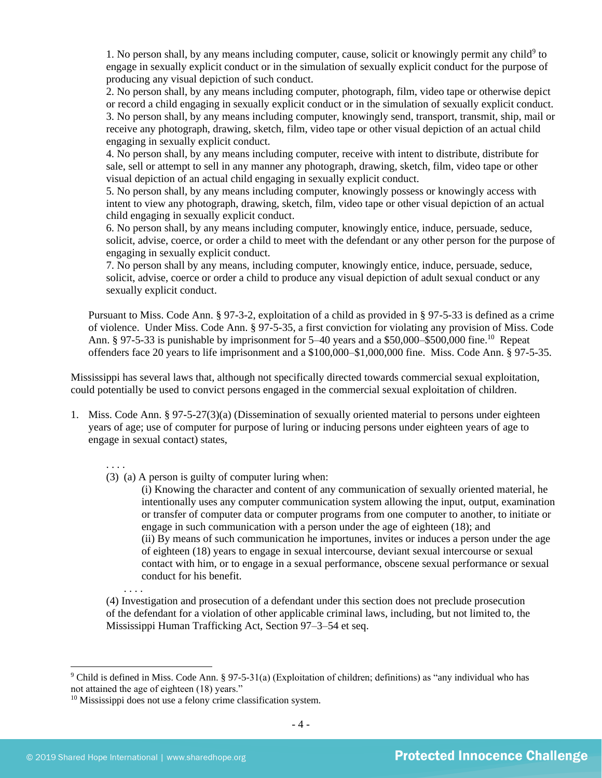1. No person shall, by any means including computer, cause, solicit or knowingly permit any child<sup>9</sup> to engage in sexually explicit conduct or in the simulation of sexually explicit conduct for the purpose of producing any visual depiction of such conduct.

2. No person shall, by any means including computer, photograph, film, video tape or otherwise depict or record a child engaging in sexually explicit conduct or in the simulation of sexually explicit conduct. 3. No person shall, by any means including computer, knowingly send, transport, transmit, ship, mail or receive any photograph, drawing, sketch, film, video tape or other visual depiction of an actual child engaging in sexually explicit conduct.

4. No person shall, by any means including computer, receive with intent to distribute, distribute for sale, sell or attempt to sell in any manner any photograph, drawing, sketch, film, video tape or other visual depiction of an actual child engaging in sexually explicit conduct.

5. No person shall, by any means including computer, knowingly possess or knowingly access with intent to view any photograph, drawing, sketch, film, video tape or other visual depiction of an actual child engaging in sexually explicit conduct.

6. No person shall, by any means including computer, knowingly entice, induce, persuade, seduce, solicit, advise, coerce, or order a child to meet with the defendant or any other person for the purpose of engaging in sexually explicit conduct.

7. No person shall by any means, including computer, knowingly entice, induce, persuade, seduce, solicit, advise, coerce or order a child to produce any visual depiction of adult sexual conduct or any sexually explicit conduct.

Pursuant to Miss. Code Ann. § 97-3-2, exploitation of a child as provided in § 97-5-33 is defined as a crime of violence. Under Miss. Code Ann. § 97-5-35, a first conviction for violating any provision of Miss. Code Ann. § 97-5-33 is punishable by imprisonment for  $5-40$  years and a \$50,000–\$500,000 fine.<sup>10</sup> Repeat offenders face 20 years to life imprisonment and a \$100,000–\$1,000,000 fine. Miss. Code Ann. § 97-5-35.

Mississippi has several laws that, although not specifically directed towards commercial sexual exploitation, could potentially be used to convict persons engaged in the commercial sexual exploitation of children.

- 1. Miss. Code Ann. § 97-5-27(3)(a) (Dissemination of sexually oriented material to persons under eighteen years of age; use of computer for purpose of luring or inducing persons under eighteen years of age to engage in sexual contact) states,
	- . . . .
	- (3) (a) A person is guilty of computer luring when:

(i) Knowing the character and content of any communication of sexually oriented material, he intentionally uses any computer communication system allowing the input, output, examination or transfer of computer data or computer programs from one computer to another, to initiate or engage in such communication with a person under the age of eighteen (18); and (ii) By means of such communication he importunes, invites or induces a person under the age of eighteen (18) years to engage in sexual intercourse, deviant sexual intercourse or sexual contact with him, or to engage in a sexual performance, obscene sexual performance or sexual conduct for his benefit.

(4) Investigation and prosecution of a defendant under this section does not preclude prosecution of the defendant for a violation of other applicable criminal laws, including, but not limited to, the Mississippi Human Trafficking Act, Section 97–3–54 et seq.

. . . .

<sup>9</sup> Child is defined in Miss. Code Ann. § 97-5-31(a) (Exploitation of children; definitions) as "any individual who has not attained the age of eighteen (18) years."

<sup>10</sup> Mississippi does not use a felony crime classification system*.*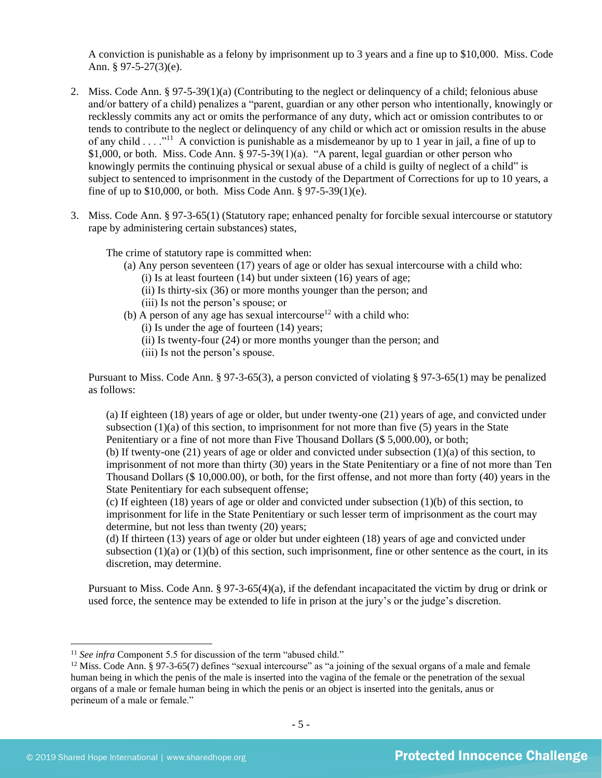A conviction is punishable as a felony by imprisonment up to 3 years and a fine up to \$10,000. Miss. Code Ann. § 97-5-27(3)(e).

- 2. Miss. Code Ann. § 97-5-39(1)(a) (Contributing to the neglect or delinquency of a child; felonious abuse and/or battery of a child) penalizes a "parent, guardian or any other person who intentionally, knowingly or recklessly commits any act or omits the performance of any duty, which act or omission contributes to or tends to contribute to the neglect or delinquency of any child or which act or omission results in the abuse of any child  $\dots$ <sup>11</sup> A conviction is punishable as a misdemeanor by up to 1 year in jail, a fine of up to \$1,000, or both. Miss. Code Ann. § 97-5-39(1)(a). "A parent, legal guardian or other person who knowingly permits the continuing physical or sexual abuse of a child is guilty of neglect of a child" is subject to sentenced to imprisonment in the custody of the Department of Corrections for up to 10 years, a fine of up to \$10,000, or both. Miss Code Ann. § 97-5-39(1)(e).
- 3. Miss. Code Ann. § 97-3-65(1) (Statutory rape; enhanced penalty for forcible sexual intercourse or statutory rape by administering certain substances) states,

The crime of statutory rape is committed when:

- (a) Any person seventeen (17) years of age or older has sexual intercourse with a child who:  $(i)$  Is at least fourteen  $(14)$  but under sixteen  $(16)$  years of age;
	- (ii) Is thirty-six (36) or more months younger than the person; and
	- (iii) Is not the person's spouse; or
- (b) A person of any age has sexual intercourse<sup>12</sup> with a child who: (i) Is under the age of fourteen (14) years;
	- (ii) Is twenty-four (24) or more months younger than the person; and
	- (iii) Is not the person's spouse.

Pursuant to Miss. Code Ann. § 97-3-65(3), a person convicted of violating § 97-3-65(1) may be penalized as follows:

(a) If eighteen (18) years of age or older, but under twenty-one (21) years of age, and convicted under subsection  $(1)(a)$  of this section, to imprisonment for not more than five (5) years in the State Penitentiary or a fine of not more than Five Thousand Dollars (\$ 5,000.00), or both; (b) If twenty-one (21) years of age or older and convicted under subsection (1)(a) of this section, to imprisonment of not more than thirty (30) years in the State Penitentiary or a fine of not more than Ten Thousand Dollars (\$ 10,000.00), or both, for the first offense, and not more than forty (40) years in the

State Penitentiary for each subsequent offense;

(c) If eighteen (18) years of age or older and convicted under subsection (1)(b) of this section, to imprisonment for life in the State Penitentiary or such lesser term of imprisonment as the court may determine, but not less than twenty (20) years;

(d) If thirteen (13) years of age or older but under eighteen (18) years of age and convicted under subsection  $(1)(a)$  or  $(1)(b)$  of this section, such imprisonment, fine or other sentence as the court, in its discretion, may determine.

Pursuant to Miss. Code Ann. § 97-3-65(4)(a), if the defendant incapacitated the victim by drug or drink or used force, the sentence may be extended to life in prison at the jury's or the judge's discretion.

<sup>&</sup>lt;sup>11</sup> *See infra* Component 5.5 for discussion of the term "abused child."

<sup>&</sup>lt;sup>12</sup> Miss. Code Ann. § 97-3-65(7) defines "sexual intercourse" as "a joining of the sexual organs of a male and female human being in which the penis of the male is inserted into the vagina of the female or the penetration of the sexual organs of a male or female human being in which the penis or an object is inserted into the genitals, anus or perineum of a male or female."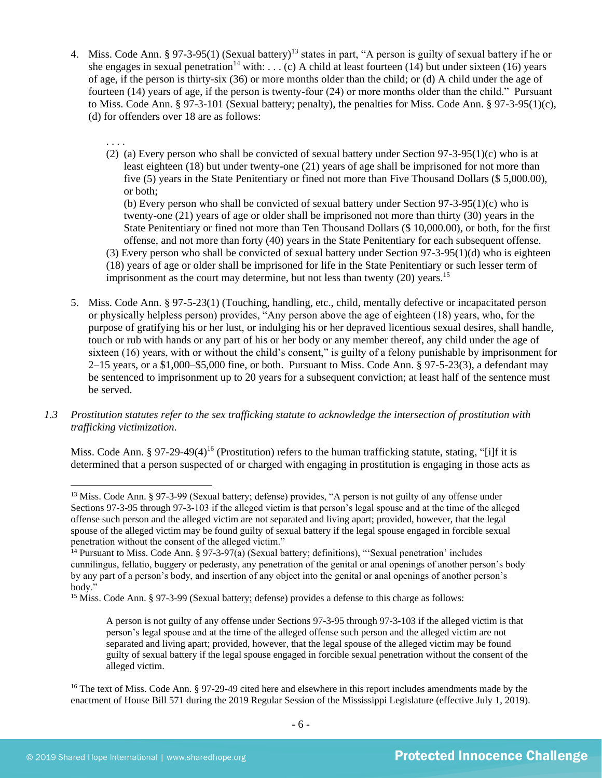- 4. Miss. Code Ann. § 97-3-95(1) (Sexual battery)<sup>13</sup> states in part, "A person is guilty of sexual battery if he or she engages in sexual penetration<sup>14</sup> with: . . . (c) A child at least fourteen (14) but under sixteen (16) years of age, if the person is thirty-six (36) or more months older than the child; or (d) A child under the age of fourteen (14) years of age, if the person is twenty-four (24) or more months older than the child." Pursuant to Miss. Code Ann. § 97-3-101 (Sexual battery; penalty), the penalties for Miss. Code Ann. § 97-3-95(1)(c), (d) for offenders over 18 are as follows:
	- . . . . (2) (a) Every person who shall be convicted of sexual battery under Section  $97-3-95(1)$ (c) who is at least eighteen (18) but under twenty-one (21) years of age shall be imprisoned for not more than five (5) years in the State Penitentiary or fined not more than Five Thousand Dollars (\$ 5,000.00), or both;

(b) Every person who shall be convicted of sexual battery under Section 97-3-95(1)(c) who is twenty-one (21) years of age or older shall be imprisoned not more than thirty (30) years in the State Penitentiary or fined not more than Ten Thousand Dollars (\$ 10,000.00), or both, for the first offense, and not more than forty (40) years in the State Penitentiary for each subsequent offense.

(3) Every person who shall be convicted of sexual battery under Section 97-3-95(1)(d) who is eighteen (18) years of age or older shall be imprisoned for life in the State Penitentiary or such lesser term of imprisonment as the court may determine, but not less than twenty  $(20)$  years.<sup>15</sup>

- 5. Miss. Code Ann. § 97-5-23(1) (Touching, handling, etc., child, mentally defective or incapacitated person or physically helpless person) provides, "Any person above the age of eighteen (18) years, who, for the purpose of gratifying his or her lust, or indulging his or her depraved licentious sexual desires, shall handle, touch or rub with hands or any part of his or her body or any member thereof, any child under the age of sixteen (16) years, with or without the child's consent," is guilty of a felony punishable by imprisonment for  $2-15$  years, or a \$1,000–\$5,000 fine, or both. Pursuant to Miss. Code Ann. § 97-5-23(3), a defendant may be sentenced to imprisonment up to 20 years for a subsequent conviction; at least half of the sentence must be served.
- *1.3 Prostitution statutes refer to the sex trafficking statute to acknowledge the intersection of prostitution with trafficking victimization.*

<span id="page-5-0"></span>Miss. Code Ann. § 97-29-49(4)<sup>16</sup> (Prostitution) refers to the human trafficking statute, stating, "[i]f it is determined that a person suspected of or charged with engaging in prostitution is engaging in those acts as

<sup>13</sup> Miss. Code Ann. § 97-3-99 (Sexual battery; defense) provides, "A person is not guilty of any offense under Sections 97-3-95 through 97-3-103 if the alleged victim is that person's legal spouse and at the time of the alleged offense such person and the alleged victim are not separated and living apart; provided, however, that the legal spouse of the alleged victim may be found guilty of sexual battery if the legal spouse engaged in forcible sexual penetration without the consent of the alleged victim."

 $14$  Pursuant to Miss. Code Ann. § 97-3-97(a) (Sexual battery; definitions), "Sexual penetration' includes cunnilingus, fellatio, buggery or pederasty, any penetration of the genital or anal openings of another person's body by any part of a person's body, and insertion of any object into the genital or anal openings of another person's body."

<sup>&</sup>lt;sup>15</sup> Miss. Code Ann. § 97-3-99 (Sexual battery; defense) provides a defense to this charge as follows:

A person is not guilty of any offense under Sections 97-3-95 through 97-3-103 if the alleged victim is that person's legal spouse and at the time of the alleged offense such person and the alleged victim are not separated and living apart; provided, however, that the legal spouse of the alleged victim may be found guilty of sexual battery if the legal spouse engaged in forcible sexual penetration without the consent of the alleged victim.

<sup>&</sup>lt;sup>16</sup> The text of Miss. Code Ann. § 97-29-49 cited here and elsewhere in this report includes amendments made by the enactment of House Bill 571 during the 2019 Regular Session of the Mississippi Legislature (effective July 1, 2019).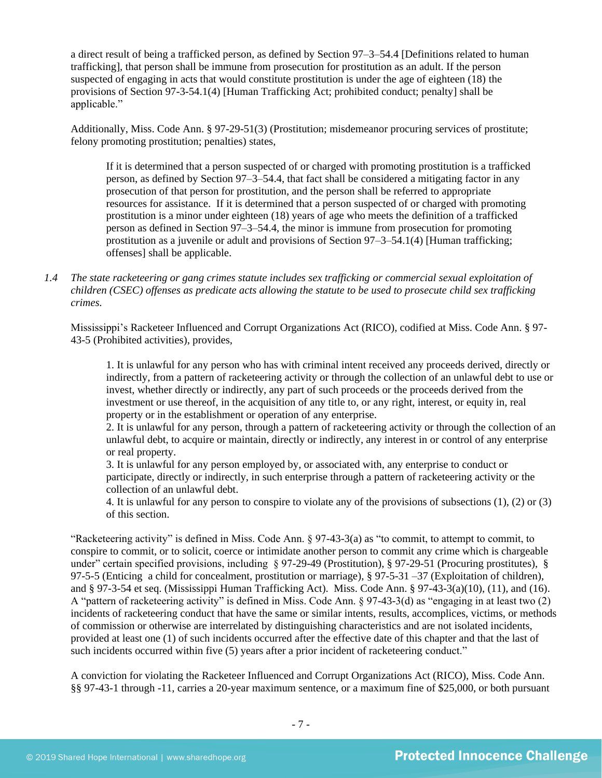a direct result of being a trafficked person, as defined by Section 97–3–54.4 [Definitions related to human trafficking], that person shall be immune from prosecution for prostitution as an adult. If the person suspected of engaging in acts that would constitute prostitution is under the age of eighteen (18) the provisions of Section 97-3-54.1(4) [Human Trafficking Act; prohibited conduct; penalty] shall be applicable."

Additionally, Miss. Code Ann. § 97-29-51(3) (Prostitution; misdemeanor procuring services of prostitute; felony promoting prostitution; penalties) states,

If it is determined that a person suspected of or charged with promoting prostitution is a trafficked person, as defined by Section 97–3–54.4, that fact shall be considered a mitigating factor in any prosecution of that person for prostitution, and the person shall be referred to appropriate resources for assistance. If it is determined that a person suspected of or charged with promoting prostitution is a minor under eighteen (18) years of age who meets the definition of a trafficked person as defined in Section 97–3–54.4, the minor is immune from prosecution for promoting prostitution as a juvenile or adult and provisions of Section 97–3–54.1(4) [Human trafficking; offenses] shall be applicable.

*1.4 The state racketeering or gang crimes statute includes sex trafficking or commercial sexual exploitation of children (CSEC) offenses as predicate acts allowing the statute to be used to prosecute child sex trafficking crimes.* 

Mississippi's Racketeer Influenced and Corrupt Organizations Act (RICO), codified at Miss. Code Ann. § 97- 43-5 (Prohibited activities), provides,

1. It is unlawful for any person who has with criminal intent received any proceeds derived, directly or indirectly, from a pattern of racketeering activity or through the collection of an unlawful debt to use or invest, whether directly or indirectly, any part of such proceeds or the proceeds derived from the investment or use thereof, in the acquisition of any title to, or any right, interest, or equity in, real property or in the establishment or operation of any enterprise.

2. It is unlawful for any person, through a pattern of racketeering activity or through the collection of an unlawful debt, to acquire or maintain, directly or indirectly, any interest in or control of any enterprise or real property.

3. It is unlawful for any person employed by, or associated with, any enterprise to conduct or participate, directly or indirectly, in such enterprise through a pattern of racketeering activity or the collection of an unlawful debt.

4. It is unlawful for any person to conspire to violate any of the provisions of subsections (1), (2) or (3) of this section.

"Racketeering activity" is defined in Miss. Code Ann. § 97-43-3(a) as "to commit, to attempt to commit, to conspire to commit, or to solicit, coerce or intimidate another person to commit any crime which is chargeable under" certain specified provisions, including § 97-29-49 (Prostitution), § 97-29-51 (Procuring prostitutes), § 97-5-5 (Enticing a child for concealment, prostitution or marriage), § 97-5-31 –37 (Exploitation of children), and § 97-3-54 et seq. (Mississippi Human Trafficking Act). Miss. Code Ann. § 97-43-3(a)(10), (11), and (16). A "pattern of racketeering activity" is defined in Miss. Code Ann. § 97-43-3(d) as "engaging in at least two (2) incidents of racketeering conduct that have the same or similar intents, results, accomplices, victims, or methods of commission or otherwise are interrelated by distinguishing characteristics and are not isolated incidents, provided at least one (1) of such incidents occurred after the effective date of this chapter and that the last of such incidents occurred within five (5) years after a prior incident of racketeering conduct."

A conviction for violating the Racketeer Influenced and Corrupt Organizations Act (RICO), Miss. Code Ann. §§ 97-43-1 through -11, carries a 20-year maximum sentence, or a maximum fine of \$25,000, or both pursuant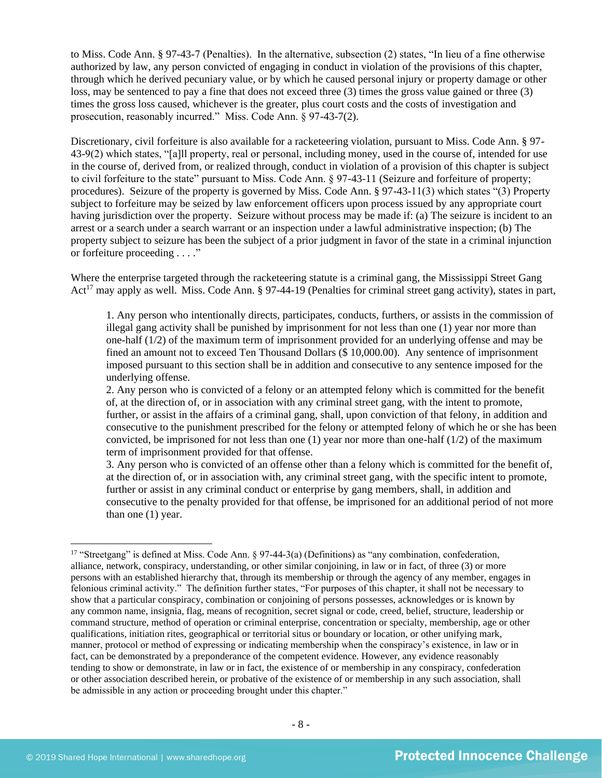to Miss. Code Ann. § 97-43-7 (Penalties). In the alternative, subsection (2) states, "In lieu of a fine otherwise authorized by law, any person convicted of engaging in conduct in violation of the provisions of this chapter, through which he derived pecuniary value, or by which he caused personal injury or property damage or other loss, may be sentenced to pay a fine that does not exceed three (3) times the gross value gained or three (3) times the gross loss caused, whichever is the greater, plus court costs and the costs of investigation and prosecution, reasonably incurred." Miss. Code Ann. § 97-43-7(2).

Discretionary, civil forfeiture is also available for a racketeering violation, pursuant to Miss. Code Ann. § 97- 43-9(2) which states, "[a]ll property, real or personal, including money, used in the course of, intended for use in the course of, derived from, or realized through, conduct in violation of a provision of this chapter is subject to civil forfeiture to the state" pursuant to Miss. Code Ann. § 97-43-11 (Seizure and forfeiture of property; procedures). Seizure of the property is governed by Miss. Code Ann. § 97-43-11(3) which states "(3) Property subject to forfeiture may be seized by law enforcement officers upon process issued by any appropriate court having jurisdiction over the property. Seizure without process may be made if: (a) The seizure is incident to an arrest or a search under a search warrant or an inspection under a lawful administrative inspection; (b) The property subject to seizure has been the subject of a prior judgment in favor of the state in a criminal injunction or forfeiture proceeding . . . ."

Where the enterprise targeted through the racketeering statute is a criminal gang, the Mississippi Street Gang Act<sup>17</sup> may apply as well. Miss. Code Ann. § 97-44-19 (Penalties for criminal street gang activity), states in part,

1. Any person who intentionally directs, participates, conducts, furthers, or assists in the commission of illegal gang activity shall be punished by imprisonment for not less than one (1) year nor more than one-half (1/2) of the maximum term of imprisonment provided for an underlying offense and may be fined an amount not to exceed Ten Thousand Dollars (\$ 10,000.00). Any sentence of imprisonment imposed pursuant to this section shall be in addition and consecutive to any sentence imposed for the underlying offense.

2. Any person who is convicted of a felony or an attempted felony which is committed for the benefit of, at the direction of, or in association with any criminal street gang, with the intent to promote, further, or assist in the affairs of a criminal gang, shall, upon conviction of that felony, in addition and consecutive to the punishment prescribed for the felony or attempted felony of which he or she has been convicted, be imprisoned for not less than one (1) year nor more than one-half (1/2) of the maximum term of imprisonment provided for that offense.

3. Any person who is convicted of an offense other than a felony which is committed for the benefit of, at the direction of, or in association with, any criminal street gang, with the specific intent to promote, further or assist in any criminal conduct or enterprise by gang members, shall, in addition and consecutive to the penalty provided for that offense, be imprisoned for an additional period of not more than one (1) year.

<sup>&</sup>lt;sup>17</sup> "Streetgang" is defined at Miss. Code Ann. § 97-44-3(a) (Definitions) as "any combination, confederation, alliance, network, conspiracy, understanding, or other similar conjoining, in law or in fact, of three (3) or more persons with an established hierarchy that, through its membership or through the agency of any member, engages in felonious criminal activity." The definition further states, "For purposes of this chapter, it shall not be necessary to show that a particular conspiracy, combination or conjoining of persons possesses, acknowledges or is known by any common name, insignia, flag, means of recognition, secret signal or code, creed, belief, structure, leadership or command structure, method of operation or criminal enterprise, concentration or specialty, membership, age or other qualifications, initiation rites, geographical or territorial situs or boundary or location, or other unifying mark, manner, protocol or method of expressing or indicating membership when the conspiracy's existence, in law or in fact, can be demonstrated by a preponderance of the competent evidence. However, any evidence reasonably tending to show or demonstrate, in law or in fact, the existence of or membership in any conspiracy, confederation or other association described herein, or probative of the existence of or membership in any such association, shall be admissible in any action or proceeding brought under this chapter."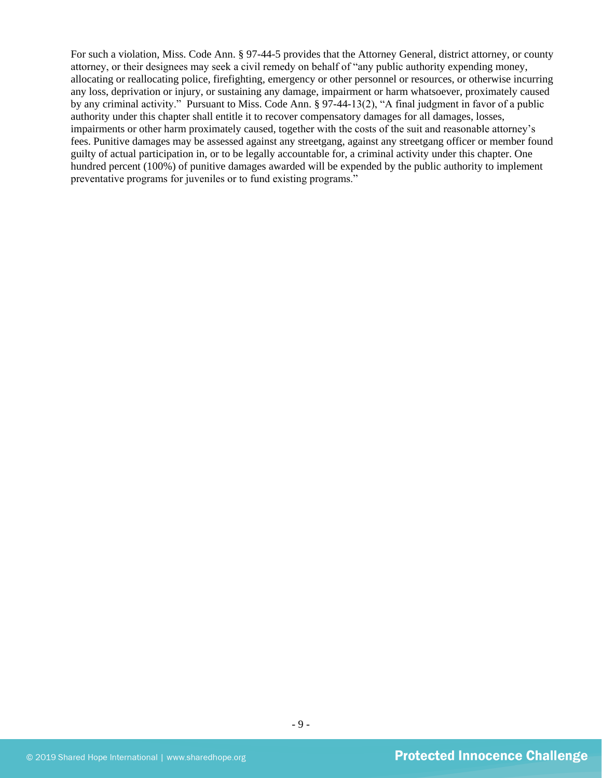For such a violation, Miss. Code Ann. § 97-44-5 provides that the Attorney General, district attorney, or county attorney, or their designees may seek a civil remedy on behalf of "any public authority expending money, allocating or reallocating police, firefighting, emergency or other personnel or resources, or otherwise incurring any loss, deprivation or injury, or sustaining any damage, impairment or harm whatsoever, proximately caused by any criminal activity." Pursuant to Miss. Code Ann. § 97-44-13(2), "A final judgment in favor of a public authority under this chapter shall entitle it to recover compensatory damages for all damages, losses, impairments or other harm proximately caused, together with the costs of the suit and reasonable attorney's fees. Punitive damages may be assessed against any streetgang, against any streetgang officer or member found guilty of actual participation in, or to be legally accountable for, a criminal activity under this chapter. One hundred percent (100%) of punitive damages awarded will be expended by the public authority to implement preventative programs for juveniles or to fund existing programs."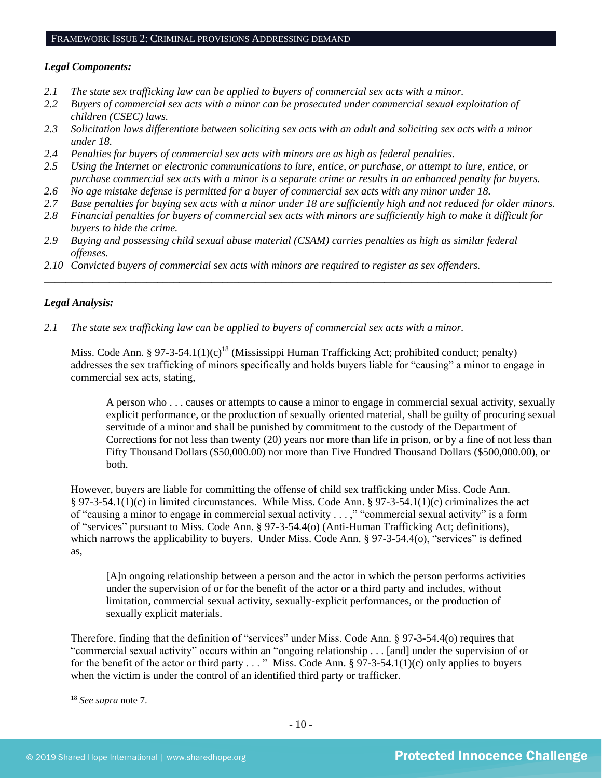## FRAMEWORK ISSUE 2: CRIMINAL PROVISIONS ADDRESSING DEMAND

#### *Legal Components:*

- *2.1 The state sex trafficking law can be applied to buyers of commercial sex acts with a minor.*
- *2.2 Buyers of commercial sex acts with a minor can be prosecuted under commercial sexual exploitation of children (CSEC) laws.*
- *2.3 Solicitation laws differentiate between soliciting sex acts with an adult and soliciting sex acts with a minor under 18.*
- *2.4 Penalties for buyers of commercial sex acts with minors are as high as federal penalties.*
- *2.5 Using the Internet or electronic communications to lure, entice, or purchase, or attempt to lure, entice, or purchase commercial sex acts with a minor is a separate crime or results in an enhanced penalty for buyers.*
- *2.6 No age mistake defense is permitted for a buyer of commercial sex acts with any minor under 18.*
- *2.7 Base penalties for buying sex acts with a minor under 18 are sufficiently high and not reduced for older minors.*
- *2.8 Financial penalties for buyers of commercial sex acts with minors are sufficiently high to make it difficult for buyers to hide the crime.*

\_\_\_\_\_\_\_\_\_\_\_\_\_\_\_\_\_\_\_\_\_\_\_\_\_\_\_\_\_\_\_\_\_\_\_\_\_\_\_\_\_\_\_\_\_\_\_\_\_\_\_\_\_\_\_\_\_\_\_\_\_\_\_\_\_\_\_\_\_\_\_\_\_\_\_\_\_\_\_\_\_\_\_\_\_\_\_\_\_\_\_\_\_\_

- *2.9 Buying and possessing child sexual abuse material (CSAM) carries penalties as high as similar federal offenses.*
- *2.10 Convicted buyers of commercial sex acts with minors are required to register as sex offenders.*

#### *Legal Analysis:*

*2.1 The state sex trafficking law can be applied to buyers of commercial sex acts with a minor.*

Miss. Code Ann. § 97-3-54.1(1)(c)<sup>18</sup> (Mississippi Human Trafficking Act; prohibited conduct; penalty) addresses the sex trafficking of minors specifically and holds buyers liable for "causing" a minor to engage in commercial sex acts, stating,

A person who . . . causes or attempts to cause a minor to engage in commercial sexual activity, sexually explicit performance, or the production of sexually oriented material, shall be guilty of procuring sexual servitude of a minor and shall be punished by commitment to the custody of the Department of Corrections for not less than twenty (20) years nor more than life in prison, or by a fine of not less than Fifty Thousand Dollars (\$50,000.00) nor more than Five Hundred Thousand Dollars (\$500,000.00), or both.

However, buyers are liable for committing the offense of child sex trafficking under Miss. Code Ann. § 97-3-54.1(1)(c) in limited circumstances. While Miss. Code Ann. § 97-3-54.1(1)(c) criminalizes the act of "causing a minor to engage in commercial sexual activity . . . ," "commercial sexual activity" is a form of "services" pursuant to Miss. Code Ann. § 97-3-54.4(o) (Anti-Human Trafficking Act; definitions), which narrows the applicability to buyers. Under Miss. Code Ann. § 97-3-54.4(o), "services" is defined as,

[A]n ongoing relationship between a person and the actor in which the person performs activities under the supervision of or for the benefit of the actor or a third party and includes, without limitation, commercial sexual activity, sexually-explicit performances, or the production of sexually explicit materials.

Therefore, finding that the definition of "services" under Miss. Code Ann. § 97-3-54.4(o) requires that "commercial sexual activity" occurs within an "ongoing relationship . . . [and] under the supervision of or for the benefit of the actor or third party . . . " Miss. Code Ann. § 97-3-54.1(1)(c) only applies to buyers when the victim is under the control of an identified third party or trafficker.

<sup>18</sup> *See supra* note [7.](#page-1-0)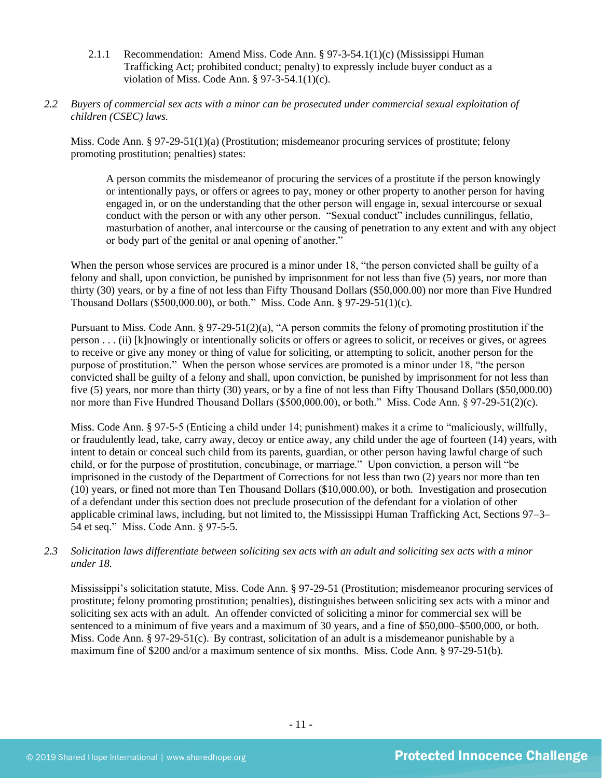- 2.1.1 Recommendation: Amend Miss. Code Ann. § 97-3-54.1(1)(c) (Mississippi Human Trafficking Act; prohibited conduct; penalty) to expressly include buyer conduct as a violation of Miss. Code Ann. § 97-3-54.1(1)(c).
- *2.2 Buyers of commercial sex acts with a minor can be prosecuted under commercial sexual exploitation of children (CSEC) laws.*

Miss. Code Ann. § 97-29-51(1)(a) (Prostitution; misdemeanor procuring services of prostitute; felony promoting prostitution; penalties) states:

A person commits the misdemeanor of procuring the services of a prostitute if the person knowingly or intentionally pays, or offers or agrees to pay, money or other property to another person for having engaged in, or on the understanding that the other person will engage in, sexual intercourse or sexual conduct with the person or with any other person. "Sexual conduct" includes cunnilingus, fellatio, masturbation of another, anal intercourse or the causing of penetration to any extent and with any object or body part of the genital or anal opening of another."

When the person whose services are procured is a minor under 18, "the person convicted shall be guilty of a felony and shall, upon conviction, be punished by imprisonment for not less than five (5) years, nor more than thirty (30) years, or by a fine of not less than Fifty Thousand Dollars (\$50,000.00) nor more than Five Hundred Thousand Dollars (\$500,000.00), or both." Miss. Code Ann. § 97-29-51(1)(c).

Pursuant to Miss. Code Ann. § 97-29-51(2)(a), "A person commits the felony of promoting prostitution if the person . . . (ii) [k]nowingly or intentionally solicits or offers or agrees to solicit, or receives or gives, or agrees to receive or give any money or thing of value for soliciting, or attempting to solicit, another person for the purpose of prostitution." When the person whose services are promoted is a minor under 18, "the person convicted shall be guilty of a felony and shall, upon conviction, be punished by imprisonment for not less than five (5) years, nor more than thirty (30) years, or by a fine of not less than Fifty Thousand Dollars (\$50,000.00) nor more than Five Hundred Thousand Dollars (\$500,000.00), or both." Miss. Code Ann. § 97-29-51(2)(c).

Miss. Code Ann. § 97-5-5 (Enticing a child under 14; punishment) makes it a crime to "maliciously, willfully, or fraudulently lead, take, carry away, decoy or entice away, any child under the age of fourteen (14) years, with intent to detain or conceal such child from its parents, guardian, or other person having lawful charge of such child, or for the purpose of prostitution, concubinage, or marriage." Upon conviction, a person will "be imprisoned in the custody of the Department of Corrections for not less than two (2) years nor more than ten (10) years, or fined not more than Ten Thousand Dollars (\$10,000.00), or both. Investigation and prosecution of a defendant under this section does not preclude prosecution of the defendant for a violation of other applicable criminal laws, including, but not limited to, the Mississippi Human Trafficking Act, Sections 97–3– 54 et seq." Miss. Code Ann. § 97-5-5.

#### *2.3 Solicitation laws differentiate between soliciting sex acts with an adult and soliciting sex acts with a minor under 18.*

Mississippi's solicitation statute, Miss. Code Ann. § 97-29-51 (Prostitution; misdemeanor procuring services of prostitute; felony promoting prostitution; penalties), distinguishes between soliciting sex acts with a minor and soliciting sex acts with an adult. An offender convicted of soliciting a minor for commercial sex will be sentenced to a minimum of five years and a maximum of 30 years, and a fine of \$50,000–\$500,000, or both. Miss. Code Ann. § 97-29-51(c). By contrast, solicitation of an adult is a misdemeanor punishable by a maximum fine of \$200 and/or a maximum sentence of six months. Miss. Code Ann. § 97-29-51(b).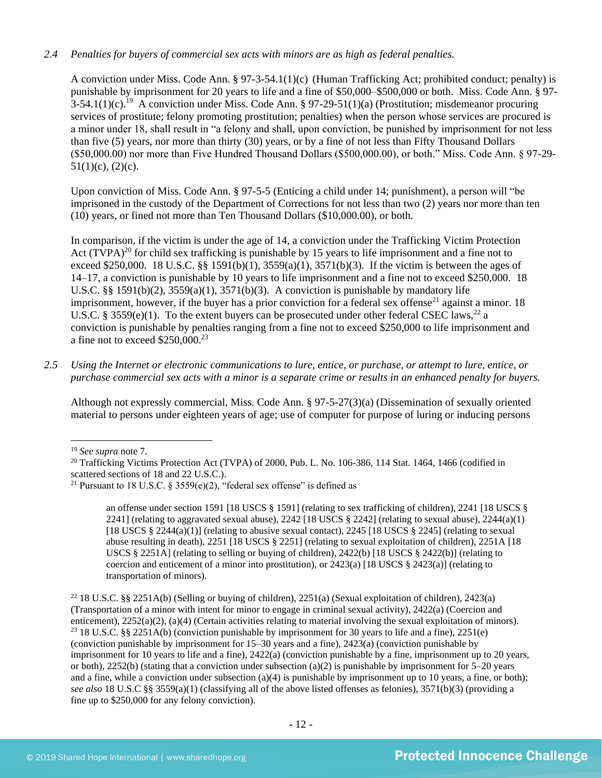## *2.4 Penalties for buyers of commercial sex acts with minors are as high as federal penalties.*

A conviction under Miss. Code Ann. § 97-3-54.1(1)(c) (Human Trafficking Act; prohibited conduct; penalty) is punishable by imprisonment for 20 years to life and a fine of \$50,000–\$500,000 or both. Miss. Code Ann. § 97-  $3-54.1(1)(c).$ <sup>19</sup> A conviction under Miss. Code Ann. § 97-29-51(1)(a) (Prostitution; misdemeanor procuring services of prostitute; felony promoting prostitution; penalties) when the person whose services are procured is a minor under 18, shall result in "a felony and shall, upon conviction, be punished by imprisonment for not less than five (5) years, nor more than thirty (30) years, or by a fine of not less than Fifty Thousand Dollars (\$50,000.00) nor more than Five Hundred Thousand Dollars (\$500,000.00), or both." Miss. Code Ann. § 97-29-  $51(1)(c)$ ,  $(2)(c)$ .

Upon conviction of Miss. Code Ann. § 97-5-5 (Enticing a child under 14; punishment), a person will "be imprisoned in the custody of the Department of Corrections for not less than two (2) years nor more than ten (10) years, or fined not more than Ten Thousand Dollars (\$10,000.00), or both.

<span id="page-11-0"></span>In comparison, if the victim is under the age of 14, a conviction under the Trafficking Victim Protection Act  $(TVPA)^{20}$  for child sex trafficking is punishable by 15 years to life imprisonment and a fine not to exceed \$250,000. 18 U.S.C. §§ 1591(b)(1),  $3559(a)(1)$ ,  $3571(b)(3)$ . If the victim is between the ages of 14–17, a conviction is punishable by 10 years to life imprisonment and a fine not to exceed \$250,000. 18 U.S.C. §§ 1591(b)(2),  $3559(a)(1)$ ,  $3571(b)(3)$ . A conviction is punishable by mandatory life imprisonment, however, if the buyer has a prior conviction for a federal sex offense<sup>21</sup> against a minor. 18 U.S.C. § 3559(e)(1). To the extent buyers can be prosecuted under other federal CSEC laws,<sup>22</sup> a conviction is punishable by penalties ranging from a fine not to exceed \$250,000 to life imprisonment and a fine not to exceed  $$250,000.<sup>23</sup>$ 

*2.5 Using the Internet or electronic communications to lure, entice, or purchase, or attempt to lure, entice, or purchase commercial sex acts with a minor is a separate crime or results in an enhanced penalty for buyers.*

Although not expressly commercial, Miss. Code Ann. § 97-5-27(3)(a) (Dissemination of sexually oriented material to persons under eighteen years of age; use of computer for purpose of luring or inducing persons

<sup>19</sup> *See supra* note [7.](#page-1-0)

an offense under section 1591 [18 USCS § 1591] (relating to sex trafficking of children), 2241 [18 USCS § 2241] (relating to aggravated sexual abuse), 2242 [18 USCS  $\S$  2242] (relating to sexual abuse), 2244(a)(1) [18 USCS  $\S 2244(a)(1)$ ] (relating to abusive sexual contact), 2245 [18 USCS  $\S 2245$ ] (relating to sexual abuse resulting in death), 2251 [18 USCS § 2251] (relating to sexual exploitation of children), 2251A [18 USCS  $\S$  2251A] (relating to selling or buying of children), 2422(b) [18 USCS  $\S$  2422(b)] (relating to coercion and enticement of a minor into prostitution), or  $2423(a)$  [18 USCS § 2423(a)] (relating to transportation of minors).

<sup>&</sup>lt;sup>20</sup> Trafficking Victims Protection Act (TVPA) of 2000, Pub. L. No. 106-386, 114 Stat. 1464, 1466 (codified in scattered sections of 18 and 22 U.S.C.).

<sup>&</sup>lt;sup>21</sup> Pursuant to 18 U.S.C. § 3559(e)(2), "federal sex offense" is defined as

<sup>&</sup>lt;sup>22</sup> 18 U.S.C. §§ 2251A(b) (Selling or buying of children), 2251(a) (Sexual exploitation of children), 2423(a) (Transportation of a minor with intent for minor to engage in criminal sexual activity), 2422(a) (Coercion and enticement), 2252(a)(2), (a)(4) (Certain activities relating to material involving the sexual exploitation of minors). <sup>23</sup> 18 U.S.C. §§ 2251A(b) (conviction punishable by imprisonment for 30 years to life and a fine), 2251(e) (conviction punishable by imprisonment for 15–30 years and a fine), 2423(a) (conviction punishable by imprisonment for 10 years to life and a fine), 2422(a) (conviction punishable by a fine, imprisonment up to 20 years, or both), 2252(b) (stating that a conviction under subsection (a)(2) is punishable by imprisonment for  $5-20$  years and a fine, while a conviction under subsection (a)(4) is punishable by imprisonment up to 10 years, a fine, or both); *see also* 18 U.S.C §§ 3559(a)(1) (classifying all of the above listed offenses as felonies), 3571(b)(3) (providing a fine up to \$250,000 for any felony conviction).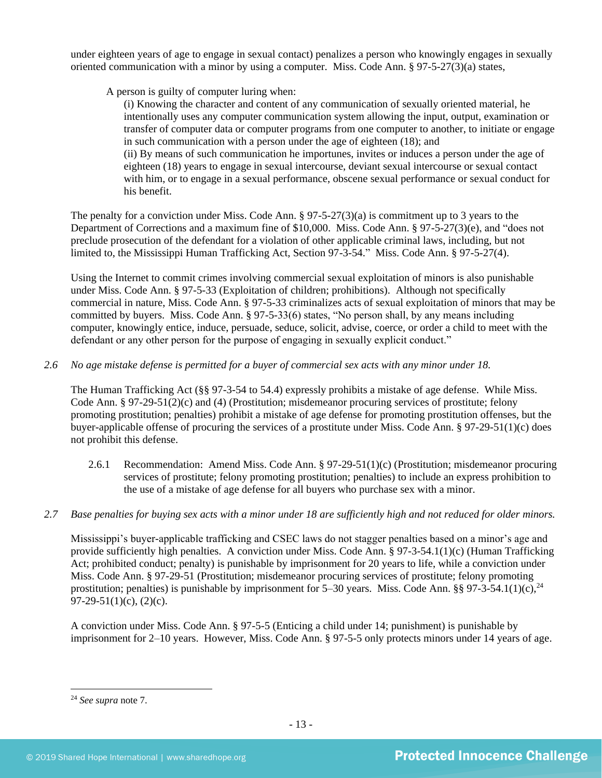under eighteen years of age to engage in sexual contact) penalizes a person who knowingly engages in sexually oriented communication with a minor by using a computer. Miss. Code Ann. § 97-5-27(3)(a) states,

A person is guilty of computer luring when:

(i) Knowing the character and content of any communication of sexually oriented material, he intentionally uses any computer communication system allowing the input, output, examination or transfer of computer data or computer programs from one computer to another, to initiate or engage in such communication with a person under the age of eighteen (18); and (ii) By means of such communication he importunes, invites or induces a person under the age of eighteen (18) years to engage in sexual intercourse, deviant sexual intercourse or sexual contact with him, or to engage in a sexual performance, obscene sexual performance or sexual conduct for his benefit.

The penalty for a conviction under Miss. Code Ann. § 97-5-27(3)(a) is commitment up to 3 years to the Department of Corrections and a maximum fine of \$10,000. Miss. Code Ann. § 97-5-27(3)(e), and "does not preclude prosecution of the defendant for a violation of other applicable criminal laws, including, but not limited to, the Mississippi Human Trafficking Act, Section 97-3-54." Miss. Code Ann. § 97-5-27(4).

Using the Internet to commit crimes involving commercial sexual exploitation of minors is also punishable under Miss. Code Ann. § 97-5-33 (Exploitation of children; prohibitions). Although not specifically commercial in nature, Miss. Code Ann. § 97-5-33 criminalizes acts of sexual exploitation of minors that may be committed by buyers. Miss. Code Ann. § 97-5-33(6) states, "No person shall, by any means including computer, knowingly entice, induce, persuade, seduce, solicit, advise, coerce, or order a child to meet with the defendant or any other person for the purpose of engaging in sexually explicit conduct."

*2.6 No age mistake defense is permitted for a buyer of commercial sex acts with any minor under 18.*

The Human Trafficking Act (§§ 97-3-54 to 54.4) expressly prohibits a mistake of age defense. While Miss. Code Ann. § 97-29-51(2)(c) and (4) (Prostitution; misdemeanor procuring services of prostitute; felony promoting prostitution; penalties) prohibit a mistake of age defense for promoting prostitution offenses, but the buyer-applicable offense of procuring the services of a prostitute under Miss. Code Ann. § 97-29-51(1)(c) does not prohibit this defense.

2.6.1 Recommendation: Amend Miss. Code Ann. § 97-29-51(1)(c) (Prostitution; misdemeanor procuring services of prostitute; felony promoting prostitution; penalties) to include an express prohibition to the use of a mistake of age defense for all buyers who purchase sex with a minor.

## *2.7 Base penalties for buying sex acts with a minor under 18 are sufficiently high and not reduced for older minors.*

Mississippi's buyer-applicable trafficking and CSEC laws do not stagger penalties based on a minor's age and provide sufficiently high penalties. A conviction under Miss. Code Ann. § 97-3-54.1(1)(c) (Human Trafficking Act; prohibited conduct; penalty) is punishable by imprisonment for 20 years to life, while a conviction under Miss. Code Ann. § 97-29-51 (Prostitution; misdemeanor procuring services of prostitute; felony promoting prostitution; penalties) is punishable by imprisonment for  $5-30$  years. Miss. Code Ann. §§ 97-3-54.1(1)(c),<sup>24</sup> 97-29-51(1)(c), (2)(c).

A conviction under Miss. Code Ann. § 97-5-5 (Enticing a child under 14; punishment) is punishable by imprisonment for 2–10 years. However, Miss. Code Ann. § 97-5-5 only protects minors under 14 years of age.

<sup>24</sup> *See supra* note [7.](#page-1-0)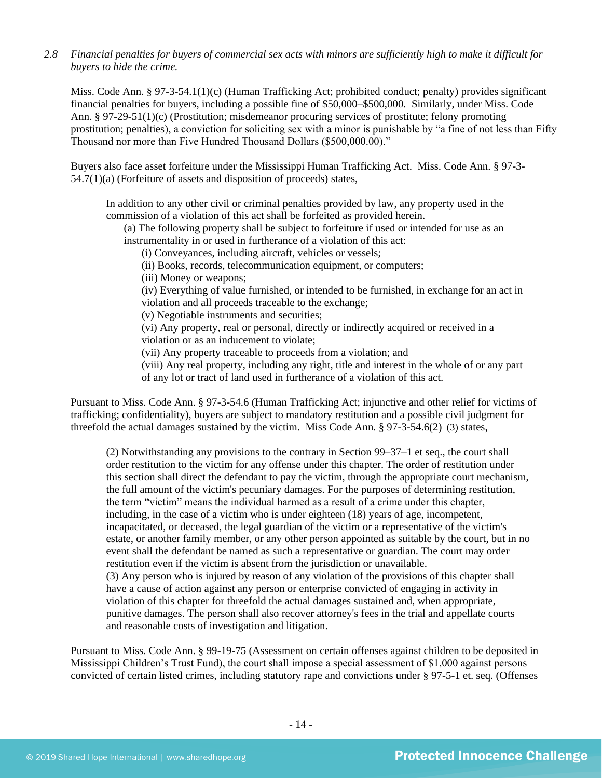#### *2.8 Financial penalties for buyers of commercial sex acts with minors are sufficiently high to make it difficult for buyers to hide the crime.*

Miss. Code Ann. § 97-3-54.1(1)(c) (Human Trafficking Act; prohibited conduct; penalty) provides significant financial penalties for buyers, including a possible fine of \$50,000–\$500,000. Similarly, under Miss. Code Ann. § 97-29-51(1)(c) (Prostitution; misdemeanor procuring services of prostitute; felony promoting prostitution; penalties), a conviction for soliciting sex with a minor is punishable by "a fine of not less than Fifty Thousand nor more than Five Hundred Thousand Dollars (\$500,000.00)."

Buyers also face asset forfeiture under the Mississippi Human Trafficking Act. Miss. Code Ann. § 97-3- 54.7(1)(a) (Forfeiture of assets and disposition of proceeds) states,

In addition to any other civil or criminal penalties provided by law, any property used in the commission of a violation of this act shall be forfeited as provided herein.

(a) The following property shall be subject to forfeiture if used or intended for use as an instrumentality in or used in furtherance of a violation of this act:

(i) Conveyances, including aircraft, vehicles or vessels;

(ii) Books, records, telecommunication equipment, or computers;

(iii) Money or weapons;

(iv) Everything of value furnished, or intended to be furnished, in exchange for an act in violation and all proceeds traceable to the exchange;

(v) Negotiable instruments and securities;

(vi) Any property, real or personal, directly or indirectly acquired or received in a violation or as an inducement to violate;

(vii) Any property traceable to proceeds from a violation; and

(viii) Any real property, including any right, title and interest in the whole of or any part of any lot or tract of land used in furtherance of a violation of this act.

Pursuant to Miss. Code Ann. § 97-3-54.6 (Human Trafficking Act; injunctive and other relief for victims of trafficking; confidentiality), buyers are subject to mandatory restitution and a possible civil judgment for threefold the actual damages sustained by the victim. Miss Code Ann. § 97-3-54.6(2)–(3) states,

(2) Notwithstanding any provisions to the contrary in Section 99–37–1 et seq., the court shall order restitution to the victim for any offense under this chapter. The order of restitution under this section shall direct the defendant to pay the victim, through the appropriate court mechanism, the full amount of the victim's pecuniary damages. For the purposes of determining restitution, the term "victim" means the individual harmed as a result of a crime under this chapter, including, in the case of a victim who is under eighteen (18) years of age, incompetent, incapacitated, or deceased, the legal guardian of the victim or a representative of the victim's estate, or another family member, or any other person appointed as suitable by the court, but in no event shall the defendant be named as such a representative or guardian. The court may order restitution even if the victim is absent from the jurisdiction or unavailable. (3) Any person who is injured by reason of any violation of the provisions of this chapter shall have a cause of action against any person or enterprise convicted of engaging in activity in violation of this chapter for threefold the actual damages sustained and, when appropriate, punitive damages. The person shall also recover attorney's fees in the trial and appellate courts and reasonable costs of investigation and litigation.

Pursuant to Miss. Code Ann. § 99-19-75 (Assessment on certain offenses against children to be deposited in Mississippi Children's Trust Fund), the court shall impose a special assessment of \$1,000 against persons convicted of certain listed crimes, including statutory rape and convictions under § 97-5-1 et. seq. (Offenses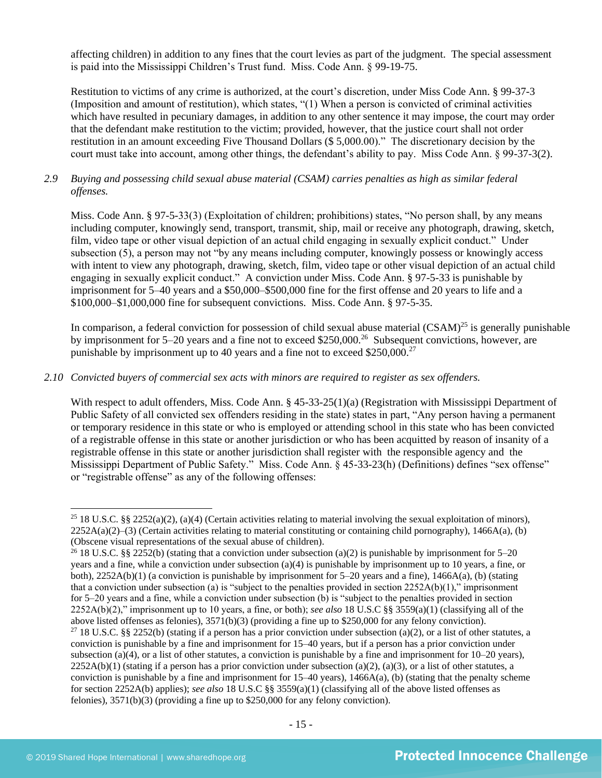affecting children) in addition to any fines that the court levies as part of the judgment. The special assessment is paid into the Mississippi Children's Trust fund. Miss. Code Ann. § 99-19-75.

Restitution to victims of any crime is authorized, at the court's discretion, under Miss Code Ann. § 99-37-3 (Imposition and amount of restitution), which states, "(1) When a person is convicted of criminal activities which have resulted in pecuniary damages, in addition to any other sentence it may impose, the court may order that the defendant make restitution to the victim; provided, however, that the justice court shall not order restitution in an amount exceeding Five Thousand Dollars (\$ 5,000.00)." The discretionary decision by the court must take into account, among other things, the defendant's ability to pay. Miss Code Ann. § 99-37-3(2).

## *2.9 Buying and possessing child sexual abuse material (CSAM) carries penalties as high as similar federal offenses.*

Miss. Code Ann. § 97-5-33(3) (Exploitation of children; prohibitions) states, "No person shall, by any means including computer, knowingly send, transport, transmit, ship, mail or receive any photograph, drawing, sketch, film, video tape or other visual depiction of an actual child engaging in sexually explicit conduct." Under subsection (5), a person may not "by any means including computer, knowingly possess or knowingly access with intent to view any photograph, drawing, sketch, film, video tape or other visual depiction of an actual child engaging in sexually explicit conduct." A conviction under Miss. Code Ann. § 97-5-33 is punishable by imprisonment for 5–40 years and a \$50,000–\$500,000 fine for the first offense and 20 years to life and a \$100,000–\$1,000,000 fine for subsequent convictions. Miss. Code Ann. § 97-5-35.

In comparison, a federal conviction for possession of child sexual abuse material  $(CSAM)^{25}$  is generally punishable by imprisonment for 5–20 years and a fine not to exceed \$250,000.<sup>26</sup> Subsequent convictions, however, are punishable by imprisonment up to 40 years and a fine not to exceed \$250,000.<sup>27</sup>

#### *2.10 Convicted buyers of commercial sex acts with minors are required to register as sex offenders.*

With respect to adult offenders, Miss. Code Ann. § 45-33-25(1)(a) (Registration with Mississippi Department of Public Safety of all convicted sex offenders residing in the state) states in part, "Any person having a permanent or temporary residence in this state or who is employed or attending school in this state who has been convicted of a registrable offense in this state or another jurisdiction or who has been acquitted by reason of insanity of a registrable offense in this state or another jurisdiction shall register with the responsible agency and the Mississippi Department of Public Safety." Miss. Code Ann. § 45-33-23(h) (Definitions) defines "sex offense" or "registrable offense" as any of the following offenses:

<sup>&</sup>lt;sup>25</sup> 18 U.S.C. §§ 2252(a)(2), (a)(4) (Certain activities relating to material involving the sexual exploitation of minors),  $2252A(a)(2)$ –(3) (Certain activities relating to material constituting or containing child pornography), 1466A(a), (b) (Obscene visual representations of the sexual abuse of children).

<sup>&</sup>lt;sup>26</sup> 18 U.S.C. §§ 2252(b) (stating that a conviction under subsection (a)(2) is punishable by imprisonment for 5–20 years and a fine, while a conviction under subsection (a)(4) is punishable by imprisonment up to 10 years, a fine, or both), 2252A(b)(1) (a conviction is punishable by imprisonment for 5–20 years and a fine), 1466A(a), (b) (stating that a conviction under subsection (a) is "subject to the penalties provided in section  $2252A(b)(1)$ ," imprisonment for 5–20 years and a fine, while a conviction under subsection (b) is "subject to the penalties provided in section 2252A(b)(2)," imprisonment up to 10 years, a fine, or both); *see also* 18 U.S.C §§ 3559(a)(1) (classifying all of the above listed offenses as felonies), 3571(b)(3) (providing a fine up to \$250,000 for any felony conviction).

<sup>&</sup>lt;sup>27</sup> 18 U.S.C. §§ 2252(b) (stating if a person has a prior conviction under subsection (a)(2), or a list of other statutes, a conviction is punishable by a fine and imprisonment for 15–40 years, but if a person has a prior conviction under subsection (a)(4), or a list of other statutes, a conviction is punishable by a fine and imprisonment for  $10-20$  years),  $2252A(b)(1)$  (stating if a person has a prior conviction under subsection (a)(2), (a)(3), or a list of other statutes, a conviction is punishable by a fine and imprisonment for  $15-40$  years),  $1466A(a)$ , (b) (stating that the penalty scheme for section 2252A(b) applies); *see also* 18 U.S.C §§ 3559(a)(1) (classifying all of the above listed offenses as felonies), 3571(b)(3) (providing a fine up to \$250,000 for any felony conviction).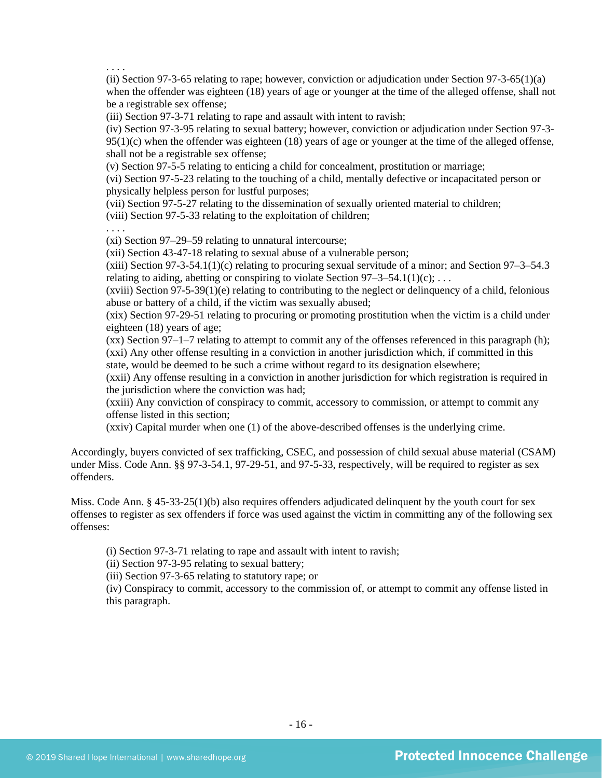. . . .

(ii) Section 97-3-65 relating to rape; however, conviction or adjudication under Section 97-3-65(1)(a) when the offender was eighteen (18) years of age or younger at the time of the alleged offense, shall not be a registrable sex offense;

(iii) Section 97-3-71 relating to rape and assault with intent to ravish;

(iv) Section 97-3-95 relating to sexual battery; however, conviction or adjudication under Section 97-3-  $95(1)(c)$  when the offender was eighteen (18) years of age or younger at the time of the alleged offense, shall not be a registrable sex offense;

(v) Section 97-5-5 relating to enticing a child for concealment, prostitution or marriage;

(vi) Section 97-5-23 relating to the touching of a child, mentally defective or incapacitated person or physically helpless person for lustful purposes;

(vii) Section 97-5-27 relating to the dissemination of sexually oriented material to children;

(viii) Section 97-5-33 relating to the exploitation of children;

. . . .

(xi) Section 97–29–59 relating to unnatural intercourse;

(xii) Section 43-47-18 relating to sexual abuse of a vulnerable person;

 $(xiii)$  Section 97-3-54.1(1)(c) relating to procuring sexual servitude of a minor; and Section 97-3-54.3 relating to aiding, abetting or conspiring to violate Section  $97-3-54.1(1)(c)$ ; ...

 $(xviii)$  Section 97-5-39(1)(e) relating to contributing to the neglect or delinquency of a child, felonious abuse or battery of a child, if the victim was sexually abused;

(xix) Section 97-29-51 relating to procuring or promoting prostitution when the victim is a child under eighteen (18) years of age;

(xx) Section 97–1–7 relating to attempt to commit any of the offenses referenced in this paragraph (h); (xxi) Any other offense resulting in a conviction in another jurisdiction which, if committed in this

state, would be deemed to be such a crime without regard to its designation elsewhere;

(xxii) Any offense resulting in a conviction in another jurisdiction for which registration is required in the jurisdiction where the conviction was had;

(xxiii) Any conviction of conspiracy to commit, accessory to commission, or attempt to commit any offense listed in this section;

(xxiv) Capital murder when one (1) of the above-described offenses is the underlying crime.

Accordingly, buyers convicted of sex trafficking, CSEC, and possession of child sexual abuse material (CSAM) under Miss. Code Ann. §§ 97-3-54.1, 97-29-51, and 97-5-33, respectively, will be required to register as sex offenders.

Miss. Code Ann. § 45-33-25(1)(b) also requires offenders adjudicated delinquent by the youth court for sex offenses to register as sex offenders if force was used against the victim in committing any of the following sex offenses:

(i) Section 97-3-71 relating to rape and assault with intent to ravish;

(ii) Section 97-3-95 relating to sexual battery;

(iii) Section 97-3-65 relating to statutory rape; or

(iv) Conspiracy to commit, accessory to the commission of, or attempt to commit any offense listed in this paragraph.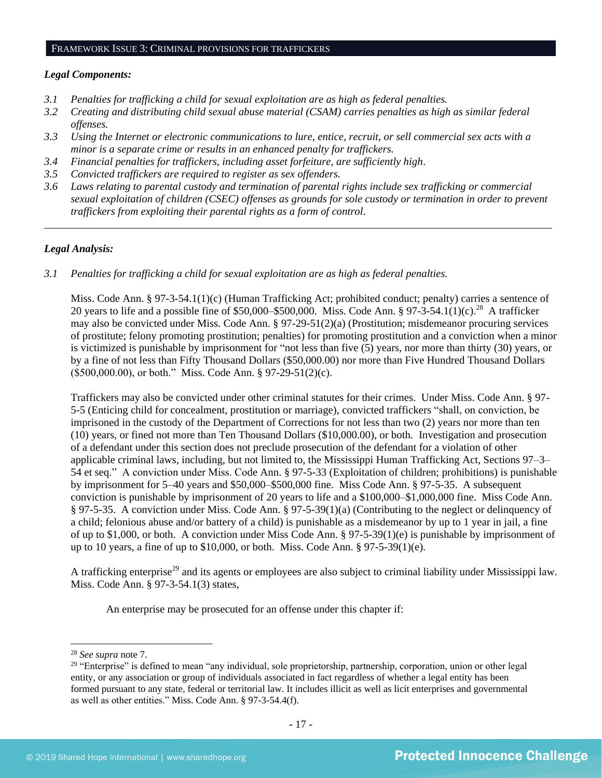#### FRAMEWORK ISSUE 3: CRIMINAL PROVISIONS FOR TRAFFICKERS

#### *Legal Components:*

- *3.1 Penalties for trafficking a child for sexual exploitation are as high as federal penalties.*
- *3.2 Creating and distributing child sexual abuse material (CSAM) carries penalties as high as similar federal offenses.*
- *3.3 Using the Internet or electronic communications to lure, entice, recruit, or sell commercial sex acts with a minor is a separate crime or results in an enhanced penalty for traffickers.*
- *3.4 Financial penalties for traffickers, including asset forfeiture, are sufficiently high*.
- *3.5 Convicted traffickers are required to register as sex offenders.*
- *3.6 Laws relating to parental custody and termination of parental rights include sex trafficking or commercial sexual exploitation of children (CSEC) offenses as grounds for sole custody or termination in order to prevent traffickers from exploiting their parental rights as a form of control.*

*\_\_\_\_\_\_\_\_\_\_\_\_\_\_\_\_\_\_\_\_\_\_\_\_\_\_\_\_\_\_\_\_\_\_\_\_\_\_\_\_\_\_\_\_\_\_\_\_\_\_\_\_\_\_\_\_\_\_\_\_\_\_\_\_\_\_\_\_\_\_\_\_\_\_\_\_\_\_\_\_\_\_\_\_\_\_\_\_\_\_\_\_\_\_*

## *Legal Analysis:*

*3.1 Penalties for trafficking a child for sexual exploitation are as high as federal penalties.* 

Miss. Code Ann. § 97-3-54.1(1)(c) (Human Trafficking Act; prohibited conduct; penalty) carries a sentence of 20 years to life and a possible fine of \$50,000–\$500,000. Miss. Code Ann. § 97-3-54.1(1)(c).<sup>28</sup> A trafficker may also be convicted under Miss. Code Ann. § 97-29-51(2)(a) (Prostitution; misdemeanor procuring services of prostitute; felony promoting prostitution; penalties) for promoting prostitution and a conviction when a minor is victimized is punishable by imprisonment for "not less than five (5) years, nor more than thirty (30) years, or by a fine of not less than Fifty Thousand Dollars (\$50,000.00) nor more than Five Hundred Thousand Dollars (\$500,000.00), or both." Miss. Code Ann. § 97-29-51(2)(c).

Traffickers may also be convicted under other criminal statutes for their crimes. Under Miss. Code Ann. § 97- 5-5 (Enticing child for concealment, prostitution or marriage), convicted traffickers "shall, on conviction, be imprisoned in the custody of the Department of Corrections for not less than two (2) years nor more than ten (10) years, or fined not more than Ten Thousand Dollars (\$10,000.00), or both. Investigation and prosecution of a defendant under this section does not preclude prosecution of the defendant for a violation of other applicable criminal laws, including, but not limited to, the Mississippi Human Trafficking Act, Sections 97–3– 54 et seq." A conviction under Miss. Code Ann. § 97-5-33 (Exploitation of children; prohibitions) is punishable by imprisonment for 5–40 years and \$50,000–\$500,000 fine. Miss Code Ann. § 97-5-35. A subsequent conviction is punishable by imprisonment of 20 years to life and a \$100,000–\$1,000,000 fine. Miss Code Ann. § 97-5-35. A conviction under Miss. Code Ann. § 97-5-39(1)(a) (Contributing to the neglect or delinquency of a child; felonious abuse and/or battery of a child) is punishable as a misdemeanor by up to 1 year in jail, a fine of up to \$1,000, or both. A conviction under Miss Code Ann. § 97-5-39(1)(e) is punishable by imprisonment of up to 10 years, a fine of up to \$10,000, or both. Miss. Code Ann. § 97-5-39(1)(e).

A trafficking enterprise<sup>29</sup> and its agents or employees are also subject to criminal liability under Mississippi law. Miss. Code Ann. § 97-3-54.1(3) states,

An enterprise may be prosecuted for an offense under this chapter if:

<sup>28</sup> *See supra* note [7.](#page-1-0)

<sup>&</sup>lt;sup>29</sup> "Enterprise" is defined to mean "any individual, sole proprietorship, partnership, corporation, union or other legal entity, or any association or group of individuals associated in fact regardless of whether a legal entity has been formed pursuant to any state, federal or territorial law. It includes illicit as well as licit enterprises and governmental as well as other entities." Miss. Code Ann. § 97-3-54.4(f).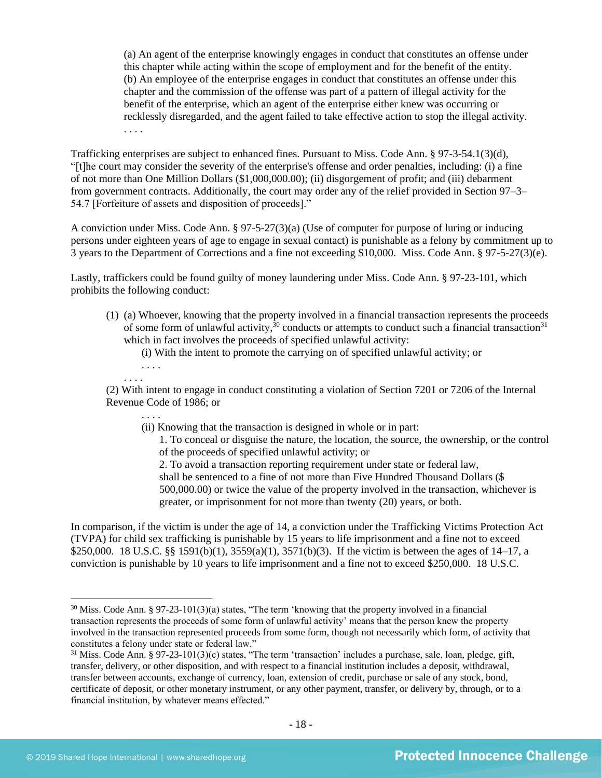(a) An agent of the enterprise knowingly engages in conduct that constitutes an offense under this chapter while acting within the scope of employment and for the benefit of the entity. (b) An employee of the enterprise engages in conduct that constitutes an offense under this chapter and the commission of the offense was part of a pattern of illegal activity for the benefit of the enterprise, which an agent of the enterprise either knew was occurring or recklessly disregarded, and the agent failed to take effective action to stop the illegal activity. . . . .

Trafficking enterprises are subject to enhanced fines. Pursuant to Miss. Code Ann. § 97-3-54.1(3)(d), "[t]he court may consider the severity of the enterprise's offense and order penalties, including: (i) a fine of not more than One Million Dollars (\$1,000,000.00); (ii) disgorgement of profit; and (iii) debarment from government contracts. Additionally, the court may order any of the relief provided in Section 97–3– 54.7 [Forfeiture of assets and disposition of proceeds]."

A conviction under Miss. Code Ann. § 97-5-27(3)(a) (Use of computer for purpose of luring or inducing persons under eighteen years of age to engage in sexual contact) is punishable as a felony by commitment up to 3 years to the Department of Corrections and a fine not exceeding \$10,000. Miss. Code Ann. § 97-5-27(3)(e).

Lastly, traffickers could be found guilty of money laundering under Miss. Code Ann. § 97-23-101, which prohibits the following conduct:

(1) (a) Whoever, knowing that the property involved in a financial transaction represents the proceeds of some form of unlawful activity, $30$  conducts or attempts to conduct such a financial transaction $31$ which in fact involves the proceeds of specified unlawful activity:

<span id="page-17-1"></span><span id="page-17-0"></span>(i) With the intent to promote the carrying on of specified unlawful activity; or

. . . .

. . . .

(2) With intent to engage in conduct constituting a violation of Section 7201 or 7206 of the Internal Revenue Code of 1986; or

- . . . . (ii) Knowing that the transaction is designed in whole or in part:
	- 1. To conceal or disguise the nature, the location, the source, the ownership, or the control of the proceeds of specified unlawful activity; or

2. To avoid a transaction reporting requirement under state or federal law, shall be sentenced to a fine of not more than Five Hundred Thousand Dollars (\$ 500,000.00) or twice the value of the property involved in the transaction, whichever is greater, or imprisonment for not more than twenty (20) years, or both.

In comparison, if the victim is under the age of 14, a conviction under the Trafficking Victims Protection Act (TVPA) for child sex trafficking is punishable by 15 years to life imprisonment and a fine not to exceed \$250,000. 18 U.S.C. §§ 1591(b)(1), 3559(a)(1), 3571(b)(3). If the victim is between the ages of 14–17, a conviction is punishable by 10 years to life imprisonment and a fine not to exceed \$250,000. 18 U.S.C.

 $30$  Miss. Code Ann. § 97-23-101(3)(a) states, "The term 'knowing that the property involved in a financial transaction represents the proceeds of some form of unlawful activity' means that the person knew the property involved in the transaction represented proceeds from some form, though not necessarily which form, of activity that constitutes a felony under state or federal law."

 $31$  Miss. Code Ann. § 97-23-101(3)(c) states, "The term 'transaction' includes a purchase, sale, loan, pledge, gift, transfer, delivery, or other disposition, and with respect to a financial institution includes a deposit, withdrawal, transfer between accounts, exchange of currency, loan, extension of credit, purchase or sale of any stock, bond, certificate of deposit, or other monetary instrument, or any other payment, transfer, or delivery by, through, or to a financial institution, by whatever means effected."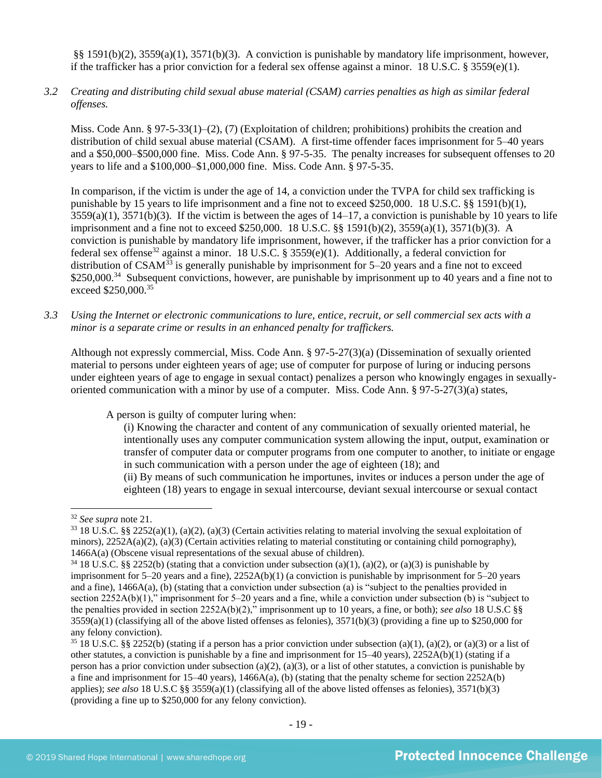§§ 1591(b)(2), 3559(a)(1), 3571(b)(3). A conviction is punishable by mandatory life imprisonment, however, if the trafficker has a prior conviction for a federal sex offense against a minor. 18 U.S.C. § 3559(e)(1).

*3.2 Creating and distributing child sexual abuse material (CSAM) carries penalties as high as similar federal offenses.*

Miss. Code Ann. § 97-5-33(1)–(2), (7) (Exploitation of children; prohibitions) prohibits the creation and distribution of child sexual abuse material (CSAM). A first-time offender faces imprisonment for 5–40 years and a \$50,000–\$500,000 fine. Miss. Code Ann. § 97-5-35. The penalty increases for subsequent offenses to 20 years to life and a \$100,000–\$1,000,000 fine. Miss. Code Ann. § 97-5-35.

In comparison, if the victim is under the age of 14, a conviction under the TVPA for child sex trafficking is punishable by 15 years to life imprisonment and a fine not to exceed \$250,000. 18 U.S.C. §§ 1591(b)(1),  $3559(a)(1)$ ,  $3571(b)(3)$ . If the victim is between the ages of  $14-17$ , a conviction is punishable by 10 years to life imprisonment and a fine not to exceed \$250,000. 18 U.S.C. §§ 1591(b)(2), 3559(a)(1), 3571(b)(3). A conviction is punishable by mandatory life imprisonment, however, if the trafficker has a prior conviction for a federal sex offense<sup>32</sup> against a minor. 18 U.S.C. § 3559(e)(1). Additionally, a federal conviction for distribution of  $CSAM^{33}$  is generally punishable by imprisonment for 5–20 years and a fine not to exceed \$250,000.<sup>34</sup> Subsequent convictions, however, are punishable by imprisonment up to 40 years and a fine not to exceed \$250,000.<sup>35</sup>

*3.3 Using the Internet or electronic communications to lure, entice, recruit, or sell commercial sex acts with a minor is a separate crime or results in an enhanced penalty for traffickers.*

Although not expressly commercial, Miss. Code Ann. § 97-5-27(3)(a) (Dissemination of sexually oriented material to persons under eighteen years of age; use of computer for purpose of luring or inducing persons under eighteen years of age to engage in sexual contact) penalizes a person who knowingly engages in sexuallyoriented communication with a minor by use of a computer. Miss. Code Ann. § 97-5-27(3)(a) states,

A person is guilty of computer luring when:

(i) Knowing the character and content of any communication of sexually oriented material, he intentionally uses any computer communication system allowing the input, output, examination or transfer of computer data or computer programs from one computer to another, to initiate or engage in such communication with a person under the age of eighteen (18); and

(ii) By means of such communication he importunes, invites or induces a person under the age of eighteen (18) years to engage in sexual intercourse, deviant sexual intercourse or sexual contact

<sup>32</sup> *See supra* note [21.](#page-11-0)

<sup>33</sup> 18 U.S.C. §§ 2252(a)(1), (a)(2), (a)(3) (Certain activities relating to material involving the sexual exploitation of minors), 2252A(a)(2), (a)(3) (Certain activities relating to material constituting or containing child pornography), 1466A(a) (Obscene visual representations of the sexual abuse of children).

<sup>34</sup> 18 U.S.C. §§ 2252(b) (stating that a conviction under subsection (a)(1), (a)(2), or (a)(3) is punishable by imprisonment for 5–20 years and a fine), 2252A(b)(1) (a conviction is punishable by imprisonment for 5–20 years and a fine), 1466A(a), (b) (stating that a conviction under subsection (a) is "subject to the penalties provided in section 2252A(b)(1)," imprisonment for 5–20 years and a fine, while a conviction under subsection (b) is "subject to the penalties provided in section 2252A(b)(2)," imprisonment up to 10 years, a fine, or both); *see also* 18 U.S.C §§  $3559(a)(1)$  (classifying all of the above listed offenses as felonies),  $3571(b)(3)$  (providing a fine up to \$250,000 for any felony conviction).

<sup>&</sup>lt;sup>35</sup> 18 U.S.C. §§ 2252(b) (stating if a person has a prior conviction under subsection (a)(1), (a)(2), or (a)(3) or a list of other statutes, a conviction is punishable by a fine and imprisonment for 15–40 years), 2252A(b)(1) (stating if a person has a prior conviction under subsection (a)(2), (a)(3), or a list of other statutes, a conviction is punishable by a fine and imprisonment for  $15-40$  years),  $1466A(a)$ , (b) (stating that the penalty scheme for section  $2252A(b)$ applies); *see also* 18 U.S.C §§ 3559(a)(1) (classifying all of the above listed offenses as felonies), 3571(b)(3) (providing a fine up to \$250,000 for any felony conviction).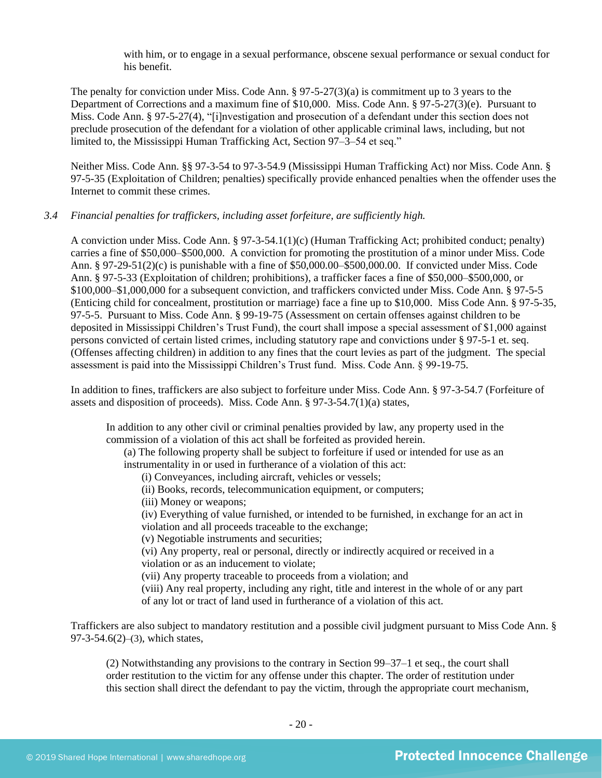with him, or to engage in a sexual performance, obscene sexual performance or sexual conduct for his benefit.

The penalty for conviction under Miss. Code Ann. § 97-5-27(3)(a) is commitment up to 3 years to the Department of Corrections and a maximum fine of \$10,000. Miss. Code Ann. § 97-5-27(3)(e). Pursuant to Miss. Code Ann. § 97-5-27(4), "[i]nvestigation and prosecution of a defendant under this section does not preclude prosecution of the defendant for a violation of other applicable criminal laws, including, but not limited to, the Mississippi Human Trafficking Act, Section 97–3–54 et seq."

Neither Miss. Code Ann. §§ 97-3-54 to 97-3-54.9 (Mississippi Human Trafficking Act) nor Miss. Code Ann. § 97-5-35 (Exploitation of Children; penalties) specifically provide enhanced penalties when the offender uses the Internet to commit these crimes.

## *3.4 Financial penalties for traffickers, including asset forfeiture, are sufficiently high.*

A conviction under Miss. Code Ann. § 97-3-54.1(1)(c) (Human Trafficking Act; prohibited conduct; penalty) carries a fine of \$50,000–\$500,000. A conviction for promoting the prostitution of a minor under Miss. Code Ann. § 97-29-51(2)(c) is punishable with a fine of \$50,000.00–\$500,000.00. If convicted under Miss. Code Ann. § 97-5-33 (Exploitation of children; prohibitions), a trafficker faces a fine of \$50,000–\$500,000, or \$100,000–\$1,000,000 for a subsequent conviction, and traffickers convicted under Miss. Code Ann. § 97-5-5 (Enticing child for concealment, prostitution or marriage) face a fine up to \$10,000. Miss Code Ann. § 97-5-35, 97-5-5. Pursuant to Miss. Code Ann. § 99-19-75 (Assessment on certain offenses against children to be deposited in Mississippi Children's Trust Fund), the court shall impose a special assessment of \$1,000 against persons convicted of certain listed crimes, including statutory rape and convictions under § 97-5-1 et. seq. (Offenses affecting children) in addition to any fines that the court levies as part of the judgment. The special assessment is paid into the Mississippi Children's Trust fund. Miss. Code Ann. § 99-19-75.

In addition to fines, traffickers are also subject to forfeiture under Miss. Code Ann. § 97-3-54.7 (Forfeiture of assets and disposition of proceeds). Miss. Code Ann. § 97-3-54.7(1)(a) states,

In addition to any other civil or criminal penalties provided by law, any property used in the commission of a violation of this act shall be forfeited as provided herein.

(a) The following property shall be subject to forfeiture if used or intended for use as an instrumentality in or used in furtherance of a violation of this act:

(i) Conveyances, including aircraft, vehicles or vessels;

- (ii) Books, records, telecommunication equipment, or computers;
- (iii) Money or weapons;

(iv) Everything of value furnished, or intended to be furnished, in exchange for an act in violation and all proceeds traceable to the exchange;

(v) Negotiable instruments and securities;

(vi) Any property, real or personal, directly or indirectly acquired or received in a violation or as an inducement to violate;

(vii) Any property traceable to proceeds from a violation; and

(viii) Any real property, including any right, title and interest in the whole of or any part of any lot or tract of land used in furtherance of a violation of this act.

Traffickers are also subject to mandatory restitution and a possible civil judgment pursuant to Miss Code Ann. § 97-3-54.6(2)–(3), which states,

(2) Notwithstanding any provisions to the contrary in Section 99–37–1 et seq., the court shall order restitution to the victim for any offense under this chapter. The order of restitution under this section shall direct the defendant to pay the victim, through the appropriate court mechanism,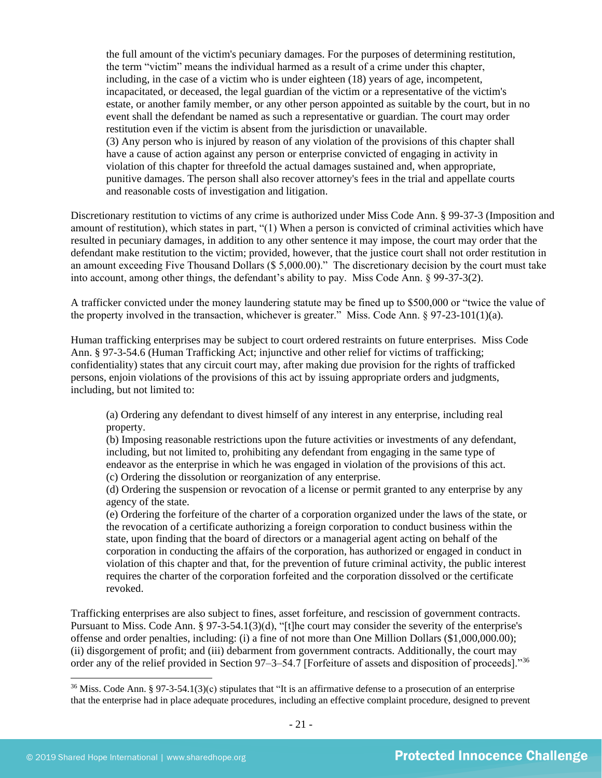the full amount of the victim's pecuniary damages. For the purposes of determining restitution, the term "victim" means the individual harmed as a result of a crime under this chapter, including, in the case of a victim who is under eighteen (18) years of age, incompetent, incapacitated, or deceased, the legal guardian of the victim or a representative of the victim's estate, or another family member, or any other person appointed as suitable by the court, but in no event shall the defendant be named as such a representative or guardian. The court may order restitution even if the victim is absent from the jurisdiction or unavailable. (3) Any person who is injured by reason of any violation of the provisions of this chapter shall have a cause of action against any person or enterprise convicted of engaging in activity in violation of this chapter for threefold the actual damages sustained and, when appropriate, punitive damages. The person shall also recover attorney's fees in the trial and appellate courts and reasonable costs of investigation and litigation.

Discretionary restitution to victims of any crime is authorized under Miss Code Ann. § 99-37-3 (Imposition and amount of restitution), which states in part, "(1) When a person is convicted of criminal activities which have resulted in pecuniary damages, in addition to any other sentence it may impose, the court may order that the defendant make restitution to the victim; provided, however, that the justice court shall not order restitution in an amount exceeding Five Thousand Dollars (\$ 5,000.00)." The discretionary decision by the court must take into account, among other things, the defendant's ability to pay. Miss Code Ann. § 99-37-3(2).

A trafficker convicted under the money laundering statute may be fined up to \$500,000 or "twice the value of the property involved in the transaction, whichever is greater." Miss. Code Ann. § 97-23-101(1)(a).

Human trafficking enterprises may be subject to court ordered restraints on future enterprises. Miss Code Ann. § 97-3-54.6 (Human Trafficking Act; injunctive and other relief for victims of trafficking; confidentiality) states that any circuit court may, after making due provision for the rights of trafficked persons, enjoin violations of the provisions of this act by issuing appropriate orders and judgments, including, but not limited to:

(a) Ordering any defendant to divest himself of any interest in any enterprise, including real property.

(b) Imposing reasonable restrictions upon the future activities or investments of any defendant, including, but not limited to, prohibiting any defendant from engaging in the same type of endeavor as the enterprise in which he was engaged in violation of the provisions of this act. (c) Ordering the dissolution or reorganization of any enterprise.

(d) Ordering the suspension or revocation of a license or permit granted to any enterprise by any agency of the state.

(e) Ordering the forfeiture of the charter of a corporation organized under the laws of the state, or the revocation of a certificate authorizing a foreign corporation to conduct business within the state, upon finding that the board of directors or a managerial agent acting on behalf of the corporation in conducting the affairs of the corporation, has authorized or engaged in conduct in violation of this chapter and that, for the prevention of future criminal activity, the public interest requires the charter of the corporation forfeited and the corporation dissolved or the certificate revoked.

Trafficking enterprises are also subject to fines, asset forfeiture, and rescission of government contracts. Pursuant to Miss. Code Ann. § 97-3-54.1(3)(d), "[t]he court may consider the severity of the enterprise's offense and order penalties, including: (i) a fine of not more than One Million Dollars (\$1,000,000.00); (ii) disgorgement of profit; and (iii) debarment from government contracts. Additionally, the court may order any of the relief provided in Section 97–3–54.7 [Forfeiture of assets and disposition of proceeds]."<sup>36</sup>

<sup>&</sup>lt;sup>36</sup> Miss. Code Ann. § 97-3-54.1(3)(c) stipulates that "It is an affirmative defense to a prosecution of an enterprise that the enterprise had in place adequate procedures, including an effective complaint procedure, designed to prevent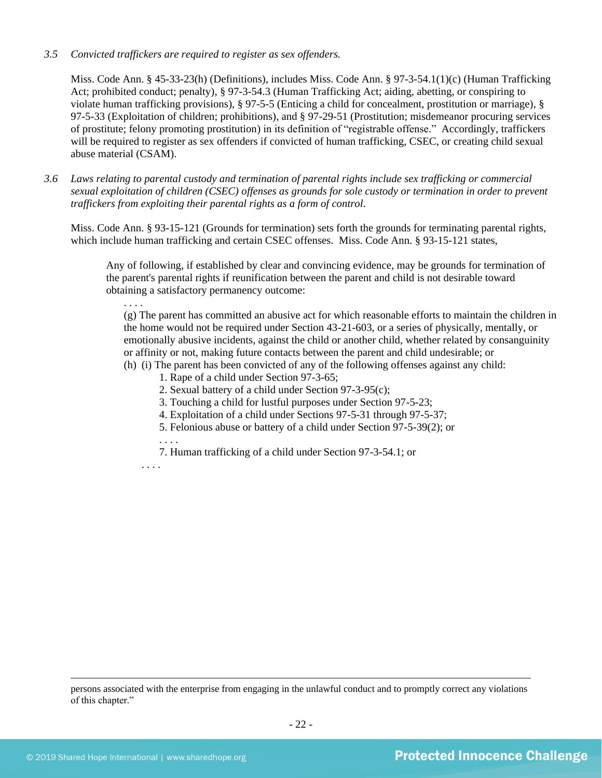#### *3.5 Convicted traffickers are required to register as sex offenders.*

Miss. Code Ann. § 45-33-23(h) (Definitions), includes Miss. Code Ann. § 97-3-54.1(1)(c) (Human Trafficking Act; prohibited conduct; penalty), § 97-3-54.3 (Human Trafficking Act; aiding, abetting, or conspiring to violate human trafficking provisions), § 97-5-5 (Enticing a child for concealment, prostitution or marriage), § 97-5-33 (Exploitation of children; prohibitions), and § 97-29-51 (Prostitution; misdemeanor procuring services of prostitute; felony promoting prostitution) in its definition of "registrable offense." Accordingly, traffickers will be required to register as sex offenders if convicted of human trafficking, CSEC, or creating child sexual abuse material (CSAM).

*3.6 Laws relating to parental custody and termination of parental rights include sex trafficking or commercial sexual exploitation of children (CSEC) offenses as grounds for sole custody or termination in order to prevent traffickers from exploiting their parental rights as a form of control.* 

Miss. Code Ann. § 93-15-121 (Grounds for termination) sets forth the grounds for terminating parental rights, which include human trafficking and certain CSEC offenses. Miss. Code Ann. § 93-15-121 states,

Any of following, if established by clear and convincing evidence, may be grounds for termination of the parent's parental rights if reunification between the parent and child is not desirable toward obtaining a satisfactory permanency outcome:

(g) The parent has committed an abusive act for which reasonable efforts to maintain the children in the home would not be required under Section 43-21-603, or a series of physically, mentally, or emotionally abusive incidents, against the child or another child, whether related by consanguinity or affinity or not, making future contacts between the parent and child undesirable; or

- (h) (i) The parent has been convicted of any of the following offenses against any child:
	- 1. Rape of a child under Section 97-3-65;
	- 2. Sexual battery of a child under Section 97-3-95(c);
	- 3. Touching a child for lustful purposes under Section 97-5-23;
	- 4. Exploitation of a child under Sections 97-5-31 through 97-5-37;
	- 5. Felonious abuse or battery of a child under Section 97-5-39(2); or
	- . . . .

7. Human trafficking of a child under Section 97-3-54.1; or

. . . .

. . . .

persons associated with the enterprise from engaging in the unlawful conduct and to promptly correct any violations of this chapter."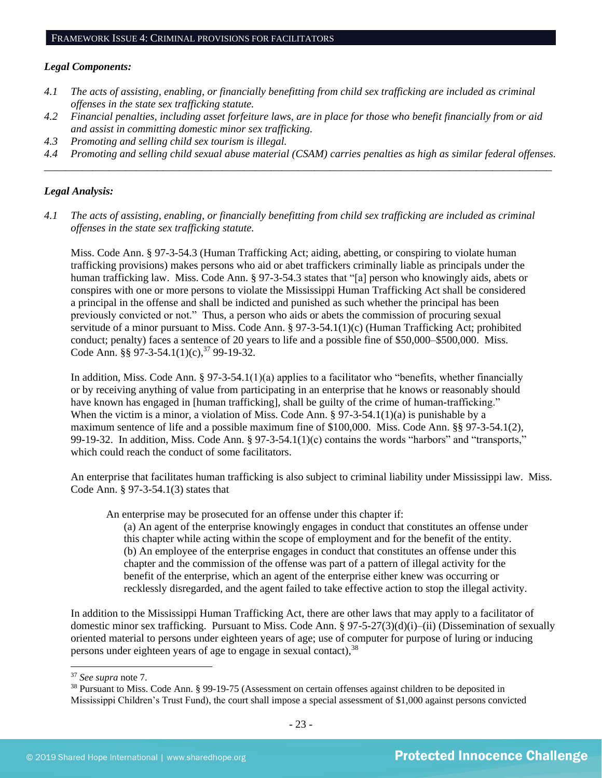#### *Legal Components:*

- *4.1 The acts of assisting, enabling, or financially benefitting from child sex trafficking are included as criminal offenses in the state sex trafficking statute.*
- *4.2 Financial penalties, including asset forfeiture laws, are in place for those who benefit financially from or aid and assist in committing domestic minor sex trafficking.*
- *4.3 Promoting and selling child sex tourism is illegal.*
- *4.4 Promoting and selling child sexual abuse material (CSAM) carries penalties as high as similar federal offenses. \_\_\_\_\_\_\_\_\_\_\_\_\_\_\_\_\_\_\_\_\_\_\_\_\_\_\_\_\_\_\_\_\_\_\_\_\_\_\_\_\_\_\_\_\_\_\_\_\_\_\_\_\_\_\_\_\_\_\_\_\_\_\_\_\_\_\_\_\_\_\_\_\_\_\_\_\_\_\_\_\_\_\_\_\_\_\_\_\_\_\_\_\_\_*

### *Legal Analysis:*

*4.1 The acts of assisting, enabling, or financially benefitting from child sex trafficking are included as criminal offenses in the state sex trafficking statute.*

Miss. Code Ann. § 97-3-54.3 (Human Trafficking Act; aiding, abetting, or conspiring to violate human trafficking provisions) makes persons who aid or abet traffickers criminally liable as principals under the human trafficking law. Miss. Code Ann. § 97-3-54.3 states that "[a] person who knowingly aids, abets or conspires with one or more persons to violate the Mississippi Human Trafficking Act shall be considered a principal in the offense and shall be indicted and punished as such whether the principal has been previously convicted or not." Thus, a person who aids or abets the commission of procuring sexual servitude of a minor pursuant to Miss. Code Ann. § 97-3-54.1(1)(c) (Human Trafficking Act; prohibited conduct; penalty) faces a sentence of 20 years to life and a possible fine of \$50,000–\$500,000. Miss. Code Ann. §§ 97-3-54.1(1)(c),  $37$  99-19-32.

In addition, Miss. Code Ann.  $\S 97-3-54.1(1)(a)$  applies to a facilitator who "benefits, whether financially or by receiving anything of value from participating in an enterprise that he knows or reasonably should have known has engaged in [human trafficking], shall be guilty of the crime of human-trafficking." When the victim is a minor, a violation of Miss. Code Ann. § 97-3-54.1(1)(a) is punishable by a maximum sentence of life and a possible maximum fine of \$100,000. Miss. Code Ann. §§ 97-3-54.1(2), 99-19-32. In addition, Miss. Code Ann. § 97-3-54.1(1)(c) contains the words "harbors" and "transports," which could reach the conduct of some facilitators.

An enterprise that facilitates human trafficking is also subject to criminal liability under Mississippi law. Miss. Code Ann. § 97-3-54.1(3) states that

An enterprise may be prosecuted for an offense under this chapter if:

(a) An agent of the enterprise knowingly engages in conduct that constitutes an offense under this chapter while acting within the scope of employment and for the benefit of the entity. (b) An employee of the enterprise engages in conduct that constitutes an offense under this chapter and the commission of the offense was part of a pattern of illegal activity for the benefit of the enterprise, which an agent of the enterprise either knew was occurring or recklessly disregarded, and the agent failed to take effective action to stop the illegal activity.

In addition to the Mississippi Human Trafficking Act, there are other laws that may apply to a facilitator of domestic minor sex trafficking. Pursuant to Miss. Code Ann. § 97-5-27(3)(d)(i)–(ii) (Dissemination of sexually oriented material to persons under eighteen years of age; use of computer for purpose of luring or inducing persons under eighteen years of age to engage in sexual contact), <sup>38</sup>

<sup>37</sup> *See supra* note [7.](#page-1-0)

<sup>&</sup>lt;sup>38</sup> Pursuant to Miss. Code Ann. § 99-19-75 (Assessment on certain offenses against children to be deposited in Mississippi Children's Trust Fund), the court shall impose a special assessment of \$1,000 against persons convicted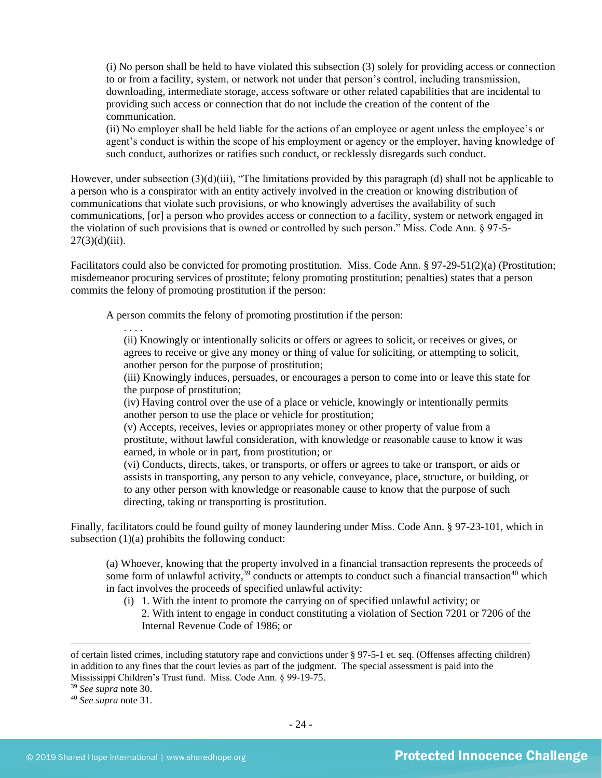(i) No person shall be held to have violated this subsection (3) solely for providing access or connection to or from a facility, system, or network not under that person's control, including transmission, downloading, intermediate storage, access software or other related capabilities that are incidental to providing such access or connection that do not include the creation of the content of the communication.

(ii) No employer shall be held liable for the actions of an employee or agent unless the employee's or agent's conduct is within the scope of his employment or agency or the employer, having knowledge of such conduct, authorizes or ratifies such conduct, or recklessly disregards such conduct.

However, under subsection (3)(d)(iii), "The limitations provided by this paragraph (d) shall not be applicable to a person who is a conspirator with an entity actively involved in the creation or knowing distribution of communications that violate such provisions, or who knowingly advertises the availability of such communications, [or] a person who provides access or connection to a facility, system or network engaged in the violation of such provisions that is owned or controlled by such person." Miss. Code Ann. § 97-5-  $27(3)(d)(iii)$ .

Facilitators could also be convicted for promoting prostitution. Miss. Code Ann. § 97-29-51(2)(a) (Prostitution; misdemeanor procuring services of prostitute; felony promoting prostitution; penalties) states that a person commits the felony of promoting prostitution if the person:

A person commits the felony of promoting prostitution if the person:

. . . . (ii) Knowingly or intentionally solicits or offers or agrees to solicit, or receives or gives, or agrees to receive or give any money or thing of value for soliciting, or attempting to solicit, another person for the purpose of prostitution;

(iii) Knowingly induces, persuades, or encourages a person to come into or leave this state for the purpose of prostitution;

(iv) Having control over the use of a place or vehicle, knowingly or intentionally permits another person to use the place or vehicle for prostitution;

(v) Accepts, receives, levies or appropriates money or other property of value from a prostitute, without lawful consideration, with knowledge or reasonable cause to know it was earned, in whole or in part, from prostitution; or

(vi) Conducts, directs, takes, or transports, or offers or agrees to take or transport, or aids or assists in transporting, any person to any vehicle, conveyance, place, structure, or building, or to any other person with knowledge or reasonable cause to know that the purpose of such directing, taking or transporting is prostitution.

Finally, facilitators could be found guilty of money laundering under Miss. Code Ann. § 97-23-101, which in subsection  $(1)(a)$  prohibits the following conduct:

(a) Whoever, knowing that the property involved in a financial transaction represents the proceeds of some form of unlawful activity,<sup>39</sup> conducts or attempts to conduct such a financial transaction<sup>40</sup> which in fact involves the proceeds of specified unlawful activity:

(i) 1. With the intent to promote the carrying on of specified unlawful activity; or 2. With intent to engage in conduct constituting a violation of Section 7201 or 7206 of the Internal Revenue Code of 1986; or

of certain listed crimes, including statutory rape and convictions under § 97-5-1 et. seq. (Offenses affecting children) in addition to any fines that the court levies as part of the judgment. The special assessment is paid into the Mississippi Children's Trust fund. Miss. Code Ann. § 99-19-75.

<sup>39</sup> *See supra* note [30.](#page-17-0)

<sup>40</sup> *See supra* note [31.](#page-17-1)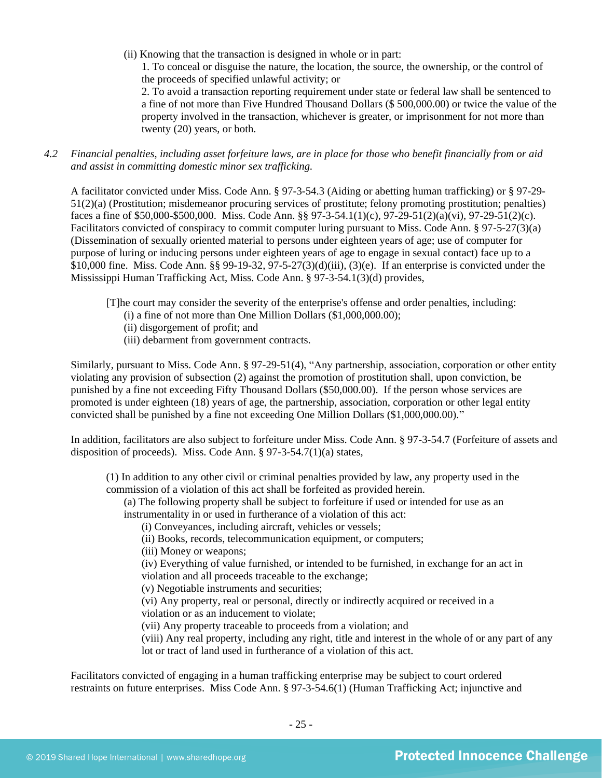(ii) Knowing that the transaction is designed in whole or in part:

1. To conceal or disguise the nature, the location, the source, the ownership, or the control of the proceeds of specified unlawful activity; or

2. To avoid a transaction reporting requirement under state or federal law shall be sentenced to a fine of not more than Five Hundred Thousand Dollars (\$ 500,000.00) or twice the value of the property involved in the transaction, whichever is greater, or imprisonment for not more than twenty (20) years, or both.

*4.2 Financial penalties, including asset forfeiture laws, are in place for those who benefit financially from or aid and assist in committing domestic minor sex trafficking.*

A facilitator convicted under Miss. Code Ann. § 97-3-54.3 (Aiding or abetting human trafficking) or § 97-29- 51(2)(a) (Prostitution; misdemeanor procuring services of prostitute; felony promoting prostitution; penalties) faces a fine of \$50,000-\$500,000. Miss. Code Ann. §§ 97-3-54.1(1)(c), 97-29-51(2)(a)(vi), 97-29-51(2)(c). Facilitators convicted of conspiracy to commit computer luring pursuant to Miss. Code Ann. § 97-5-27(3)(a) (Dissemination of sexually oriented material to persons under eighteen years of age; use of computer for purpose of luring or inducing persons under eighteen years of age to engage in sexual contact) face up to a \$10,000 fine. Miss. Code Ann. §§ 99-19-32, 97-5-27(3)(d)(iii), (3)(e). If an enterprise is convicted under the Mississippi Human Trafficking Act, Miss. Code Ann. § 97-3-54.1(3)(d) provides,

[T]he court may consider the severity of the enterprise's offense and order penalties, including:

- (i) a fine of not more than One Million Dollars (\$1,000,000.00);
- (ii) disgorgement of profit; and
- (iii) debarment from government contracts.

Similarly, pursuant to Miss. Code Ann. § 97-29-51(4), "Any partnership, association, corporation or other entity violating any provision of subsection (2) against the promotion of prostitution shall, upon conviction, be punished by a fine not exceeding Fifty Thousand Dollars (\$50,000.00). If the person whose services are promoted is under eighteen (18) years of age, the partnership, association, corporation or other legal entity convicted shall be punished by a fine not exceeding One Million Dollars (\$1,000,000.00)."

In addition, facilitators are also subject to forfeiture under Miss. Code Ann. § 97-3-54.7 (Forfeiture of assets and disposition of proceeds). Miss. Code Ann. § 97-3-54.7(1)(a) states,

(1) In addition to any other civil or criminal penalties provided by law, any property used in the commission of a violation of this act shall be forfeited as provided herein.

(a) The following property shall be subject to forfeiture if used or intended for use as an instrumentality in or used in furtherance of a violation of this act:

(i) Conveyances, including aircraft, vehicles or vessels;

(ii) Books, records, telecommunication equipment, or computers;

(iii) Money or weapons;

(iv) Everything of value furnished, or intended to be furnished, in exchange for an act in violation and all proceeds traceable to the exchange;

(v) Negotiable instruments and securities;

(vi) Any property, real or personal, directly or indirectly acquired or received in a violation or as an inducement to violate;

(vii) Any property traceable to proceeds from a violation; and

(viii) Any real property, including any right, title and interest in the whole of or any part of any lot or tract of land used in furtherance of a violation of this act.

Facilitators convicted of engaging in a human trafficking enterprise may be subject to court ordered restraints on future enterprises. Miss Code Ann. § 97-3-54.6(1) (Human Trafficking Act; injunctive and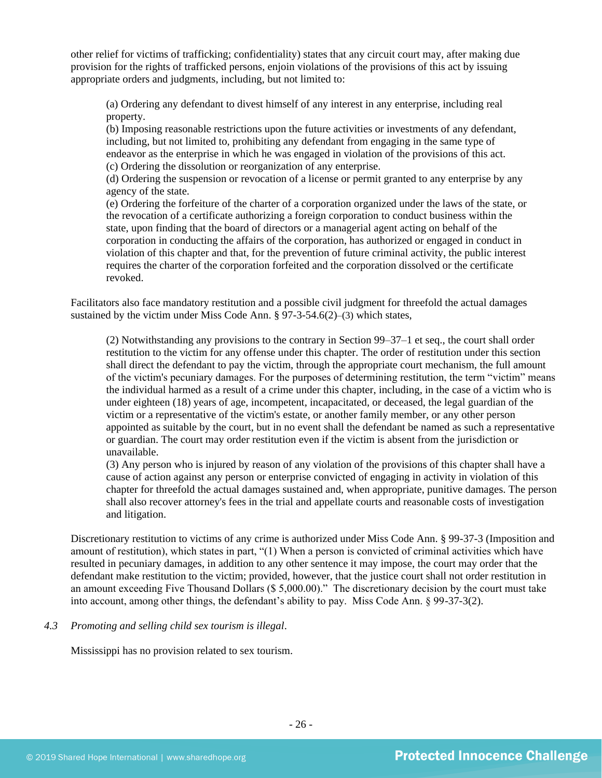other relief for victims of trafficking; confidentiality) states that any circuit court may, after making due provision for the rights of trafficked persons, enjoin violations of the provisions of this act by issuing appropriate orders and judgments, including, but not limited to:

(a) Ordering any defendant to divest himself of any interest in any enterprise, including real property.

(b) Imposing reasonable restrictions upon the future activities or investments of any defendant, including, but not limited to, prohibiting any defendant from engaging in the same type of endeavor as the enterprise in which he was engaged in violation of the provisions of this act. (c) Ordering the dissolution or reorganization of any enterprise.

(d) Ordering the suspension or revocation of a license or permit granted to any enterprise by any agency of the state.

(e) Ordering the forfeiture of the charter of a corporation organized under the laws of the state, or the revocation of a certificate authorizing a foreign corporation to conduct business within the state, upon finding that the board of directors or a managerial agent acting on behalf of the corporation in conducting the affairs of the corporation, has authorized or engaged in conduct in violation of this chapter and that, for the prevention of future criminal activity, the public interest requires the charter of the corporation forfeited and the corporation dissolved or the certificate revoked.

Facilitators also face mandatory restitution and a possible civil judgment for threefold the actual damages sustained by the victim under Miss Code Ann. § 97-3-54.6(2)–(3) which states,

(2) Notwithstanding any provisions to the contrary in Section 99–37–1 et seq., the court shall order restitution to the victim for any offense under this chapter. The order of restitution under this section shall direct the defendant to pay the victim, through the appropriate court mechanism, the full amount of the victim's pecuniary damages. For the purposes of determining restitution, the term "victim" means the individual harmed as a result of a crime under this chapter, including, in the case of a victim who is under eighteen (18) years of age, incompetent, incapacitated, or deceased, the legal guardian of the victim or a representative of the victim's estate, or another family member, or any other person appointed as suitable by the court, but in no event shall the defendant be named as such a representative or guardian. The court may order restitution even if the victim is absent from the jurisdiction or unavailable.

(3) Any person who is injured by reason of any violation of the provisions of this chapter shall have a cause of action against any person or enterprise convicted of engaging in activity in violation of this chapter for threefold the actual damages sustained and, when appropriate, punitive damages. The person shall also recover attorney's fees in the trial and appellate courts and reasonable costs of investigation and litigation.

Discretionary restitution to victims of any crime is authorized under Miss Code Ann. § 99-37-3 (Imposition and amount of restitution), which states in part, "(1) When a person is convicted of criminal activities which have resulted in pecuniary damages, in addition to any other sentence it may impose, the court may order that the defendant make restitution to the victim; provided, however, that the justice court shall not order restitution in an amount exceeding Five Thousand Dollars (\$ 5,000.00)." The discretionary decision by the court must take into account, among other things, the defendant's ability to pay. Miss Code Ann. § 99-37-3(2).

## *4.3 Promoting and selling child sex tourism is illegal*.

Mississippi has no provision related to sex tourism.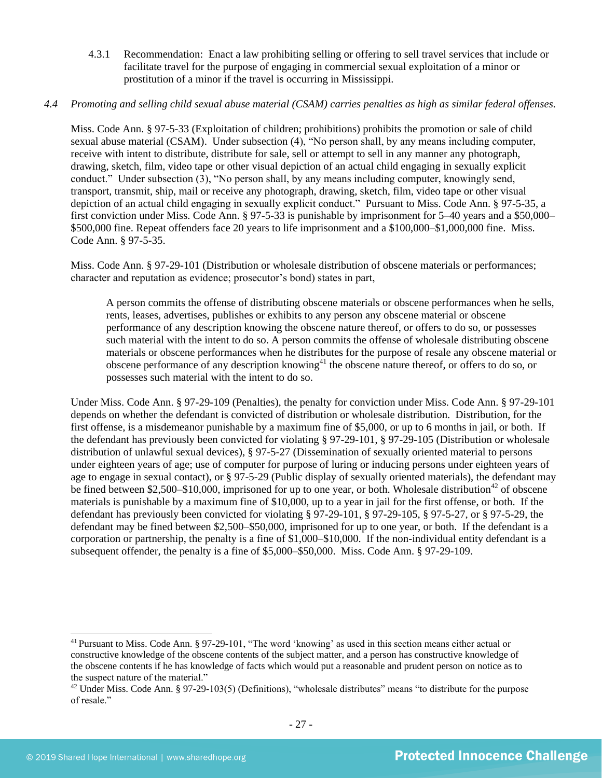4.3.1 Recommendation: Enact a law prohibiting selling or offering to sell travel services that include or facilitate travel for the purpose of engaging in commercial sexual exploitation of a minor or prostitution of a minor if the travel is occurring in Mississippi.

## *4.4 Promoting and selling child sexual abuse material (CSAM) carries penalties as high as similar federal offenses.*

Miss. Code Ann. § 97-5-33 (Exploitation of children; prohibitions) prohibits the promotion or sale of child sexual abuse material (CSAM). Under subsection (4), "No person shall, by any means including computer, receive with intent to distribute, distribute for sale, sell or attempt to sell in any manner any photograph, drawing, sketch, film, video tape or other visual depiction of an actual child engaging in sexually explicit conduct." Under subsection (3), "No person shall, by any means including computer, knowingly send, transport, transmit, ship, mail or receive any photograph, drawing, sketch, film, video tape or other visual depiction of an actual child engaging in sexually explicit conduct." Pursuant to Miss. Code Ann. § 97-5-35, a first conviction under Miss. Code Ann. § 97-5-33 is punishable by imprisonment for 5–40 years and a \$50,000– \$500,000 fine. Repeat offenders face 20 years to life imprisonment and a \$100,000–\$1,000,000 fine. Miss. Code Ann. § 97-5-35.

Miss. Code Ann. § 97-29-101 (Distribution or wholesale distribution of obscene materials or performances; character and reputation as evidence; prosecutor's bond) states in part,

A person commits the offense of distributing obscene materials or obscene performances when he sells, rents, leases, advertises, publishes or exhibits to any person any obscene material or obscene performance of any description knowing the obscene nature thereof, or offers to do so, or possesses such material with the intent to do so. A person commits the offense of wholesale distributing obscene materials or obscene performances when he distributes for the purpose of resale any obscene material or obscene performance of any description knowing<sup>41</sup> the obscene nature thereof, or offers to do so, or possesses such material with the intent to do so.

Under Miss. Code Ann. § 97-29-109 (Penalties), the penalty for conviction under Miss. Code Ann. § 97-29-101 depends on whether the defendant is convicted of distribution or wholesale distribution. Distribution, for the first offense, is a misdemeanor punishable by a maximum fine of \$5,000, or up to 6 months in jail, or both. If the defendant has previously been convicted for violating § 97-29-101, § 97-29-105 (Distribution or wholesale distribution of unlawful sexual devices), § 97-5-27 (Dissemination of sexually oriented material to persons under eighteen years of age; use of computer for purpose of luring or inducing persons under eighteen years of age to engage in sexual contact), or § 97-5-29 (Public display of sexually oriented materials), the defendant may be fined between \$2,500–\$10,000, imprisoned for up to one year, or both. Wholesale distribution<sup>42</sup> of obscene materials is punishable by a maximum fine of \$10,000, up to a year in jail for the first offense, or both. If the defendant has previously been convicted for violating § 97-29-101, § 97-29-105, § 97-5-27, or § 97-5-29, the defendant may be fined between \$2,500–\$50,000, imprisoned for up to one year, or both. If the defendant is a corporation or partnership, the penalty is a fine of \$1,000–\$10,000. If the non-individual entity defendant is a subsequent offender, the penalty is a fine of \$5,000–\$50,000. Miss. Code Ann. § 97-29-109.

<sup>41</sup> Pursuant to Miss. Code Ann. § 97-29-101, "The word 'knowing' as used in this section means either actual or constructive knowledge of the obscene contents of the subject matter, and a person has constructive knowledge of the obscene contents if he has knowledge of facts which would put a reasonable and prudent person on notice as to the suspect nature of the material."

 $42$  Under Miss. Code Ann. § 97-29-103(5) (Definitions), "wholesale distributes" means "to distribute for the purpose of resale."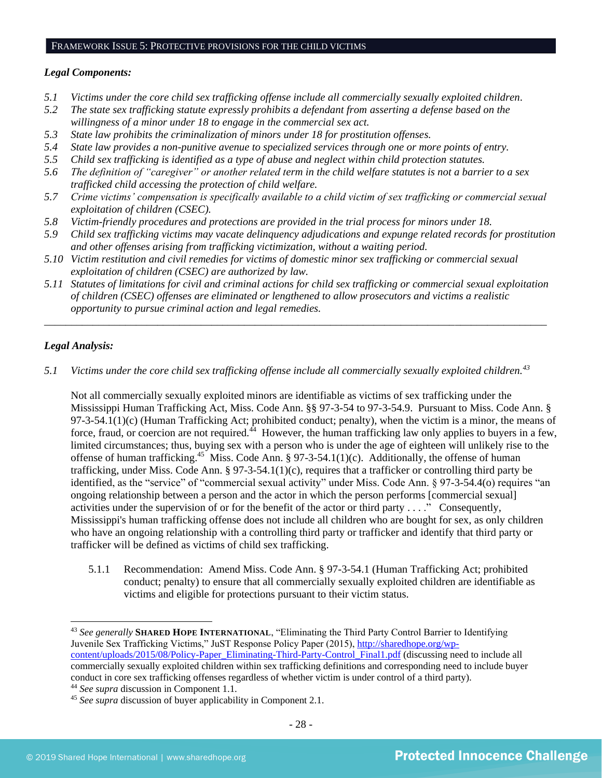#### FRAMEWORK ISSUE 5: PROTECTIVE PROVISIONS FOR THE CHILD VICTIMS

#### *Legal Components:*

- *5.1 Victims under the core child sex trafficking offense include all commercially sexually exploited children.*
- *5.2 The state sex trafficking statute expressly prohibits a defendant from asserting a defense based on the willingness of a minor under 18 to engage in the commercial sex act.*
- *5.3 State law prohibits the criminalization of minors under 18 for prostitution offenses.*
- *5.4 State law provides a non-punitive avenue to specialized services through one or more points of entry.*
- *5.5 Child sex trafficking is identified as a type of abuse and neglect within child protection statutes.*
- *5.6 The definition of "caregiver" or another related term in the child welfare statutes is not a barrier to a sex trafficked child accessing the protection of child welfare.*
- *5.7 Crime victims' compensation is specifically available to a child victim of sex trafficking or commercial sexual exploitation of children (CSEC).*
- *5.8 Victim-friendly procedures and protections are provided in the trial process for minors under 18.*
- *5.9 Child sex trafficking victims may vacate delinquency adjudications and expunge related records for prostitution and other offenses arising from trafficking victimization, without a waiting period.*
- *5.10 Victim restitution and civil remedies for victims of domestic minor sex trafficking or commercial sexual exploitation of children (CSEC) are authorized by law.*
- *5.11 Statutes of limitations for civil and criminal actions for child sex trafficking or commercial sexual exploitation of children (CSEC) offenses are eliminated or lengthened to allow prosecutors and victims a realistic opportunity to pursue criminal action and legal remedies.*

*\_\_\_\_\_\_\_\_\_\_\_\_\_\_\_\_\_\_\_\_\_\_\_\_\_\_\_\_\_\_\_\_\_\_\_\_\_\_\_\_\_\_\_\_\_\_\_\_\_\_\_\_\_\_\_\_\_\_\_\_\_\_\_\_\_\_\_\_\_\_\_\_\_\_\_\_\_\_\_\_\_\_\_\_\_\_\_\_\_\_\_\_\_*

## *Legal Analysis:*

*5.1 Victims under the core child sex trafficking offense include all commercially sexually exploited children.<sup>43</sup>*

Not all commercially sexually exploited minors are identifiable as victims of sex trafficking under the Mississippi Human Trafficking Act, Miss. Code Ann. §§ 97-3-54 to 97-3-54.9. Pursuant to Miss. Code Ann. § 97-3-54.1(1)(c) (Human Trafficking Act; prohibited conduct; penalty), when the victim is a minor, the means of force, fraud, or coercion are not required.<sup> $\overline{4}$ </sup> However, the human trafficking law only applies to buyers in a few, limited circumstances; thus, buying sex with a person who is under the age of eighteen will unlikely rise to the offense of human trafficking.<sup>45</sup> Miss. Code Ann. § 97-3-54.1(1)(c). Additionally, the offense of human trafficking, under Miss. Code Ann. § 97-3-54.1(1)(c), requires that a trafficker or controlling third party be identified, as the "service" of "commercial sexual activity" under Miss. Code Ann. § 97-3-54.4(o) requires "an ongoing relationship between a person and the actor in which the person performs [commercial sexual] activities under the supervision of or for the benefit of the actor or third party . . . ." Consequently, Mississippi's human trafficking offense does not include all children who are bought for sex, as only children who have an ongoing relationship with a controlling third party or trafficker and identify that third party or trafficker will be defined as victims of child sex trafficking.

5.1.1 Recommendation: Amend Miss. Code Ann. § 97-3-54.1 (Human Trafficking Act; prohibited conduct; penalty) to ensure that all commercially sexually exploited children are identifiable as victims and eligible for protections pursuant to their victim status.

<sup>43</sup> *See generally* **SHARED HOPE INTERNATIONAL**, "Eliminating the Third Party Control Barrier to Identifying Juvenile Sex Trafficking Victims," JuST Response Policy Paper (2015), [http://sharedhope.org/wp](http://sharedhope.org/wp-content/uploads/2015/08/Policy-Paper_Eliminating-Third-Party-Control_Final1.pdf)[content/uploads/2015/08/Policy-Paper\\_Eliminating-Third-Party-Control\\_Final1.pdf](http://sharedhope.org/wp-content/uploads/2015/08/Policy-Paper_Eliminating-Third-Party-Control_Final1.pdf) (discussing need to include all commercially sexually exploited children within sex trafficking definitions and corresponding need to include buyer conduct in core sex trafficking offenses regardless of whether victim is under control of a third party).

<sup>44</sup> *See supra* discussion in Component 1.1.

<sup>45</sup> *See supra* discussion of buyer applicability in Component 2.1.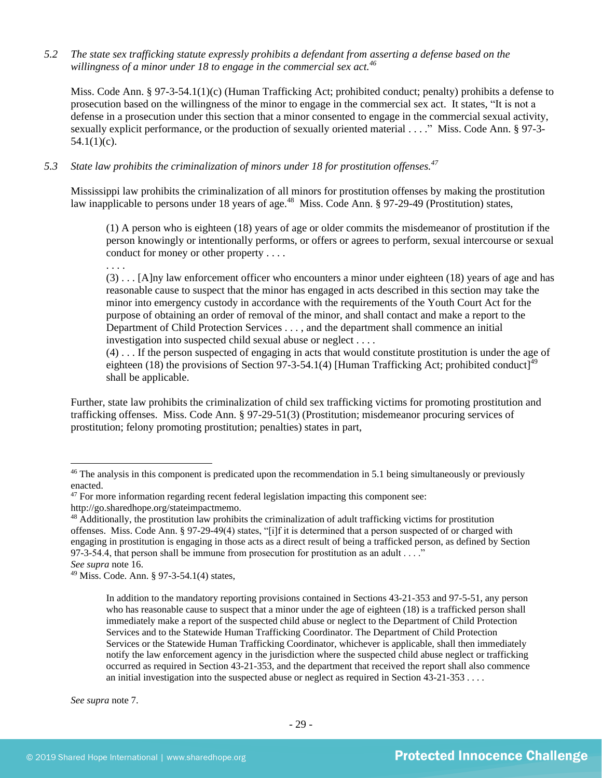*5.2 The state sex trafficking statute expressly prohibits a defendant from asserting a defense based on the willingness of a minor under 18 to engage in the commercial sex act.<sup>46</sup>*

Miss. Code Ann. § 97-3-54.1(1)(c) (Human Trafficking Act; prohibited conduct; penalty) prohibits a defense to prosecution based on the willingness of the minor to engage in the commercial sex act. It states, "It is not a defense in a prosecution under this section that a minor consented to engage in the commercial sexual activity, sexually explicit performance, or the production of sexually oriented material . . . ." Miss. Code Ann. § 97-3-  $54.1(1)(c)$ .

*5.3 State law prohibits the criminalization of minors under 18 for prostitution offenses.<sup>47</sup>*

Mississippi law prohibits the criminalization of all minors for prostitution offenses by making the prostitution law inapplicable to persons under 18 years of age.<sup>48</sup> Miss. Code Ann. § 97-29-49 (Prostitution) states,

(1) A person who is eighteen (18) years of age or older commits the misdemeanor of prostitution if the person knowingly or intentionally performs, or offers or agrees to perform, sexual intercourse or sexual conduct for money or other property . . . .

. . . .

(3) . . . [A]ny law enforcement officer who encounters a minor under eighteen (18) years of age and has reasonable cause to suspect that the minor has engaged in acts described in this section may take the minor into emergency custody in accordance with the requirements of the Youth Court Act for the purpose of obtaining an order of removal of the minor, and shall contact and make a report to the Department of Child Protection Services . . . , and the department shall commence an initial investigation into suspected child sexual abuse or neglect . . . .

(4) . . . If the person suspected of engaging in acts that would constitute prostitution is under the age of eighteen (18) the provisions of Section 97-3-54.1(4) [Human Trafficking Act; prohibited conduct]<sup>49</sup> shall be applicable.

Further, state law prohibits the criminalization of child sex trafficking victims for promoting prostitution and trafficking offenses. Miss. Code Ann. § 97-29-51(3) (Prostitution; misdemeanor procuring services of prostitution; felony promoting prostitution; penalties) states in part,

*See supra* note [7.](#page-1-0)

<sup>&</sup>lt;sup>46</sup> The analysis in this component is predicated upon the recommendation in 5.1 being simultaneously or previously enacted.

<sup>&</sup>lt;sup>47</sup> For more information regarding recent federal legislation impacting this component see: http://go.sharedhope.org/stateimpactmemo.

<sup>&</sup>lt;sup>48</sup> Additionally, the prostitution law prohibits the criminalization of adult trafficking victims for prostitution offenses. Miss. Code Ann. § 97-29-49(4) states, "[i]f it is determined that a person suspected of or charged with engaging in prostitution is engaging in those acts as a direct result of being a trafficked person, as defined by Section 97-3-54.4, that person shall be immune from prosecution for prostitution as an adult  $\dots$ ."

*See supra* note [16.](#page-5-0)

<sup>49</sup> Miss. Code. Ann. § 97-3-54.1(4) states,

In addition to the mandatory reporting provisions contained in Sections 43-21-353 and 97-5-51, any person who has reasonable cause to suspect that a minor under the age of eighteen (18) is a trafficked person shall immediately make a report of the suspected child abuse or neglect to the Department of Child Protection Services and to the Statewide Human Trafficking Coordinator. The Department of Child Protection Services or the Statewide Human Trafficking Coordinator, whichever is applicable, shall then immediately notify the law enforcement agency in the jurisdiction where the suspected child abuse neglect or trafficking occurred as required in Section 43-21-353, and the department that received the report shall also commence an initial investigation into the suspected abuse or neglect as required in Section 43-21-353 . . . .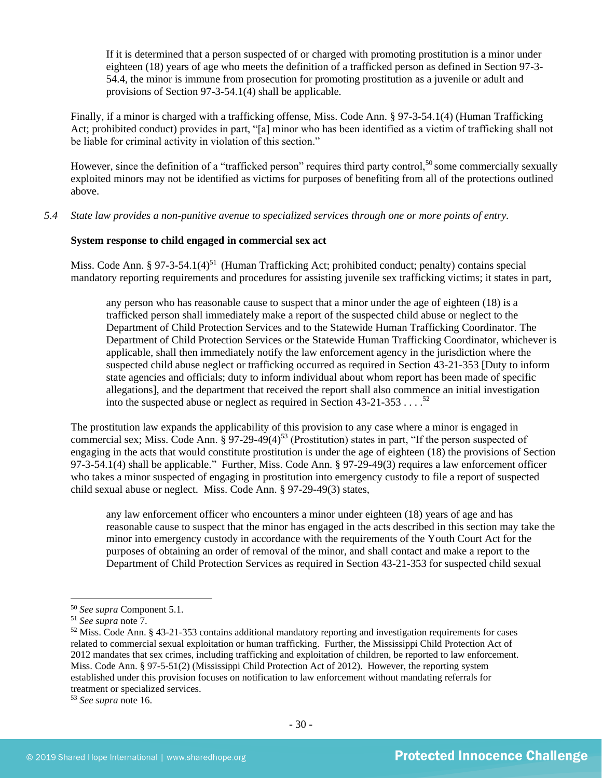If it is determined that a person suspected of or charged with promoting prostitution is a minor under eighteen (18) years of age who meets the definition of a trafficked person as defined in Section 97-3- 54.4, the minor is immune from prosecution for promoting prostitution as a juvenile or adult and provisions of Section 97-3-54.1(4) shall be applicable.

Finally, if a minor is charged with a trafficking offense, Miss. Code Ann. § 97-3-54.1(4) (Human Trafficking Act; prohibited conduct) provides in part, "[a] minor who has been identified as a victim of trafficking shall not be liable for criminal activity in violation of this section."

However, since the definition of a "trafficked person" requires third party control,<sup>50</sup> some commercially sexually exploited minors may not be identified as victims for purposes of benefiting from all of the protections outlined above.

*5.4 State law provides a non-punitive avenue to specialized services through one or more points of entry.*

#### **System response to child engaged in commercial sex act**

Miss. Code Ann. § 97-3-54.1(4)<sup>51</sup> (Human Trafficking Act; prohibited conduct; penalty) contains special mandatory reporting requirements and procedures for assisting juvenile sex trafficking victims; it states in part,

any person who has reasonable cause to suspect that a minor under the age of eighteen (18) is a trafficked person shall immediately make a report of the suspected child abuse or neglect to the Department of Child Protection Services and to the Statewide Human Trafficking Coordinator. The Department of Child Protection Services or the Statewide Human Trafficking Coordinator, whichever is applicable, shall then immediately notify the law enforcement agency in the jurisdiction where the suspected child abuse neglect or trafficking occurred as required in Section 43-21-353 [Duty to inform state agencies and officials; duty to inform individual about whom report has been made of specific allegations], and the department that received the report shall also commence an initial investigation into the suspected abuse or neglect as required in Section  $43-21-353...$ <sup>52</sup>

The prostitution law expands the applicability of this provision to any case where a minor is engaged in commercial sex; Miss. Code Ann.  $\S 97-29-49(4)^{53}$  (Prostitution) states in part, "If the person suspected of engaging in the acts that would constitute prostitution is under the age of eighteen (18) the provisions of Section 97-3-54.1(4) shall be applicable." Further, Miss. Code Ann. § 97-29-49(3) requires a law enforcement officer who takes a minor suspected of engaging in prostitution into emergency custody to file a report of suspected child sexual abuse or neglect. Miss. Code Ann. § 97-29-49(3) states,

any law enforcement officer who encounters a minor under eighteen (18) years of age and has reasonable cause to suspect that the minor has engaged in the acts described in this section may take the minor into emergency custody in accordance with the requirements of the Youth Court Act for the purposes of obtaining an order of removal of the minor, and shall contact and make a report to the Department of Child Protection Services as required in Section 43-21-353 for suspected child sexual

<sup>50</sup> *See supra* Component 5.1.

<sup>51</sup> *See supra* note [7.](#page-1-0)

<sup>52</sup> Miss. Code Ann. § 43-21-353 contains additional mandatory reporting and investigation requirements for cases related to commercial sexual exploitation or human trafficking. Further, the Mississippi Child Protection Act of 2012 mandates that sex crimes, including trafficking and exploitation of children, be reported to law enforcement. Miss. Code Ann. § 97-5-51(2) (Mississippi Child Protection Act of 2012). However, the reporting system established under this provision focuses on notification to law enforcement without mandating referrals for treatment or specialized services.

<sup>53</sup> *See supra* note [16.](#page-5-0)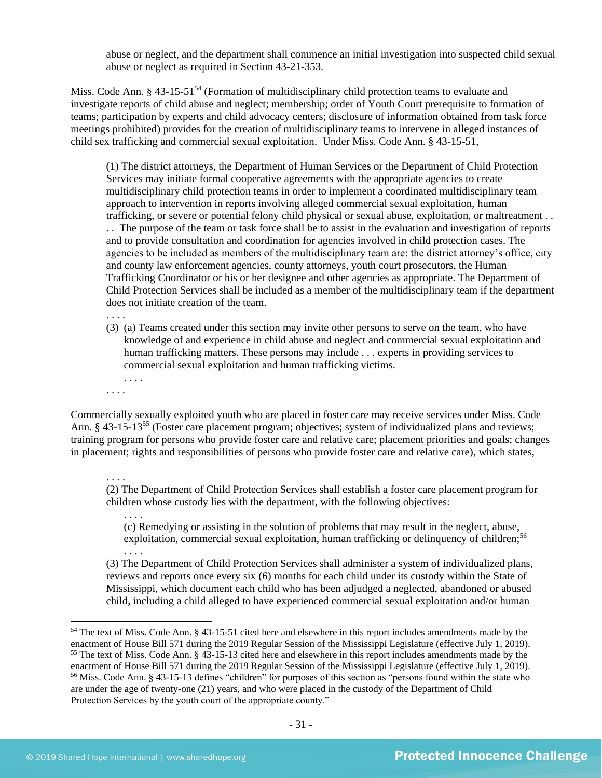abuse or neglect, and the department shall commence an initial investigation into suspected child sexual abuse or neglect as required in Section 43-21-353.

Miss. Code Ann.  $\S 43$ -15-51<sup>54</sup> (Formation of multidisciplinary child protection teams to evaluate and investigate reports of child abuse and neglect; membership; order of Youth Court prerequisite to formation of teams; participation by experts and child advocacy centers; disclosure of information obtained from task force meetings prohibited) provides for the creation of multidisciplinary teams to intervene in alleged instances of child sex trafficking and commercial sexual exploitation. Under Miss. Code Ann. § 43-15-51,

(1) The district attorneys, the Department of Human Services or the Department of Child Protection Services may initiate formal cooperative agreements with the appropriate agencies to create multidisciplinary child protection teams in order to implement a coordinated multidisciplinary team approach to intervention in reports involving alleged commercial sexual exploitation, human trafficking, or severe or potential felony child physical or sexual abuse, exploitation, or maltreatment . . . . The purpose of the team or task force shall be to assist in the evaluation and investigation of reports and to provide consultation and coordination for agencies involved in child protection cases. The agencies to be included as members of the multidisciplinary team are: the district attorney's office, city and county law enforcement agencies, county attorneys, youth court prosecutors, the Human Trafficking Coordinator or his or her designee and other agencies as appropriate. The Department of Child Protection Services shall be included as a member of the multidisciplinary team if the department does not initiate creation of the team.

. . . .

- (3) (a) Teams created under this section may invite other persons to serve on the team, who have knowledge of and experience in child abuse and neglect and commercial sexual exploitation and human trafficking matters. These persons may include . . . experts in providing services to commercial sexual exploitation and human trafficking victims.
- . . . .

. . . .

. . . .

Commercially sexually exploited youth who are placed in foster care may receive services under Miss. Code Ann. § 43-15-13<sup>55</sup> (Foster care placement program; objectives; system of individualized plans and reviews; training program for persons who provide foster care and relative care; placement priorities and goals; changes in placement; rights and responsibilities of persons who provide foster care and relative care), which states,

(2) The Department of Child Protection Services shall establish a foster care placement program for children whose custody lies with the department, with the following objectives:

. . . . (c) Remedying or assisting in the solution of problems that may result in the neglect, abuse, exploitation, commercial sexual exploitation, human trafficking or delinquency of children;<sup>56</sup> . . . .

(3) The Department of Child Protection Services shall administer a system of individualized plans, reviews and reports once every six (6) months for each child under its custody within the State of Mississippi, which document each child who has been adjudged a neglected, abandoned or abused child, including a child alleged to have experienced commercial sexual exploitation and/or human

<sup>54</sup> The text of Miss. Code Ann. § 43-15-51 cited here and elsewhere in this report includes amendments made by the enactment of House Bill 571 during the 2019 Regular Session of the Mississippi Legislature (effective July 1, 2019). <sup>55</sup> The text of Miss. Code Ann. § 43-15-13 cited here and elsewhere in this report includes amendments made by the enactment of House Bill 571 during the 2019 Regular Session of the Mississippi Legislature (effective July 1, 2019). <sup>56</sup> Miss. Code Ann. § 43-15-13 defines "children" for purposes of this section as "persons found within the state who are under the age of twenty-one (21) years, and who were placed in the custody of the Department of Child Protection Services by the youth court of the appropriate county."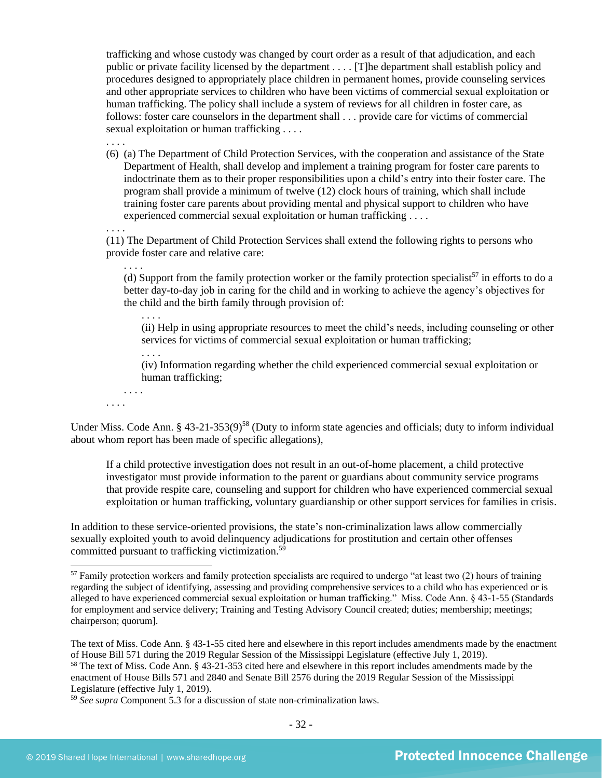trafficking and whose custody was changed by court order as a result of that adjudication, and each public or private facility licensed by the department . . . . [T]he department shall establish policy and procedures designed to appropriately place children in permanent homes, provide counseling services and other appropriate services to children who have been victims of commercial sexual exploitation or human trafficking. The policy shall include a system of reviews for all children in foster care, as follows: foster care counselors in the department shall . . . provide care for victims of commercial sexual exploitation or human trafficking . . . .

(6) (a) The Department of Child Protection Services, with the cooperation and assistance of the State Department of Health, shall develop and implement a training program for foster care parents to indoctrinate them as to their proper responsibilities upon a child's entry into their foster care. The program shall provide a minimum of twelve (12) clock hours of training, which shall include training foster care parents about providing mental and physical support to children who have experienced commercial sexual exploitation or human trafficking . . . .

(11) The Department of Child Protection Services shall extend the following rights to persons who provide foster care and relative care:

. . . . (d) Support from the family protection worker or the family protection specialist<sup>57</sup> in efforts to do a better day-to-day job in caring for the child and in working to achieve the agency's objectives for the child and the birth family through provision of:

(ii) Help in using appropriate resources to meet the child's needs, including counseling or other services for victims of commercial sexual exploitation or human trafficking;

(iv) Information regarding whether the child experienced commercial sexual exploitation or human trafficking;

. . . .

. . . .

. . . .

. . . .

. . . .

. . . .

Under Miss. Code Ann. § 43-21-353(9)<sup>58</sup> (Duty to inform state agencies and officials; duty to inform individual about whom report has been made of specific allegations),

If a child protective investigation does not result in an out-of-home placement, a child protective investigator must provide information to the parent or guardians about community service programs that provide respite care, counseling and support for children who have experienced commercial sexual exploitation or human trafficking, voluntary guardianship or other support services for families in crisis.

In addition to these service-oriented provisions, the state's non-criminalization laws allow commercially sexually exploited youth to avoid delinquency adjudications for prostitution and certain other offenses committed pursuant to trafficking victimization.<sup>59</sup>

 $57$  Family protection workers and family protection specialists are required to undergo "at least two (2) hours of training regarding the subject of identifying, assessing and providing comprehensive services to a child who has experienced or is alleged to have experienced commercial sexual exploitation or human trafficking." Miss. Code Ann. § 43-1-55 (Standards for employment and service delivery; Training and Testing Advisory Council created; duties; membership; meetings; chairperson; quorum].

The text of Miss. Code Ann. § 43-1-55 cited here and elsewhere in this report includes amendments made by the enactment of House Bill 571 during the 2019 Regular Session of the Mississippi Legislature (effective July 1, 2019).

<sup>58</sup> The text of Miss. Code Ann. § 43-21-353 cited here and elsewhere in this report includes amendments made by the enactment of House Bills 571 and 2840 and Senate Bill 2576 during the 2019 Regular Session of the Mississippi Legislature (effective July 1, 2019).

<sup>59</sup> *See supra* Component 5.3 for a discussion of state non-criminalization laws.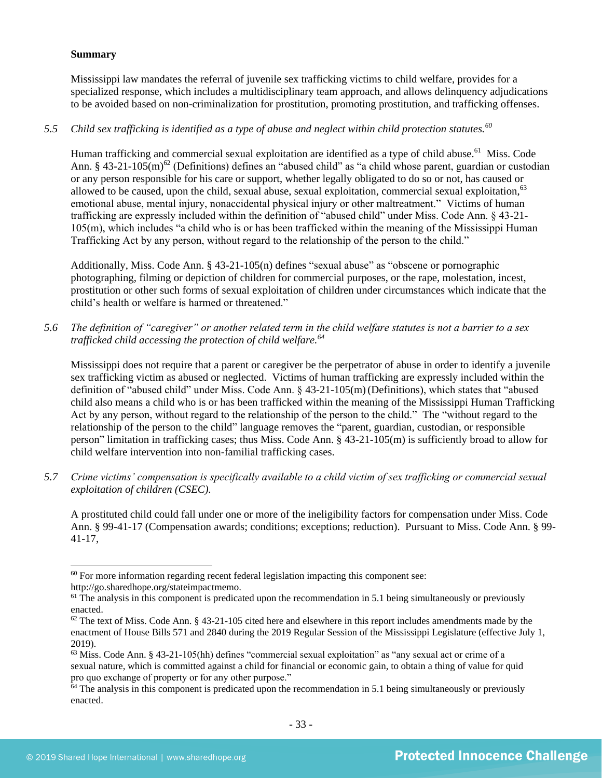## **Summary**

Mississippi law mandates the referral of juvenile sex trafficking victims to child welfare, provides for a specialized response, which includes a multidisciplinary team approach, and allows delinquency adjudications to be avoided based on non-criminalization for prostitution, promoting prostitution, and trafficking offenses.

## *5.5 Child sex trafficking is identified as a type of abuse and neglect within child protection statutes.<sup>60</sup>*

Human trafficking and commercial sexual exploitation are identified as a type of child abuse.<sup>61</sup> Miss. Code Ann. § 43-21-105(m)<sup>62</sup> (Definitions) defines an "abused child" as "a child whose parent, guardian or custodian or any person responsible for his care or support, whether legally obligated to do so or not, has caused or allowed to be caused, upon the child, sexual abuse, sexual exploitation, commercial sexual exploitation,<sup>63</sup> emotional abuse, mental injury, nonaccidental physical injury or other maltreatment." Victims of human trafficking are expressly included within the definition of "abused child" under Miss. Code Ann. § 43-21- 105(m), which includes "a child who is or has been trafficked within the meaning of the Mississippi Human Trafficking Act by any person, without regard to the relationship of the person to the child."

Additionally, Miss. Code Ann. § 43-21-105(n) defines "sexual abuse" as "obscene or pornographic photographing, filming or depiction of children for commercial purposes, or the rape, molestation, incest, prostitution or other such forms of sexual exploitation of children under circumstances which indicate that the child's health or welfare is harmed or threatened."

*5.6 The definition of "caregiver" or another related term in the child welfare statutes is not a barrier to a sex trafficked child accessing the protection of child welfare.<sup>64</sup>*

Mississippi does not require that a parent or caregiver be the perpetrator of abuse in order to identify a juvenile sex trafficking victim as abused or neglected. Victims of human trafficking are expressly included within the definition of "abused child" under Miss. Code Ann. § 43-21-105(m)(Definitions), which states that "abused child also means a child who is or has been trafficked within the meaning of the Mississippi Human Trafficking Act by any person, without regard to the relationship of the person to the child." The "without regard to the relationship of the person to the child" language removes the "parent, guardian, custodian, or responsible person" limitation in trafficking cases; thus Miss. Code Ann. § 43-21-105(m) is sufficiently broad to allow for child welfare intervention into non-familial trafficking cases.

*5.7 Crime victims' compensation is specifically available to a child victim of sex trafficking or commercial sexual exploitation of children (CSEC).*

A prostituted child could fall under one or more of the ineligibility factors for compensation under Miss. Code Ann. § 99-41-17 (Compensation awards; conditions; exceptions; reduction). Pursuant to Miss. Code Ann. § 99- 41-17,

 $60$  For more information regarding recent federal legislation impacting this component see:

http://go.sharedhope.org/stateimpactmemo.

<sup>&</sup>lt;sup>61</sup> The analysis in this component is predicated upon the recommendation in 5.1 being simultaneously or previously enacted.

 $62$  The text of Miss. Code Ann. § 43-21-105 cited here and elsewhere in this report includes amendments made by the enactment of House Bills 571 and 2840 during the 2019 Regular Session of the Mississippi Legislature (effective July 1, 2019).

 $63$  Miss. Code Ann. § 43-21-105(hh) defines "commercial sexual exploitation" as "any sexual act or crime of a sexual nature, which is committed against a child for financial or economic gain, to obtain a thing of value for quid pro quo exchange of property or for any other purpose."

 $64$  The analysis in this component is predicated upon the recommendation in 5.1 being simultaneously or previously enacted.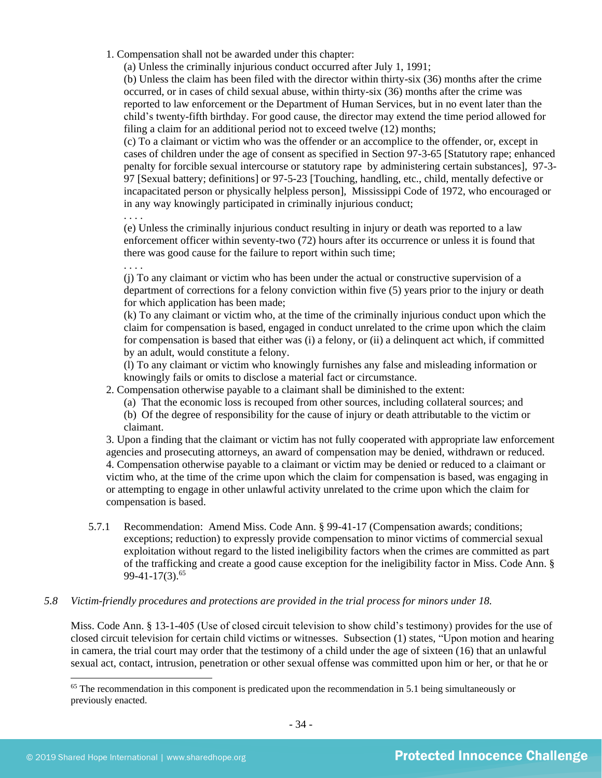1. Compensation shall not be awarded under this chapter:

(a) Unless the criminally injurious conduct occurred after July 1, 1991;

(b) Unless the claim has been filed with the director within thirty-six (36) months after the crime occurred, or in cases of child sexual abuse, within thirty-six (36) months after the crime was reported to law enforcement or the Department of Human Services, but in no event later than the child's twenty-fifth birthday. For good cause, the director may extend the time period allowed for filing a claim for an additional period not to exceed twelve (12) months;

(c) To a claimant or victim who was the offender or an accomplice to the offender, or, except in cases of children under the age of consent as specified in Section 97-3-65 [Statutory rape; enhanced penalty for forcible sexual intercourse or statutory rape by administering certain substances], 97-3- 97 [Sexual battery; definitions] or 97-5-23 [Touching, handling, etc., child, mentally defective or incapacitated person or physically helpless person], Mississippi Code of 1972, who encouraged or in any way knowingly participated in criminally injurious conduct;

. . . .

(e) Unless the criminally injurious conduct resulting in injury or death was reported to a law enforcement officer within seventy-two (72) hours after its occurrence or unless it is found that there was good cause for the failure to report within such time;

. . . .

(j) To any claimant or victim who has been under the actual or constructive supervision of a department of corrections for a felony conviction within five (5) years prior to the injury or death for which application has been made;

(k) To any claimant or victim who, at the time of the criminally injurious conduct upon which the claim for compensation is based, engaged in conduct unrelated to the crime upon which the claim for compensation is based that either was (i) a felony, or (ii) a delinquent act which, if committed by an adult, would constitute a felony.

(l) To any claimant or victim who knowingly furnishes any false and misleading information or knowingly fails or omits to disclose a material fact or circumstance.

2. Compensation otherwise payable to a claimant shall be diminished to the extent:

- (a) That the economic loss is recouped from other sources, including collateral sources; and
- (b) Of the degree of responsibility for the cause of injury or death attributable to the victim or claimant.

3. Upon a finding that the claimant or victim has not fully cooperated with appropriate law enforcement agencies and prosecuting attorneys, an award of compensation may be denied, withdrawn or reduced. 4. Compensation otherwise payable to a claimant or victim may be denied or reduced to a claimant or victim who, at the time of the crime upon which the claim for compensation is based, was engaging in or attempting to engage in other unlawful activity unrelated to the crime upon which the claim for compensation is based.

5.7.1 Recommendation: Amend Miss. Code Ann. § 99-41-17 (Compensation awards; conditions; exceptions; reduction) to expressly provide compensation to minor victims of commercial sexual exploitation without regard to the listed ineligibility factors when the crimes are committed as part of the trafficking and create a good cause exception for the ineligibility factor in Miss. Code Ann. § 99-41-17(3).<sup>65</sup>

## *5.8 Victim-friendly procedures and protections are provided in the trial process for minors under 18.*

Miss. Code Ann. § 13-1-405 (Use of closed circuit television to show child's testimony) provides for the use of closed circuit television for certain child victims or witnesses. Subsection (1) states, "Upon motion and hearing in camera, the trial court may order that the testimony of a child under the age of sixteen (16) that an unlawful sexual act, contact, intrusion, penetration or other sexual offense was committed upon him or her, or that he or

 $<sup>65</sup>$  The recommendation in this component is predicated upon the recommendation in 5.1 being simultaneously or</sup> previously enacted.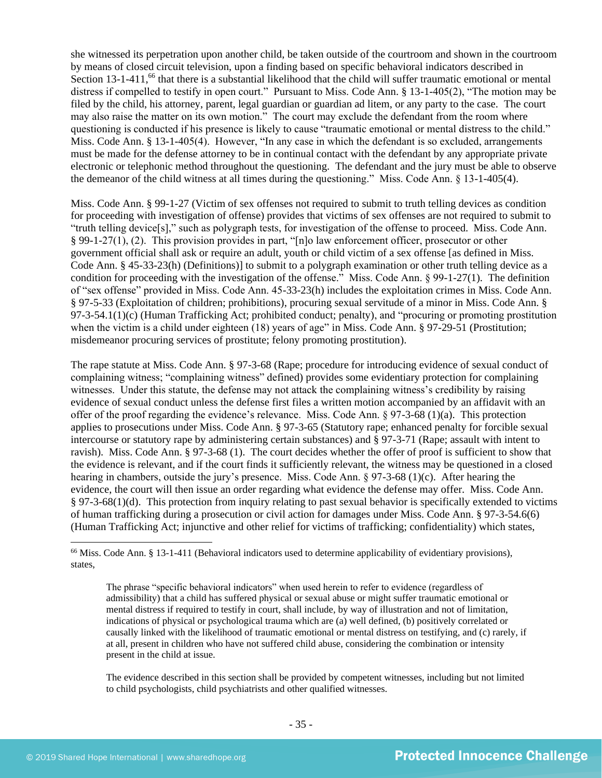she witnessed its perpetration upon another child, be taken outside of the courtroom and shown in the courtroom by means of closed circuit television, upon a finding based on specific behavioral indicators described in Section  $13$ -1-411,<sup>66</sup> that there is a substantial likelihood that the child will suffer traumatic emotional or mental distress if compelled to testify in open court." Pursuant to Miss. Code Ann. § 13-1-405(2), "The motion may be filed by the child, his attorney, parent, legal guardian or guardian ad litem, or any party to the case. The court may also raise the matter on its own motion." The court may exclude the defendant from the room where questioning is conducted if his presence is likely to cause "traumatic emotional or mental distress to the child." Miss. Code Ann. § 13-1-405(4). However, "In any case in which the defendant is so excluded, arrangements must be made for the defense attorney to be in continual contact with the defendant by any appropriate private electronic or telephonic method throughout the questioning. The defendant and the jury must be able to observe the demeanor of the child witness at all times during the questioning." Miss. Code Ann. § 13-1-405(4).

Miss. Code Ann. § 99-1-27 (Victim of sex offenses not required to submit to truth telling devices as condition for proceeding with investigation of offense) provides that victims of sex offenses are not required to submit to "truth telling device[s]," such as polygraph tests, for investigation of the offense to proceed. Miss. Code Ann. § 99-1-27(1), (2). This provision provides in part, "[n]o law enforcement officer, prosecutor or other government official shall ask or require an adult, youth or child victim of a sex offense [as defined in Miss. Code Ann. § 45-33-23(h) (Definitions)] to submit to a polygraph examination or other truth telling device as a condition for proceeding with the investigation of the offense." Miss. Code Ann. § 99-1-27(1). The definition of "sex offense" provided in Miss. Code Ann. 45-33-23(h) includes the exploitation crimes in Miss. Code Ann. § 97-5-33 (Exploitation of children; prohibitions), procuring sexual servitude of a minor in Miss. Code Ann. § 97-3-54.1(1)(c) (Human Trafficking Act; prohibited conduct; penalty), and "procuring or promoting prostitution when the victim is a child under eighteen (18) years of age" in Miss. Code Ann. § 97-29-51 (Prostitution; misdemeanor procuring services of prostitute; felony promoting prostitution).

The rape statute at Miss. Code Ann. § 97-3-68 (Rape; procedure for introducing evidence of sexual conduct of complaining witness; "complaining witness" defined) provides some evidentiary protection for complaining witnesses. Under this statute, the defense may not attack the complaining witness's credibility by raising evidence of sexual conduct unless the defense first files a written motion accompanied by an affidavit with an offer of the proof regarding the evidence's relevance. Miss. Code Ann. § 97-3-68 (1)(a). This protection applies to prosecutions under Miss. Code Ann. § 97-3-65 (Statutory rape; enhanced penalty for forcible sexual intercourse or statutory rape by administering certain substances) and § 97-3-71 (Rape; assault with intent to ravish). Miss. Code Ann. § 97-3-68 (1). The court decides whether the offer of proof is sufficient to show that the evidence is relevant, and if the court finds it sufficiently relevant, the witness may be questioned in a closed hearing in chambers, outside the jury's presence. Miss. Code Ann. § 97-3-68 (1)(c). After hearing the evidence, the court will then issue an order regarding what evidence the defense may offer. Miss. Code Ann. § 97-3-68(1)(d). This protection from inquiry relating to past sexual behavior is specifically extended to victims of human trafficking during a prosecution or civil action for damages under Miss. Code Ann. § 97-3-54.6(6) (Human Trafficking Act; injunctive and other relief for victims of trafficking; confidentiality) which states,

The phrase "specific behavioral indicators" when used herein to refer to evidence (regardless of admissibility) that a child has suffered physical or sexual abuse or might suffer traumatic emotional or mental distress if required to testify in court, shall include, by way of illustration and not of limitation, indications of physical or psychological trauma which are (a) well defined, (b) positively correlated or causally linked with the likelihood of traumatic emotional or mental distress on testifying, and (c) rarely, if at all, present in children who have not suffered child abuse, considering the combination or intensity present in the child at issue.

The evidence described in this section shall be provided by competent witnesses, including but not limited to child psychologists, child psychiatrists and other qualified witnesses.

<sup>&</sup>lt;sup>66</sup> Miss. Code Ann. § 13-1-411 (Behavioral indicators used to determine applicability of evidentiary provisions), states,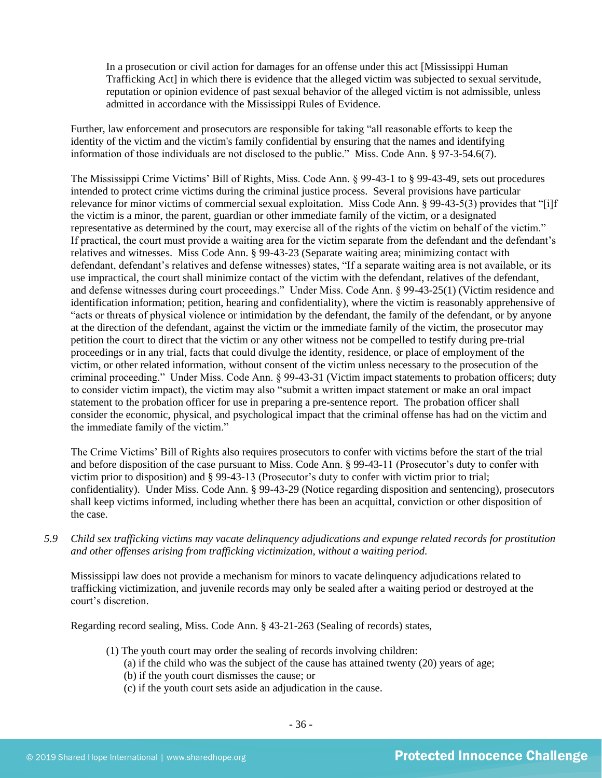In a prosecution or civil action for damages for an offense under this act [Mississippi Human Trafficking Act] in which there is evidence that the alleged victim was subjected to sexual servitude, reputation or opinion evidence of past sexual behavior of the alleged victim is not admissible, unless admitted in accordance with the Mississippi Rules of Evidence.

Further, law enforcement and prosecutors are responsible for taking "all reasonable efforts to keep the identity of the victim and the victim's family confidential by ensuring that the names and identifying information of those individuals are not disclosed to the public." Miss. Code Ann. § 97-3-54.6(7).

The Mississippi Crime Victims' Bill of Rights, Miss. Code Ann. § 99-43-1 to § 99-43-49, sets out procedures intended to protect crime victims during the criminal justice process. Several provisions have particular relevance for minor victims of commercial sexual exploitation. Miss Code Ann. § 99-43-5(3) provides that "[i]f the victim is a minor, the parent, guardian or other immediate family of the victim, or a designated representative as determined by the court, may exercise all of the rights of the victim on behalf of the victim." If practical, the court must provide a waiting area for the victim separate from the defendant and the defendant's relatives and witnesses. Miss Code Ann. § 99-43-23 (Separate waiting area; minimizing contact with defendant, defendant's relatives and defense witnesses) states, "If a separate waiting area is not available, or its use impractical, the court shall minimize contact of the victim with the defendant, relatives of the defendant, and defense witnesses during court proceedings." Under Miss. Code Ann. § 99-43-25(1) (Victim residence and identification information; petition, hearing and confidentiality), where the victim is reasonably apprehensive of "acts or threats of physical violence or intimidation by the defendant, the family of the defendant, or by anyone at the direction of the defendant, against the victim or the immediate family of the victim, the prosecutor may petition the court to direct that the victim or any other witness not be compelled to testify during pre-trial proceedings or in any trial, facts that could divulge the identity, residence, or place of employment of the victim, or other related information, without consent of the victim unless necessary to the prosecution of the criminal proceeding." Under Miss. Code Ann. § 99-43-31 (Victim impact statements to probation officers; duty to consider victim impact), the victim may also "submit a written impact statement or make an oral impact statement to the probation officer for use in preparing a pre-sentence report. The probation officer shall consider the economic, physical, and psychological impact that the criminal offense has had on the victim and the immediate family of the victim."

The Crime Victims' Bill of Rights also requires prosecutors to confer with victims before the start of the trial and before disposition of the case pursuant to Miss. Code Ann. § 99-43-11 (Prosecutor's duty to confer with victim prior to disposition) and § 99-43-13 (Prosecutor's duty to confer with victim prior to trial; confidentiality). Under Miss. Code Ann. § 99-43-29 (Notice regarding disposition and sentencing), prosecutors shall keep victims informed, including whether there has been an acquittal, conviction or other disposition of the case.

*5.9 Child sex trafficking victims may vacate delinquency adjudications and expunge related records for prostitution and other offenses arising from trafficking victimization, without a waiting period.*

Mississippi law does not provide a mechanism for minors to vacate delinquency adjudications related to trafficking victimization, and juvenile records may only be sealed after a waiting period or destroyed at the court's discretion.

Regarding record sealing, Miss. Code Ann. § 43-21-263 (Sealing of records) states,

- (1) The youth court may order the sealing of records involving children:
	- (a) if the child who was the subject of the cause has attained twenty (20) years of age;
	- (b) if the youth court dismisses the cause; or
	- (c) if the youth court sets aside an adjudication in the cause.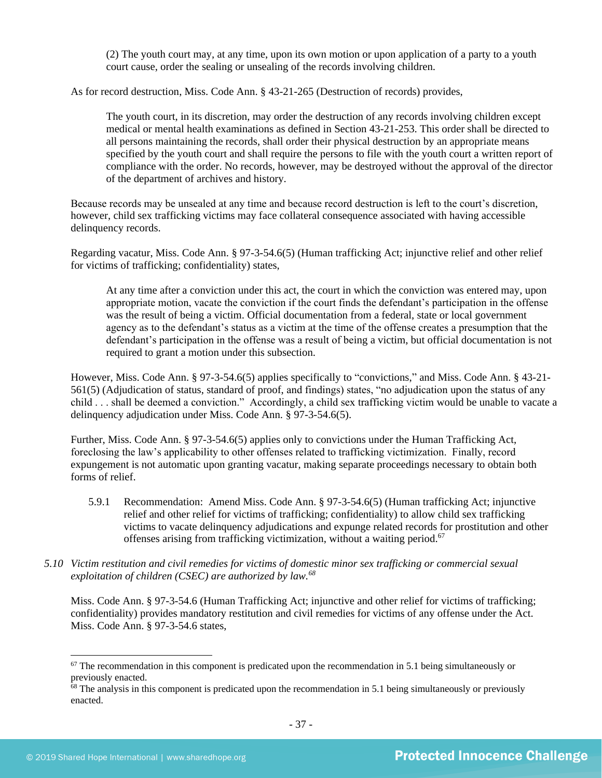(2) The youth court may, at any time, upon its own motion or upon application of a party to a youth court cause, order the sealing or unsealing of the records involving children.

As for record destruction, Miss. Code Ann. § 43-21-265 (Destruction of records) provides,

The youth court, in its discretion, may order the destruction of any records involving children except medical or mental health examinations as defined in Section 43-21-253. This order shall be directed to all persons maintaining the records, shall order their physical destruction by an appropriate means specified by the youth court and shall require the persons to file with the youth court a written report of compliance with the order. No records, however, may be destroyed without the approval of the director of the department of archives and history.

Because records may be unsealed at any time and because record destruction is left to the court's discretion, however, child sex trafficking victims may face collateral consequence associated with having accessible delinquency records.

Regarding vacatur, Miss. Code Ann. § 97-3-54.6(5) (Human trafficking Act; injunctive relief and other relief for victims of trafficking; confidentiality) states,

At any time after a conviction under this act, the court in which the conviction was entered may, upon appropriate motion, vacate the conviction if the court finds the defendant's participation in the offense was the result of being a victim. Official documentation from a federal, state or local government agency as to the defendant's status as a victim at the time of the offense creates a presumption that the defendant's participation in the offense was a result of being a victim, but official documentation is not required to grant a motion under this subsection.

However, Miss. Code Ann. § 97-3-54.6(5) applies specifically to "convictions," and Miss. Code Ann. § 43-21- 561(5) (Adjudication of status, standard of proof, and findings) states, "no adjudication upon the status of any child . . . shall be deemed a conviction." Accordingly, a child sex trafficking victim would be unable to vacate a delinquency adjudication under Miss. Code Ann. § 97-3-54.6(5).

Further, Miss. Code Ann. § 97-3-54.6(5) applies only to convictions under the Human Trafficking Act, foreclosing the law's applicability to other offenses related to trafficking victimization. Finally, record expungement is not automatic upon granting vacatur, making separate proceedings necessary to obtain both forms of relief.

- 5.9.1 Recommendation: Amend Miss. Code Ann. § 97-3-54.6(5) (Human trafficking Act; injunctive relief and other relief for victims of trafficking; confidentiality) to allow child sex trafficking victims to vacate delinquency adjudications and expunge related records for prostitution and other offenses arising from trafficking victimization, without a waiting period. 67
- *5.10 Victim restitution and civil remedies for victims of domestic minor sex trafficking or commercial sexual exploitation of children (CSEC) are authorized by law.<sup>68</sup>*

Miss. Code Ann. § 97-3-54.6 (Human Trafficking Act; injunctive and other relief for victims of trafficking; confidentiality) provides mandatory restitution and civil remedies for victims of any offense under the Act. Miss. Code Ann. § 97-3-54.6 states,

 $67$  The recommendation in this component is predicated upon the recommendation in 5.1 being simultaneously or previously enacted.

 $68$  The analysis in this component is predicated upon the recommendation in 5.1 being simultaneously or previously enacted.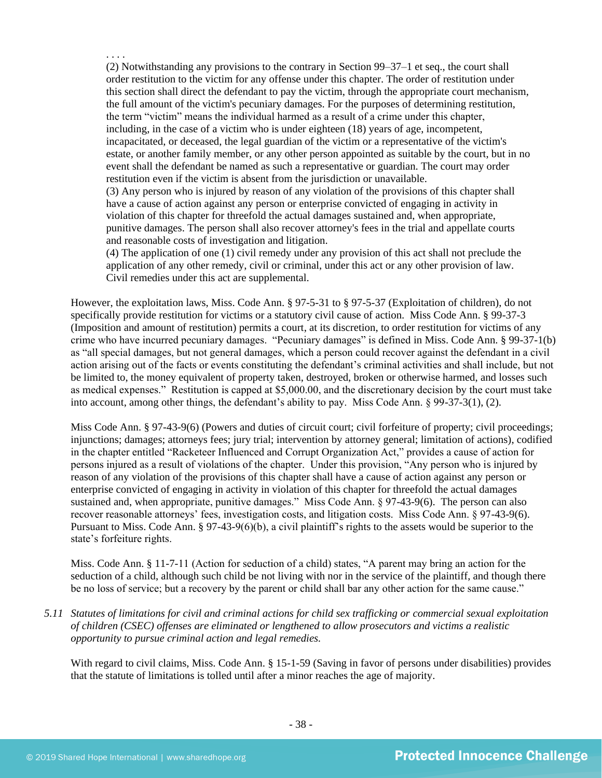. . . . (2) Notwithstanding any provisions to the contrary in Section 99–37–1 et seq., the court shall order restitution to the victim for any offense under this chapter. The order of restitution under this section shall direct the defendant to pay the victim, through the appropriate court mechanism, the full amount of the victim's pecuniary damages. For the purposes of determining restitution, the term "victim" means the individual harmed as a result of a crime under this chapter, including, in the case of a victim who is under eighteen (18) years of age, incompetent, incapacitated, or deceased, the legal guardian of the victim or a representative of the victim's estate, or another family member, or any other person appointed as suitable by the court, but in no event shall the defendant be named as such a representative or guardian. The court may order restitution even if the victim is absent from the jurisdiction or unavailable. (3) Any person who is injured by reason of any violation of the provisions of this chapter shall have a cause of action against any person or enterprise convicted of engaging in activity in violation of this chapter for threefold the actual damages sustained and, when appropriate, punitive damages. The person shall also recover attorney's fees in the trial and appellate courts

and reasonable costs of investigation and litigation. (4) The application of one (1) civil remedy under any provision of this act shall not preclude the application of any other remedy, civil or criminal, under this act or any other provision of law. Civil remedies under this act are supplemental.

However, the exploitation laws, Miss. Code Ann. § 97-5-31 to § 97-5-37 (Exploitation of children), do not specifically provide restitution for victims or a statutory civil cause of action. Miss Code Ann. § 99-37-3 (Imposition and amount of restitution) permits a court, at its discretion, to order restitution for victims of any crime who have incurred pecuniary damages. "Pecuniary damages" is defined in Miss. Code Ann. § 99-37-1(b) as "all special damages, but not general damages, which a person could recover against the defendant in a civil action arising out of the facts or events constituting the defendant's criminal activities and shall include, but not be limited to, the money equivalent of property taken, destroyed, broken or otherwise harmed, and losses such as medical expenses." Restitution is capped at \$5,000.00, and the discretionary decision by the court must take into account, among other things, the defendant's ability to pay. Miss Code Ann. § 99-37-3(1), (2).

Miss Code Ann. § 97-43-9(6) (Powers and duties of circuit court; civil forfeiture of property; civil proceedings; injunctions; damages; attorneys fees; jury trial; intervention by attorney general; limitation of actions), codified in the chapter entitled "Racketeer Influenced and Corrupt Organization Act," provides a cause of action for persons injured as a result of violations of the chapter. Under this provision, "Any person who is injured by reason of any violation of the provisions of this chapter shall have a cause of action against any person or enterprise convicted of engaging in activity in violation of this chapter for threefold the actual damages sustained and, when appropriate, punitive damages." Miss Code Ann. § 97-43-9(6). The person can also recover reasonable attorneys' fees, investigation costs, and litigation costs. Miss Code Ann. § 97-43-9(6). Pursuant to Miss. Code Ann. § 97-43-9(6)(b), a civil plaintiff's rights to the assets would be superior to the state's forfeiture rights.

Miss. Code Ann. § 11-7-11 (Action for seduction of a child) states, "A parent may bring an action for the seduction of a child, although such child be not living with nor in the service of the plaintiff, and though there be no loss of service; but a recovery by the parent or child shall bar any other action for the same cause."

*5.11 Statutes of limitations for civil and criminal actions for child sex trafficking or commercial sexual exploitation of children (CSEC) offenses are eliminated or lengthened to allow prosecutors and victims a realistic opportunity to pursue criminal action and legal remedies.*

With regard to civil claims, Miss. Code Ann. § 15-1-59 (Saving in favor of persons under disabilities) provides that the statute of limitations is tolled until after a minor reaches the age of majority.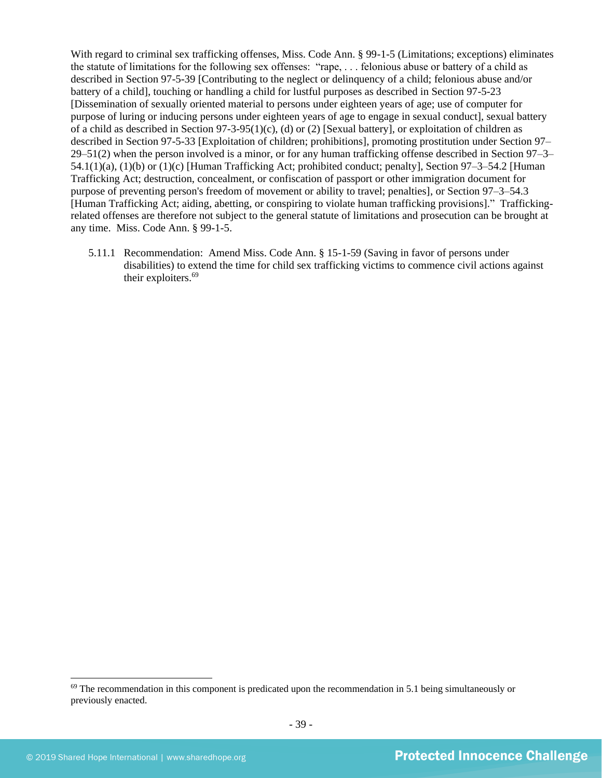With regard to criminal sex trafficking offenses, Miss. Code Ann. § 99-1-5 (Limitations; exceptions) eliminates the statute of limitations for the following sex offenses: "rape, . . . felonious abuse or battery of a child as described in Section 97-5-39 [Contributing to the neglect or delinquency of a child; felonious abuse and/or battery of a child], touching or handling a child for lustful purposes as described in Section 97-5-23 [Dissemination of sexually oriented material to persons under eighteen years of age; use of computer for purpose of luring or inducing persons under eighteen years of age to engage in sexual conduct], sexual battery of a child as described in Section 97-3-95(1)(c), (d) or (2) [Sexual battery], or exploitation of children as described in Section 97-5-33 [Exploitation of children; prohibitions], promoting prostitution under Section 97– 29–51(2) when the person involved is a minor, or for any human trafficking offense described in Section 97–3– 54.1(1)(a), (1)(b) or (1)(c) [Human Trafficking Act; prohibited conduct; penalty], Section 97–3–54.2 [Human Trafficking Act; destruction, concealment, or confiscation of passport or other immigration document for purpose of preventing person's freedom of movement or ability to travel; penalties], or Section 97–3–54.3 [Human Trafficking Act; aiding, abetting, or conspiring to violate human trafficking provisions]." Traffickingrelated offenses are therefore not subject to the general statute of limitations and prosecution can be brought at any time. Miss. Code Ann. § 99-1-5.

5.11.1 Recommendation: Amend Miss. Code Ann. § 15-1-59 (Saving in favor of persons under disabilities) to extend the time for child sex trafficking victims to commence civil actions against their exploiters.<sup>69</sup>

 $69$  The recommendation in this component is predicated upon the recommendation in 5.1 being simultaneously or previously enacted.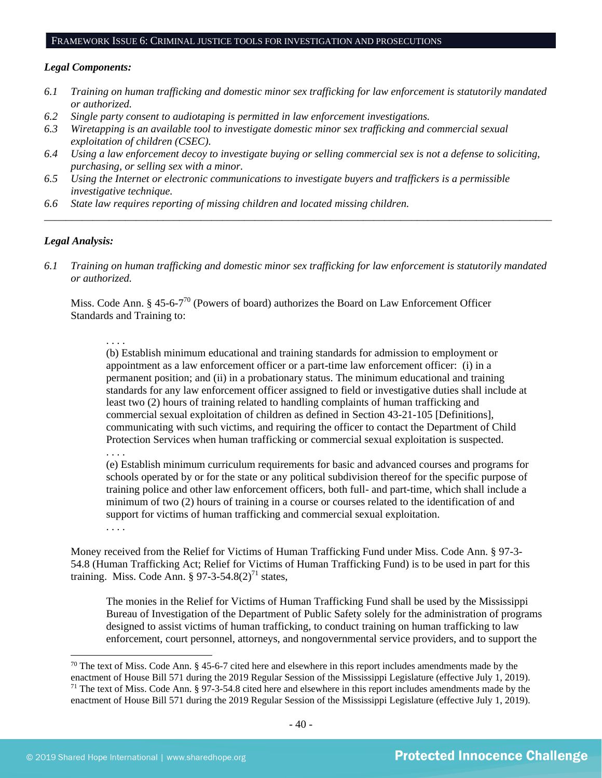## FRAMEWORK ISSUE 6: CRIMINAL JUSTICE TOOLS FOR INVESTIGATION AND PROSECUTIONS

#### *Legal Components:*

- *6.1 Training on human trafficking and domestic minor sex trafficking for law enforcement is statutorily mandated or authorized.*
- *6.2 Single party consent to audiotaping is permitted in law enforcement investigations.*
- *6.3 Wiretapping is an available tool to investigate domestic minor sex trafficking and commercial sexual exploitation of children (CSEC).*
- *6.4 Using a law enforcement decoy to investigate buying or selling commercial sex is not a defense to soliciting, purchasing, or selling sex with a minor.*
- *6.5 Using the Internet or electronic communications to investigate buyers and traffickers is a permissible investigative technique.*
- *6.6 State law requires reporting of missing children and located missing children.*

#### *Legal Analysis:*

*6.1 Training on human trafficking and domestic minor sex trafficking for law enforcement is statutorily mandated or authorized.*

*\_\_\_\_\_\_\_\_\_\_\_\_\_\_\_\_\_\_\_\_\_\_\_\_\_\_\_\_\_\_\_\_\_\_\_\_\_\_\_\_\_\_\_\_\_\_\_\_\_\_\_\_\_\_\_\_\_\_\_\_\_\_\_\_\_\_\_\_\_\_\_\_\_\_\_\_\_\_\_\_\_\_\_\_\_\_\_\_\_\_\_\_\_\_*

Miss. Code Ann. § 45-6-7<sup>70</sup> (Powers of board) authorizes the Board on Law Enforcement Officer Standards and Training to:

. . . .

(b) Establish minimum educational and training standards for admission to employment or appointment as a law enforcement officer or a part-time law enforcement officer: (i) in a permanent position; and (ii) in a probationary status. The minimum educational and training standards for any law enforcement officer assigned to field or investigative duties shall include at least two (2) hours of training related to handling complaints of human trafficking and commercial sexual exploitation of children as defined in Section 43-21-105 [Definitions], communicating with such victims, and requiring the officer to contact the Department of Child Protection Services when human trafficking or commercial sexual exploitation is suspected.

## . . . .

(e) Establish minimum curriculum requirements for basic and advanced courses and programs for schools operated by or for the state or any political subdivision thereof for the specific purpose of training police and other law enforcement officers, both full- and part-time, which shall include a minimum of two (2) hours of training in a course or courses related to the identification of and support for victims of human trafficking and commercial sexual exploitation.

. . . .

Money received from the Relief for Victims of Human Trafficking Fund under Miss. Code Ann. § 97-3- 54.8 (Human Trafficking Act; Relief for Victims of Human Trafficking Fund) is to be used in part for this training. Miss. Code Ann.  $\S 97-3-54.8(2)^{71}$  states,

The monies in the Relief for Victims of Human Trafficking Fund shall be used by the Mississippi Bureau of Investigation of the Department of Public Safety solely for the administration of programs designed to assist victims of human trafficking, to conduct training on human trafficking to law enforcement, court personnel, attorneys, and nongovernmental service providers, and to support the

<sup>&</sup>lt;sup>70</sup> The text of Miss. Code Ann. § 45-6-7 cited here and elsewhere in this report includes amendments made by the enactment of House Bill 571 during the 2019 Regular Session of the Mississippi Legislature (effective July 1, 2019).  $71$  The text of Miss. Code Ann. § 97-3-54.8 cited here and elsewhere in this report includes amendments made by the enactment of House Bill 571 during the 2019 Regular Session of the Mississippi Legislature (effective July 1, 2019).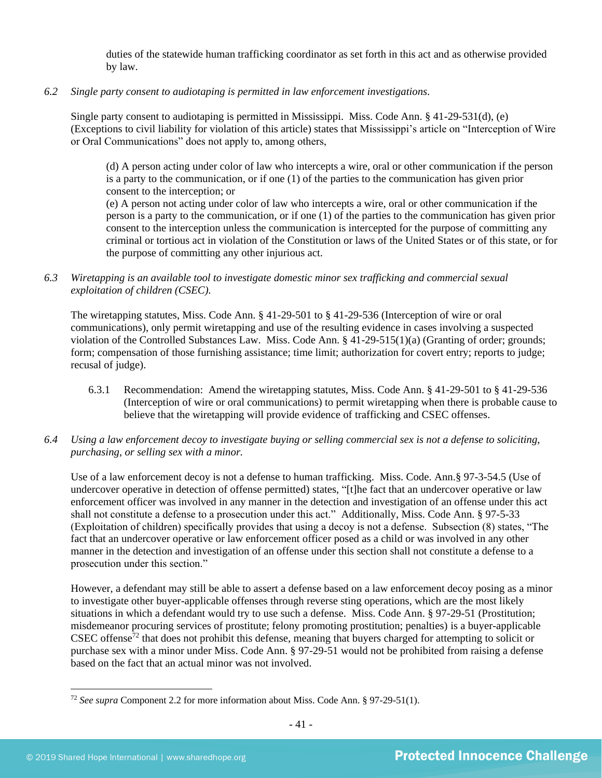duties of the statewide human trafficking coordinator as set forth in this act and as otherwise provided by law.

*6.2 Single party consent to audiotaping is permitted in law enforcement investigations.*

Single party consent to audiotaping is permitted in Mississippi. Miss. Code Ann. § 41-29-531(d), (e) (Exceptions to civil liability for violation of this article) states that Mississippi's article on "Interception of Wire or Oral Communications" does not apply to, among others,

(d) A person acting under color of law who intercepts a wire, oral or other communication if the person is a party to the communication, or if one (1) of the parties to the communication has given prior consent to the interception; or

(e) A person not acting under color of law who intercepts a wire, oral or other communication if the person is a party to the communication, or if one (1) of the parties to the communication has given prior consent to the interception unless the communication is intercepted for the purpose of committing any criminal or tortious act in violation of the Constitution or laws of the United States or of this state, or for the purpose of committing any other injurious act.

*6.3 Wiretapping is an available tool to investigate domestic minor sex trafficking and commercial sexual exploitation of children (CSEC).* 

The wiretapping statutes, Miss. Code Ann. § 41-29-501 to § 41-29-536 (Interception of wire or oral communications), only permit wiretapping and use of the resulting evidence in cases involving a suspected violation of the Controlled Substances Law. Miss. Code Ann. § 41-29-515(1)(a) (Granting of order; grounds; form; compensation of those furnishing assistance; time limit; authorization for covert entry; reports to judge; recusal of judge).

- 6.3.1 Recommendation: Amend the wiretapping statutes, Miss. Code Ann. § 41-29-501 to § 41-29-536 (Interception of wire or oral communications) to permit wiretapping when there is probable cause to believe that the wiretapping will provide evidence of trafficking and CSEC offenses.
- *6.4 Using a law enforcement decoy to investigate buying or selling commercial sex is not a defense to soliciting, purchasing, or selling sex with a minor.*

Use of a law enforcement decoy is not a defense to human trafficking. Miss. Code. Ann.§ 97-3-54.5 (Use of undercover operative in detection of offense permitted) states, "[t]he fact that an undercover operative or law enforcement officer was involved in any manner in the detection and investigation of an offense under this act shall not constitute a defense to a prosecution under this act." Additionally, Miss. Code Ann. § 97-5-33 (Exploitation of children) specifically provides that using a decoy is not a defense. Subsection (8) states, "The fact that an undercover operative or law enforcement officer posed as a child or was involved in any other manner in the detection and investigation of an offense under this section shall not constitute a defense to a prosecution under this section."

However, a defendant may still be able to assert a defense based on a law enforcement decoy posing as a minor to investigate other buyer-applicable offenses through reverse sting operations, which are the most likely situations in which a defendant would try to use such a defense. Miss. Code Ann. § 97-29-51 (Prostitution; misdemeanor procuring services of prostitute; felony promoting prostitution; penalties) is a buyer-applicable CSEC offense $^{72}$  that does not prohibit this defense, meaning that buyers charged for attempting to solicit or purchase sex with a minor under Miss. Code Ann. § 97-29-51 would not be prohibited from raising a defense based on the fact that an actual minor was not involved.

<sup>72</sup> *See supra* Component 2.2 for more information about Miss. Code Ann. § 97-29-51(1).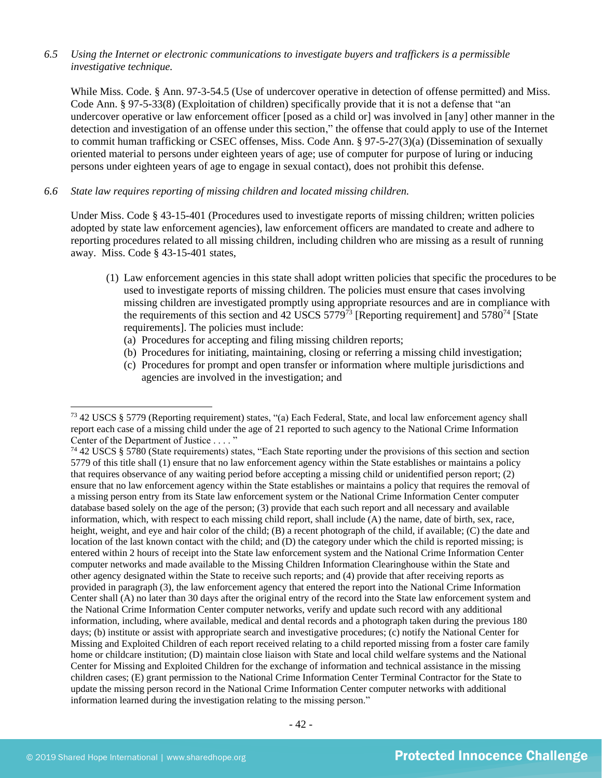### *6.5 Using the Internet or electronic communications to investigate buyers and traffickers is a permissible investigative technique.*

While Miss. Code. § Ann. 97-3-54.5 (Use of undercover operative in detection of offense permitted) and Miss. Code Ann. § 97-5-33(8) (Exploitation of children) specifically provide that it is not a defense that "an undercover operative or law enforcement officer [posed as a child or] was involved in [any] other manner in the detection and investigation of an offense under this section," the offense that could apply to use of the Internet to commit human trafficking or CSEC offenses, Miss. Code Ann. § 97-5-27(3)(a) (Dissemination of sexually oriented material to persons under eighteen years of age; use of computer for purpose of luring or inducing persons under eighteen years of age to engage in sexual contact), does not prohibit this defense.

### *6.6 State law requires reporting of missing children and located missing children.*

Under Miss. Code § 43-15-401 (Procedures used to investigate reports of missing children; written policies adopted by state law enforcement agencies), law enforcement officers are mandated to create and adhere to reporting procedures related to all missing children, including children who are missing as a result of running away. Miss. Code § 43-15-401 states,

- (1) Law enforcement agencies in this state shall adopt written policies that specific the procedures to be used to investigate reports of missing children. The policies must ensure that cases involving missing children are investigated promptly using appropriate resources and are in compliance with the requirements of this section and 42 USCS  $5779^{73}$  [Reporting requirement] and  $5780^{74}$  [State requirements]. The policies must include:
	- (a) Procedures for accepting and filing missing children reports;
	- (b) Procedures for initiating, maintaining, closing or referring a missing child investigation;
	- (c) Procedures for prompt and open transfer or information where multiple jurisdictions and agencies are involved in the investigation; and

<sup>73</sup> 42 USCS § 5779 (Reporting requirement) states, "(a) Each Federal, State, and local law enforcement agency shall report each case of a missing child under the age of 21 reported to such agency to the National Crime Information Center of the Department of Justice . . . . "

<sup>74</sup> 42 USCS § 5780 (State requirements) states, "Each State reporting under the provisions of this section and section 5779 of this title shall (1) ensure that no law enforcement agency within the State establishes or maintains a policy that requires observance of any waiting period before accepting a missing child or unidentified person report; (2) ensure that no law enforcement agency within the State establishes or maintains a policy that requires the removal of a missing person entry from its State law enforcement system or the National Crime Information Center computer database based solely on the age of the person; (3) provide that each such report and all necessary and available information, which, with respect to each missing child report, shall include (A) the name, date of birth, sex, race, height, weight, and eye and hair color of the child; (B) a recent photograph of the child, if available; (C) the date and location of the last known contact with the child; and (D) the category under which the child is reported missing; is entered within 2 hours of receipt into the State law enforcement system and the National Crime Information Center computer networks and made available to the Missing Children Information Clearinghouse within the State and other agency designated within the State to receive such reports; and (4) provide that after receiving reports as provided in paragraph (3), the law enforcement agency that entered the report into the National Crime Information Center shall (A) no later than 30 days after the original entry of the record into the State law enforcement system and the National Crime Information Center computer networks, verify and update such record with any additional information, including, where available, medical and dental records and a photograph taken during the previous 180 days; (b) institute or assist with appropriate search and investigative procedures; (c) notify the National Center for Missing and Exploited Children of each report received relating to a child reported missing from a foster care family home or childcare institution; (D) maintain close liaison with State and local child welfare systems and the National Center for Missing and Exploited Children for the exchange of information and technical assistance in the missing children cases; (E) grant permission to the National Crime Information Center Terminal Contractor for the State to update the missing person record in the National Crime Information Center computer networks with additional information learned during the investigation relating to the missing person."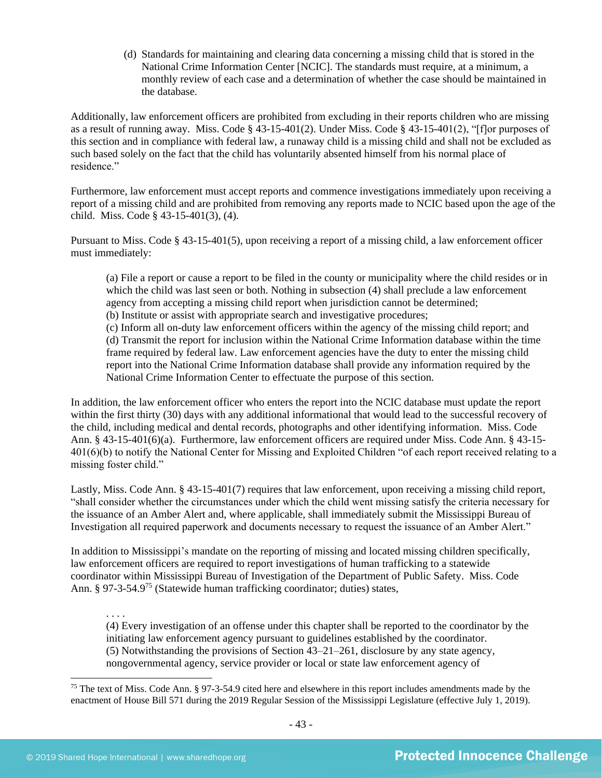(d) Standards for maintaining and clearing data concerning a missing child that is stored in the National Crime Information Center [NCIC]. The standards must require, at a minimum, a monthly review of each case and a determination of whether the case should be maintained in the database.

Additionally, law enforcement officers are prohibited from excluding in their reports children who are missing as a result of running away. Miss. Code § 43-15-401(2). Under Miss. Code § 43-15-401(2), "[f]or purposes of this section and in compliance with federal law, a runaway child is a missing child and shall not be excluded as such based solely on the fact that the child has voluntarily absented himself from his normal place of residence."

Furthermore, law enforcement must accept reports and commence investigations immediately upon receiving a report of a missing child and are prohibited from removing any reports made to NCIC based upon the age of the child. Miss. Code § 43-15-401(3), (4).

Pursuant to Miss. Code § 43-15-401(5), upon receiving a report of a missing child, a law enforcement officer must immediately:

(a) File a report or cause a report to be filed in the county or municipality where the child resides or in which the child was last seen or both. Nothing in subsection (4) shall preclude a law enforcement agency from accepting a missing child report when jurisdiction cannot be determined; (b) Institute or assist with appropriate search and investigative procedures;

(c) Inform all on-duty law enforcement officers within the agency of the missing child report; and (d) Transmit the report for inclusion within the National Crime Information database within the time frame required by federal law. Law enforcement agencies have the duty to enter the missing child report into the National Crime Information database shall provide any information required by the National Crime Information Center to effectuate the purpose of this section.

In addition, the law enforcement officer who enters the report into the NCIC database must update the report within the first thirty (30) days with any additional informational that would lead to the successful recovery of the child, including medical and dental records, photographs and other identifying information. Miss. Code Ann. § 43-15-401(6)(a). Furthermore, law enforcement officers are required under Miss. Code Ann. § 43-15- 401(6)(b) to notify the National Center for Missing and Exploited Children "of each report received relating to a missing foster child."

Lastly, Miss. Code Ann. § 43-15-401(7) requires that law enforcement, upon receiving a missing child report, "shall consider whether the circumstances under which the child went missing satisfy the criteria necessary for the issuance of an Amber Alert and, where applicable, shall immediately submit the Mississippi Bureau of Investigation all required paperwork and documents necessary to request the issuance of an Amber Alert."

In addition to Mississippi's mandate on the reporting of missing and located missing children specifically, law enforcement officers are required to report investigations of human trafficking to a statewide coordinator within Mississippi Bureau of Investigation of the Department of Public Safety. Miss. Code Ann. § 97-3-54.9<sup>75</sup> (Statewide human trafficking coordinator; duties) states,

. . . .

(4) Every investigation of an offense under this chapter shall be reported to the coordinator by the initiating law enforcement agency pursuant to guidelines established by the coordinator. (5) Notwithstanding the provisions of Section 43–21–261, disclosure by any state agency, nongovernmental agency, service provider or local or state law enforcement agency of

<sup>75</sup> The text of Miss. Code Ann. § 97-3-54.9 cited here and elsewhere in this report includes amendments made by the enactment of House Bill 571 during the 2019 Regular Session of the Mississippi Legislature (effective July 1, 2019).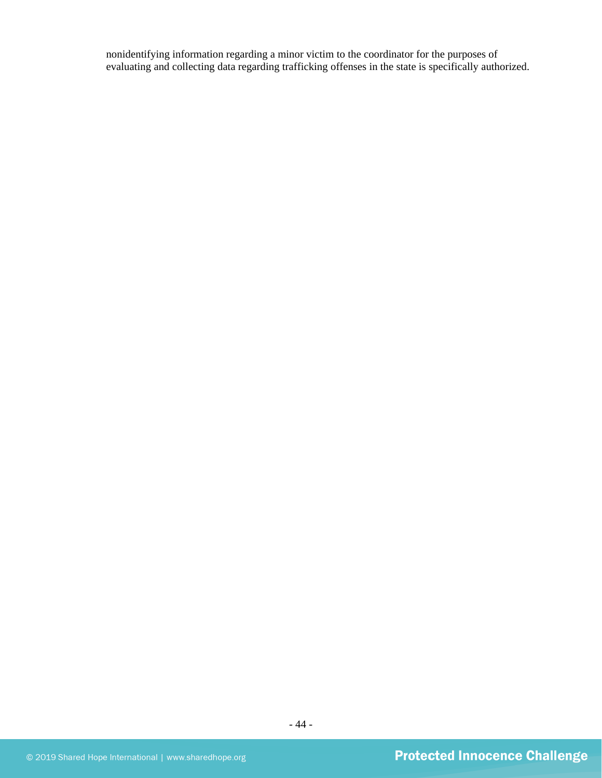nonidentifying information regarding a minor victim to the coordinator for the purposes of evaluating and collecting data regarding trafficking offenses in the state is specifically authorized.